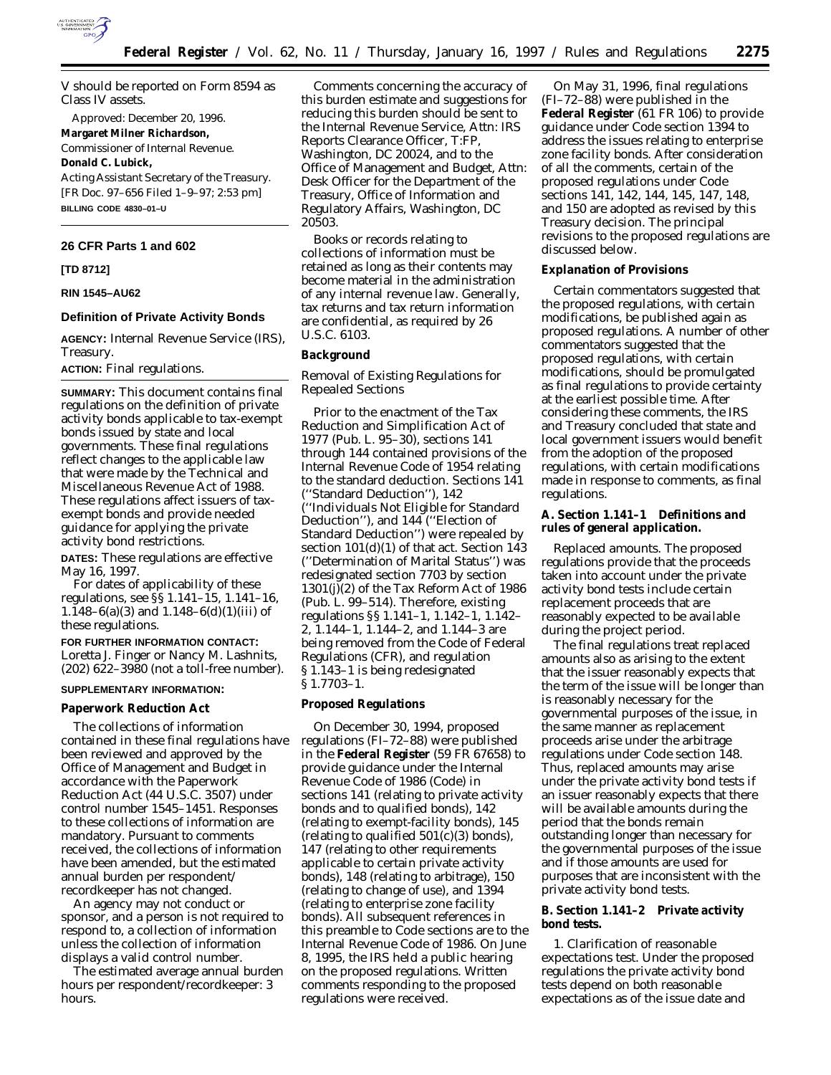

V should be reported on Form 8594 as Class IV assets.

Approved: December 20, 1996. **Margaret Milner Richardson,** *Commissioner of Internal Revenue.* **Donald C. Lubick,** *Acting Assistant Secretary of the Treasury.* [FR Doc. 97–656 Filed 1–9–97; 2:53 pm] **BILLING CODE 4830–01–U**

#### **26 CFR Parts 1 and 602**

### **[TD 8712]**

## **RIN 1545–AU62**

### **Definition of Private Activity Bonds**

**AGENCY:** Internal Revenue Service (IRS), Treasury.

**ACTION:** Final regulations.

**SUMMARY:** This document contains final regulations on the definition of private activity bonds applicable to tax-exempt bonds issued by state and local governments. These final regulations reflect changes to the applicable law that were made by the Technical and Miscellaneous Revenue Act of 1988. These regulations affect issuers of taxexempt bonds and provide needed guidance for applying the private activity bond restrictions.

**DATES:** These regulations are effective May 16, 1997.

For dates of applicability of these regulations, see §§ 1.141–15, 1.141–16, 1.148–6(a)(3) and 1.148–6(d)(1)(iii) of these regulations.

**FOR FURTHER INFORMATION CONTACT:** Loretta J. Finger or Nancy M. Lashnits, (202) 622–3980 (not a toll-free number).

### **SUPPLEMENTARY INFORMATION:**

**Paperwork Reduction Act**

The collections of information contained in these final regulations have been reviewed and approved by the Office of Management and Budget in accordance with the Paperwork Reduction Act (44 U.S.C. 3507) under control number 1545–1451. Responses to these collections of information are mandatory. Pursuant to comments received, the collections of information have been amended, but the estimated annual burden per respondent/ recordkeeper has not changed.

An agency may not conduct or sponsor, and a person is not required to respond to, a collection of information unless the collection of information displays a valid control number.

The estimated average annual burden hours per respondent/recordkeeper: 3 hours.

Comments concerning the accuracy of this burden estimate and suggestions for reducing this burden should be sent to the Internal Revenue Service, Attn: IRS Reports Clearance Officer, T:FP, Washington, DC 20024, and to the Office of Management and Budget, Attn: Desk Officer for the Department of the Treasury, Office of Information and Regulatory Affairs, Washington, DC 20503.

Books or records relating to collections of information must be retained as long as their contents may become material in the administration of any internal revenue law. Generally, tax returns and tax return information are confidential, as required by 26 U.S.C. 6103.

### **Background**

# *Removal of Existing Regulations for Repealed Sections*

Prior to the enactment of the Tax Reduction and Simplification Act of 1977 (Pub. L. 95–30), sections 141 through 144 contained provisions of the Internal Revenue Code of 1954 relating to the standard deduction. Sections 141 (''Standard Deduction''), 142 (''Individuals Not Eligible for Standard Deduction''), and 144 (''Election of Standard Deduction'') were repealed by section 101(d)(1) of that act. Section 143 (''Determination of Marital Status'') was redesignated section 7703 by section 1301(j)(2) of the Tax Reform Act of 1986 (Pub. L. 99–514). Therefore, existing regulations §§ 1.141–1, 1.142–1, 1.142– 2, 1.144–1, 1.144–2, and 1.144–3 are being removed from the Code of Federal Regulations (CFR), and regulation § 1.143–1 is being redesignated § 1.7703–1.

#### **Proposed Regulations**

On December 30, 1994, proposed regulations (FI–72–88) were published in the **Federal Register** (59 FR 67658) to provide guidance under the Internal Revenue Code of 1986 (Code) in sections 141 (relating to private activity bonds and to qualified bonds), 142 (relating to exempt-facility bonds), 145 (relating to qualified  $501(c)(3)$  bonds), 147 (relating to other requirements applicable to certain private activity bonds), 148 (relating to arbitrage), 150 (relating to change of use), and 1394 (relating to enterprise zone facility bonds). All subsequent references in this preamble to Code sections are to the Internal Revenue Code of 1986. On June 8, 1995, the IRS held a public hearing on the proposed regulations. Written comments responding to the proposed regulations were received.

On May 31, 1996, final regulations (FI–72–88) were published in the **Federal Register** (61 FR 106) to provide guidance under Code section 1394 to address the issues relating to enterprise zone facility bonds. After consideration of all the comments, certain of the proposed regulations under Code sections 141, 142, 144, 145, 147, 148, and 150 are adopted as revised by this Treasury decision. The principal revisions to the proposed regulations are discussed below.

### **Explanation of Provisions**

Certain commentators suggested that the proposed regulations, with certain modifications, be published again as proposed regulations. A number of other commentators suggested that the proposed regulations, with certain modifications, should be promulgated as final regulations to provide certainty at the earliest possible time. After considering these comments, the IRS and Treasury concluded that state and local government issuers would benefit from the adoption of the proposed regulations, with certain modifications made in response to comments, as final regulations.

**A. Section 1.141–1 Definitions and rules of general application.**

*Replaced amounts.* The proposed regulations provide that the proceeds taken into account under the private activity bond tests include certain replacement proceeds that are reasonably expected to be available during the project period.

The final regulations treat replaced amounts also as arising to the extent that the issuer reasonably expects that the term of the issue will be longer than is reasonably necessary for the governmental purposes of the issue, in the same manner as replacement proceeds arise under the arbitrage regulations under Code section 148. Thus, replaced amounts may arise under the private activity bond tests if an issuer reasonably expects that there will be available amounts during the period that the bonds remain outstanding longer than necessary for the governmental purposes of the issue and if those amounts are used for purposes that are inconsistent with the private activity bond tests.

**B. Section 1.141–2 Private activity bond tests.**

*1. Clarification of reasonable expectations test.* Under the proposed regulations the private activity bond tests depend on both reasonable expectations as of the issue date and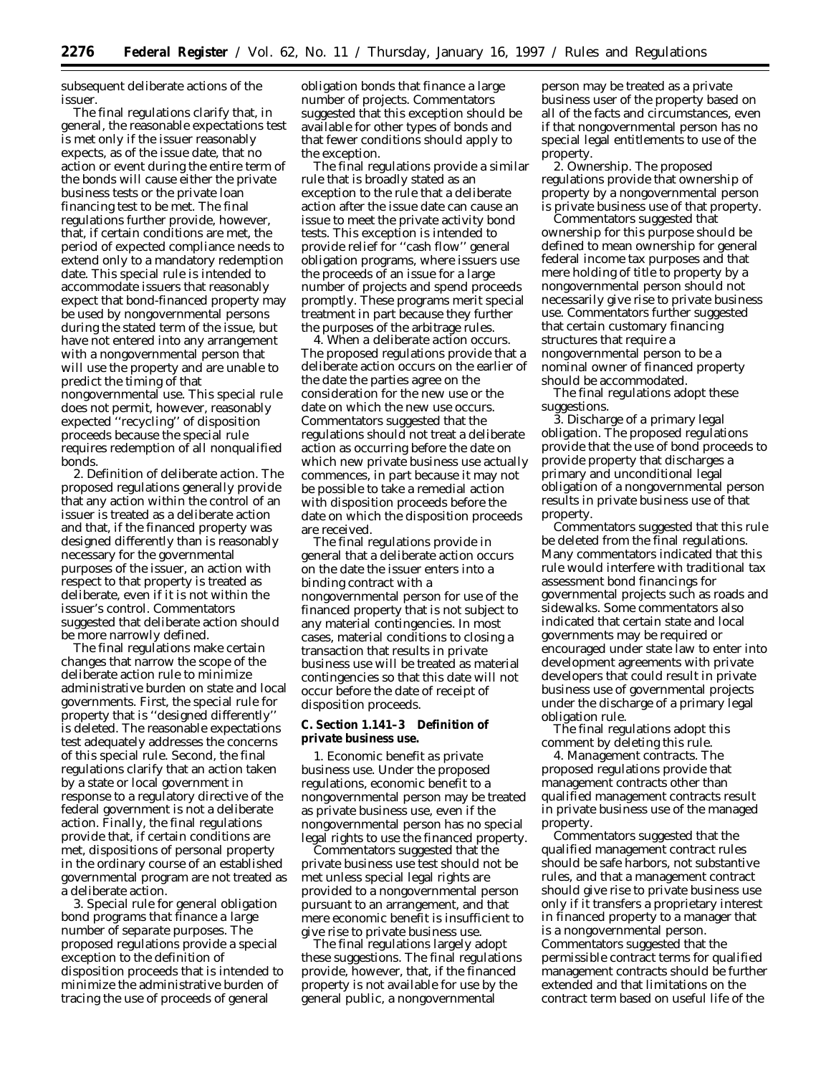subsequent deliberate actions of the issuer.

The final regulations clarify that, in general, the reasonable expectations test is met only if the issuer reasonably expects, as of the issue date, that no action or event during the entire term of the bonds will cause either the private business tests or the private loan financing test to be met. The final regulations further provide, however, that, if certain conditions are met, the period of expected compliance needs to extend only to a mandatory redemption date. This special rule is intended to accommodate issuers that reasonably expect that bond-financed property may be used by nongovernmental persons during the stated term of the issue, but have not entered into any arrangement with a nongovernmental person that will use the property and are unable to predict the timing of that nongovernmental use. This special rule does not permit, however, reasonably expected ''recycling'' of disposition proceeds because the special rule requires redemption of all nonqualified bonds.

*2. Definition of deliberate action.* The proposed regulations generally provide that any action within the control of an issuer is treated as a deliberate action and that, if the financed property was designed differently than is reasonably necessary for the governmental purposes of the issuer, an action with respect to that property is treated as deliberate, even if it is not within the issuer's control. Commentators suggested that deliberate action should be more narrowly defined.

The final regulations make certain changes that narrow the scope of the deliberate action rule to minimize administrative burden on state and local governments. First, the special rule for property that is ''designed differently'' is deleted. The reasonable expectations test adequately addresses the concerns of this special rule. Second, the final regulations clarify that an action taken by a state or local government in response to a regulatory directive of the federal government is not a deliberate action. Finally, the final regulations provide that, if certain conditions are met, dispositions of personal property in the ordinary course of an established governmental program are not treated as a deliberate action.

*3. Special rule for general obligation bond programs that finance a large number of separate purposes.* The proposed regulations provide a special exception to the definition of disposition proceeds that is intended to minimize the administrative burden of tracing the use of proceeds of general

obligation bonds that finance a large number of projects. Commentators suggested that this exception should be available for other types of bonds and that fewer conditions should apply to the exception.

The final regulations provide a similar rule that is broadly stated as an exception to the rule that a deliberate action after the issue date can cause an issue to meet the private activity bond tests. This exception is intended to provide relief for ''cash flow'' general obligation programs, where issuers use the proceeds of an issue for a large number of projects and spend proceeds promptly. These programs merit special treatment in part because they further the purposes of the arbitrage rules.

*4. When a deliberate action occurs.* The proposed regulations provide that a deliberate action occurs on the earlier of the date the parties agree on the consideration for the new use or the date on which the new use occurs. Commentators suggested that the regulations should not treat a deliberate action as occurring before the date on which new private business use actually commences, in part because it may not be possible to take a remedial action with disposition proceeds before the date on which the disposition proceeds are received.

The final regulations provide in general that a deliberate action occurs on the date the issuer enters into a binding contract with a nongovernmental person for use of the financed property that is not subject to any material contingencies. In most cases, material conditions to closing a transaction that results in private business use will be treated as material contingencies so that this date will not occur before the date of receipt of disposition proceeds.

### **C. Section 1.141–3 Definition of private business use.**

*1. Economic benefit as private business use.* Under the proposed regulations, economic benefit to a nongovernmental person may be treated as private business use, even if the nongovernmental person has no special legal rights to use the financed property.

Commentators suggested that the private business use test should not be met unless special legal rights are provided to a nongovernmental person pursuant to an arrangement, and that mere economic benefit is insufficient to give rise to private business use.

The final regulations largely adopt these suggestions. The final regulations provide, however, that, if the financed property is not available for use by the general public, a nongovernmental

person may be treated as a private business user of the property based on all of the facts and circumstances, even if that nongovernmental person has no special legal entitlements to use of the property.

*2. Ownership.* The proposed regulations provide that ownership of property by a nongovernmental person is private business use of that property.

Commentators suggested that ownership for this purpose should be defined to mean ownership for general federal income tax purposes and that mere holding of title to property by a nongovernmental person should not necessarily give rise to private business use. Commentators further suggested that certain customary financing structures that require a nongovernmental person to be a nominal owner of financed property should be accommodated.

The final regulations adopt these suggestions.

*3. Discharge of a primary legal obligation.* The proposed regulations provide that the use of bond proceeds to provide property that discharges a primary and unconditional legal obligation of a nongovernmental person results in private business use of that property.

Commentators suggested that this rule be deleted from the final regulations. Many commentators indicated that this rule would interfere with traditional tax assessment bond financings for governmental projects such as roads and sidewalks. Some commentators also indicated that certain state and local governments may be required or encouraged under state law to enter into development agreements with private developers that could result in private business use of governmental projects under the discharge of a primary legal obligation rule.

The final regulations adopt this comment by deleting this rule.

*4. Management contracts.* The proposed regulations provide that management contracts other than qualified management contracts result in private business use of the managed property.

Commentators suggested that the qualified management contract rules should be safe harbors, not substantive rules, and that a management contract should give rise to private business use only if it transfers a proprietary interest in financed property to a manager that is a nongovernmental person. Commentators suggested that the permissible contract terms for qualified management contracts should be further extended and that limitations on the contract term based on useful life of the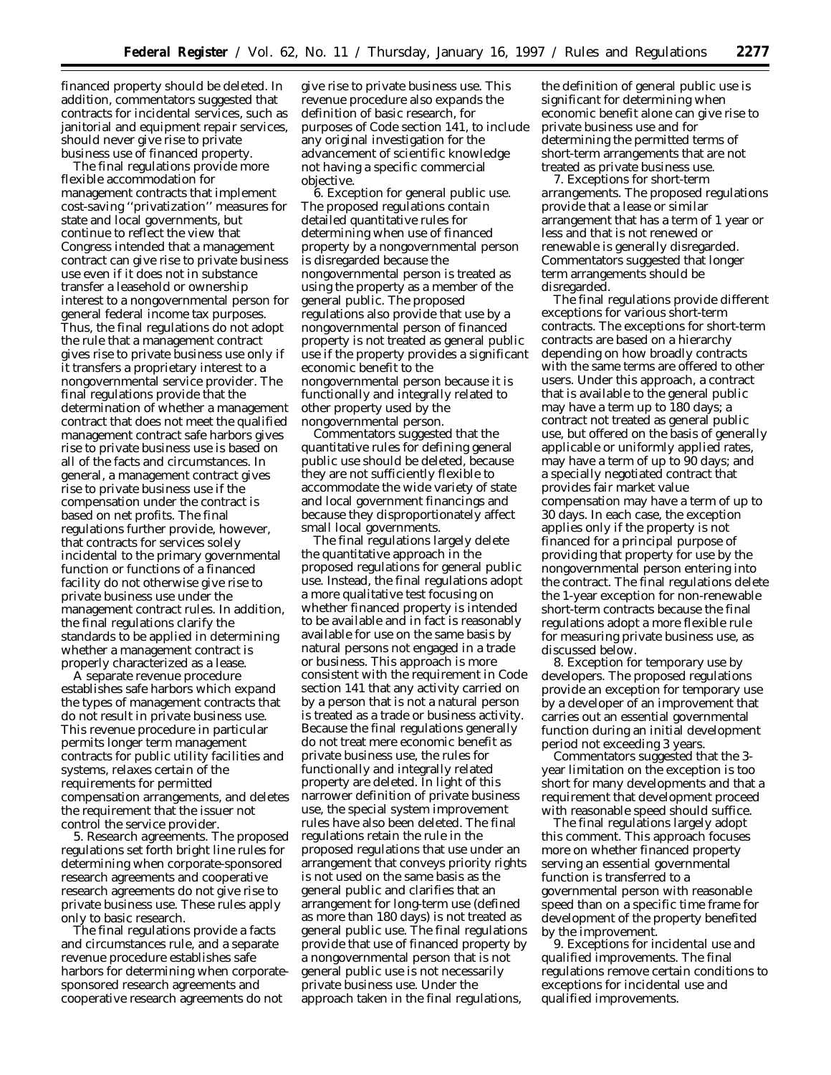financed property should be deleted. In addition, commentators suggested that contracts for incidental services, such as janitorial and equipment repair services, should never give rise to private business use of financed property.

The final regulations provide more flexible accommodation for management contracts that implement cost-saving ''privatization'' measures for state and local governments, but continue to reflect the view that Congress intended that a management contract can give rise to private business use even if it does not in substance transfer a leasehold or ownership interest to a nongovernmental person for general federal income tax purposes. Thus, the final regulations do not adopt the rule that a management contract gives rise to private business use only if it transfers a proprietary interest to a nongovernmental service provider. The final regulations provide that the determination of whether a management contract that does not meet the qualified management contract safe harbors gives rise to private business use is based on all of the facts and circumstances. In general, a management contract gives rise to private business use if the compensation under the contract is based on net profits. The final regulations further provide, however, that contracts for services solely incidental to the primary governmental function or functions of a financed facility do not otherwise give rise to private business use under the management contract rules. In addition, the final regulations clarify the standards to be applied in determining whether a management contract is properly characterized as a lease.

A separate revenue procedure establishes safe harbors which expand the types of management contracts that do not result in private business use. This revenue procedure in particular permits longer term management contracts for public utility facilities and systems, relaxes certain of the requirements for permitted compensation arrangements, and deletes the requirement that the issuer not control the service provider.

*5. Research agreements.* The proposed regulations set forth bright line rules for determining when corporate-sponsored research agreements and cooperative research agreements do not give rise to private business use. These rules apply only to basic research.

The final regulations provide a facts and circumstances rule, and a separate revenue procedure establishes safe harbors for determining when corporatesponsored research agreements and cooperative research agreements do not

give rise to private business use. This revenue procedure also expands the definition of basic research, for purposes of Code section 141, to include any original investigation for the advancement of scientific knowledge not having a specific commercial objective.

*6. Exception for general public use.* The proposed regulations contain detailed quantitative rules for determining when use of financed property by a nongovernmental person is disregarded because the nongovernmental person is treated as using the property as a member of the general public. The proposed regulations also provide that use by a nongovernmental person of financed property is not treated as general public use if the property provides a significant economic benefit to the nongovernmental person because it is functionally and integrally related to other property used by the nongovernmental person.

Commentators suggested that the quantitative rules for defining general public use should be deleted, because they are not sufficiently flexible to accommodate the wide variety of state and local government financings and because they disproportionately affect small local governments.

The final regulations largely delete the quantitative approach in the proposed regulations for general public use. Instead, the final regulations adopt a more qualitative test focusing on whether financed property is intended to be available and in fact is reasonably available for use on the same basis by natural persons not engaged in a trade or business. This approach is more consistent with the requirement in Code section 141 that any activity carried on by a person that is not a natural person is treated as a trade or business activity. Because the final regulations generally do not treat mere economic benefit as private business use, the rules for functionally and integrally related property are deleted. In light of this narrower definition of private business use, the special system improvement rules have also been deleted. The final regulations retain the rule in the proposed regulations that use under an arrangement that conveys priority rights is not used on the same basis as the general public and clarifies that an arrangement for long-term use (defined as more than 180 days) is not treated as general public use. The final regulations provide that use of financed property by a nongovernmental person that is not general public use is not necessarily private business use. Under the approach taken in the final regulations,

the definition of general public use is significant for determining when economic benefit alone can give rise to private business use and for determining the permitted terms of short-term arrangements that are not treated as private business use.

*7. Exceptions for short-term arrangements.* The proposed regulations provide that a lease or similar arrangement that has a term of 1 year or less and that is not renewed or renewable is generally disregarded. Commentators suggested that longer term arrangements should be disregarded.

The final regulations provide different exceptions for various short-term contracts. The exceptions for short-term contracts are based on a hierarchy depending on how broadly contracts with the same terms are offered to other users. Under this approach, a contract that is available to the general public may have a term up to 180 days; a contract not treated as general public use, but offered on the basis of generally applicable or uniformly applied rates, may have a term of up to 90 days; and a specially negotiated contract that provides fair market value compensation may have a term of up to 30 days. In each case, the exception applies only if the property is not financed for a principal purpose of providing that property for use by the nongovernmental person entering into the contract. The final regulations delete the 1-year exception for non-renewable short-term contracts because the final regulations adopt a more flexible rule for measuring private business use, as discussed below.

*8. Exception for temporary use by developers.* The proposed regulations provide an exception for temporary use by a developer of an improvement that carries out an essential governmental function during an initial development period not exceeding 3 years.

Commentators suggested that the 3 year limitation on the exception is too short for many developments and that a requirement that development proceed with reasonable speed should suffice.

The final regulations largely adopt this comment. This approach focuses more on whether financed property serving an essential governmental function is transferred to a governmental person with reasonable speed than on a specific time frame for development of the property benefited by the improvement.

*9. Exceptions for incidental use and qualified improvements.* The final regulations remove certain conditions to exceptions for incidental use and qualified improvements.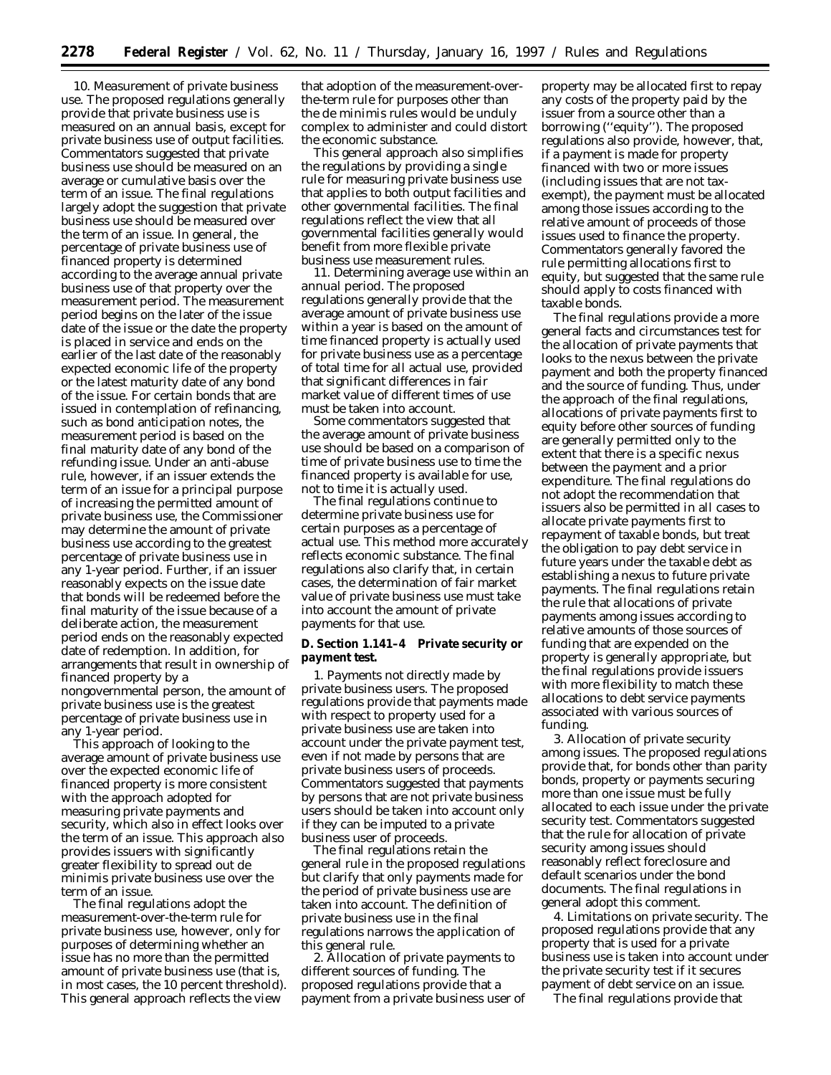*10. Measurement of private business use.* The proposed regulations generally provide that private business use is measured on an annual basis, except for private business use of output facilities. Commentators suggested that private business use should be measured on an average or cumulative basis over the term of an issue. The final regulations largely adopt the suggestion that private business use should be measured over the term of an issue. In general, the percentage of private business use of financed property is determined according to the average annual private business use of that property over the measurement period. The measurement period begins on the later of the issue date of the issue or the date the property is placed in service and ends on the earlier of the last date of the reasonably expected economic life of the property or the latest maturity date of any bond of the issue. For certain bonds that are issued in contemplation of refinancing, such as bond anticipation notes, the measurement period is based on the final maturity date of any bond of the refunding issue. Under an anti-abuse rule, however, if an issuer extends the term of an issue for a principal purpose of increasing the permitted amount of private business use, the Commissioner may determine the amount of private business use according to the greatest percentage of private business use in any 1-year period. Further, if an issuer reasonably expects on the issue date that bonds will be redeemed before the final maturity of the issue because of a deliberate action, the measurement period ends on the reasonably expected date of redemption. In addition, for arrangements that result in ownership of financed property by a nongovernmental person, the amount of private business use is the greatest percentage of private business use in any 1-year period.

This approach of looking to the average amount of private business use over the expected economic life of financed property is more consistent with the approach adopted for measuring private payments and security, which also in effect looks over the term of an issue. This approach also provides issuers with significantly greater flexibility to spread out de minimis private business use over the term of an issue.

The final regulations adopt the measurement-over-the-term rule for private business use, however, only for purposes of determining whether an issue has no more than the permitted amount of private business use (that is, in most cases, the 10 percent threshold). This general approach reflects the view

that adoption of the measurement-overthe-term rule for purposes other than the de minimis rules would be unduly complex to administer and could distort the economic substance.

This general approach also simplifies the regulations by providing a single rule for measuring private business use that applies to both output facilities and other governmental facilities. The final regulations reflect the view that all governmental facilities generally would benefit from more flexible private business use measurement rules.

*11. Determining average use within an annual period.* The proposed regulations generally provide that the average amount of private business use within a year is based on the amount of time financed property is actually used for private business use as a percentage of total time for all actual use, provided that significant differences in fair market value of different times of use must be taken into account.

Some commentators suggested that the average amount of private business use should be based on a comparison of time of private business use to time the financed property is available for use, not to time it is actually used.

The final regulations continue to determine private business use for certain purposes as a percentage of actual use. This method more accurately reflects economic substance. The final regulations also clarify that, in certain cases, the determination of fair market value of private business use must take into account the amount of private payments for that use.

**D. Section 1.141–4 Private security or payment test.**

*1. Payments not directly made by private business users.* The proposed regulations provide that payments made with respect to property used for a private business use are taken into account under the private payment test, even if not made by persons that are private business users of proceeds. Commentators suggested that payments by persons that are not private business users should be taken into account only if they can be imputed to a private business user of proceeds.

The final regulations retain the general rule in the proposed regulations but clarify that only payments made for the period of private business use are taken into account. The definition of private business use in the final regulations narrows the application of this general rule.

*2. Allocation of private payments to different sources of funding.* The proposed regulations provide that a payment from a private business user of

property may be allocated first to repay any costs of the property paid by the issuer from a source other than a borrowing (''equity''). The proposed regulations also provide, however, that, if a payment is made for property financed with two or more issues (including issues that are not taxexempt), the payment must be allocated among those issues according to the relative amount of proceeds of those issues used to finance the property. Commentators generally favored the rule permitting allocations first to equity, but suggested that the same rule should apply to costs financed with taxable bonds.

The final regulations provide a more general facts and circumstances test for the allocation of private payments that looks to the nexus between the private payment and both the property financed and the source of funding. Thus, under the approach of the final regulations, allocations of private payments first to equity before other sources of funding are generally permitted only to the extent that there is a specific nexus between the payment and a prior expenditure. The final regulations do not adopt the recommendation that issuers also be permitted in all cases to allocate private payments first to repayment of taxable bonds, but treat the obligation to pay debt service in future years under the taxable debt as establishing a nexus to future private payments. The final regulations retain the rule that allocations of private payments among issues according to relative amounts of those sources of funding that are expended on the property is generally appropriate, but the final regulations provide issuers with more flexibility to match these allocations to debt service payments associated with various sources of funding.

*3. Allocation of private security among issues.* The proposed regulations provide that, for bonds other than parity bonds, property or payments securing more than one issue must be fully allocated to each issue under the private security test. Commentators suggested that the rule for allocation of private security among issues should reasonably reflect foreclosure and default scenarios under the bond documents. The final regulations in general adopt this comment.

*4. Limitations on private security.* The proposed regulations provide that any property that is used for a private business use is taken into account under the private security test if it secures payment of debt service on an issue.

The final regulations provide that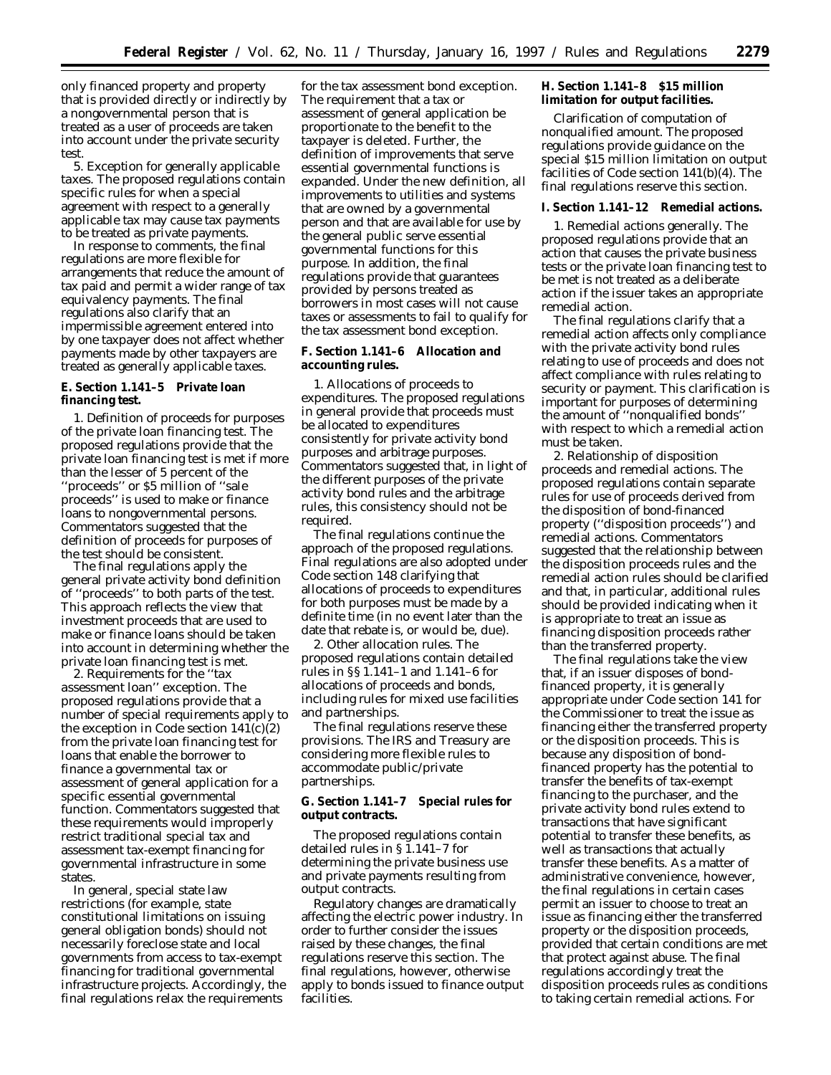only financed property and property that is provided directly or indirectly by a nongovernmental person that is treated as a user of proceeds are taken into account under the private security test.

*5. Exception for generally applicable taxes.* The proposed regulations contain specific rules for when a special agreement with respect to a generally applicable tax may cause tax payments to be treated as private payments.

In response to comments, the final regulations are more flexible for arrangements that reduce the amount of tax paid and permit a wider range of tax equivalency payments. The final regulations also clarify that an impermissible agreement entered into by one taxpayer does not affect whether payments made by other taxpayers are treated as generally applicable taxes.

**E. Section 1.141–5 Private loan financing test.**

*1. Definition of proceeds for purposes of the private loan financing test.* The proposed regulations provide that the private loan financing test is met if more than the lesser of 5 percent of the ''proceeds'' or \$5 million of ''sale proceeds'' is used to make or finance loans to nongovernmental persons. Commentators suggested that the definition of proceeds for purposes of the test should be consistent.

The final regulations apply the general private activity bond definition of ''proceeds'' to both parts of the test. This approach reflects the view that investment proceeds that are used to make or finance loans should be taken into account in determining whether the private loan financing test is met.

*2. Requirements for the ''tax assessment loan'' exception.* The proposed regulations provide that a number of special requirements apply to the exception in Code section  $141(c)(2)$ from the private loan financing test for loans that enable the borrower to finance a governmental tax or assessment of general application for a specific essential governmental function. Commentators suggested that these requirements would improperly restrict traditional special tax and assessment tax-exempt financing for governmental infrastructure in some states.

In general, special state law restrictions (for example, state constitutional limitations on issuing general obligation bonds) should not necessarily foreclose state and local governments from access to tax-exempt financing for traditional governmental infrastructure projects. Accordingly, the final regulations relax the requirements

for the tax assessment bond exception. The requirement that a tax or assessment of general application be proportionate to the benefit to the taxpayer is deleted. Further, the definition of improvements that serve essential governmental functions is expanded. Under the new definition, all improvements to utilities and systems that are owned by a governmental person and that are available for use by the general public serve essential governmental functions for this purpose. In addition, the final regulations provide that guarantees provided by persons treated as borrowers in most cases will not cause taxes or assessments to fail to qualify for the tax assessment bond exception.

**F. Section 1.141–6 Allocation and accounting rules.**

*1. Allocations of proceeds to expenditures.* The proposed regulations in general provide that proceeds must be allocated to expenditures consistently for private activity bond purposes and arbitrage purposes. Commentators suggested that, in light of the different purposes of the private activity bond rules and the arbitrage rules, this consistency should not be required.

The final regulations continue the approach of the proposed regulations. Final regulations are also adopted under Code section 148 clarifying that allocations of proceeds to expenditures for both purposes must be made by a definite time (in no event later than the date that rebate is, or would be, due).

*2. Other allocation rules.* The proposed regulations contain detailed rules in §§ 1.141–1 and 1.141–6 for allocations of proceeds and bonds, including rules for mixed use facilities and partnerships.

The final regulations reserve these provisions. The IRS and Treasury are considering more flexible rules to accommodate public/private partnerships.

**G. Section 1.141–7 Special rules for output contracts.**

The proposed regulations contain detailed rules in § 1.141–7 for determining the private business use and private payments resulting from output contracts.

Regulatory changes are dramatically affecting the electric power industry. In order to further consider the issues raised by these changes, the final regulations reserve this section. The final regulations, however, otherwise apply to bonds issued to finance output facilities.

**H. Section 1.141–8 \$15 million limitation for output facilities.**

Clarification of computation of nonqualified amount. The proposed regulations provide guidance on the special \$15 million limitation on output facilities of Code section 141(b)(4). The final regulations reserve this section.

### **I. Section 1.141–12 Remedial actions.**

*1. Remedial actions generally.* The proposed regulations provide that an action that causes the private business tests or the private loan financing test to be met is not treated as a deliberate action if the issuer takes an appropriate remedial action.

The final regulations clarify that a remedial action affects only compliance with the private activity bond rules relating to use of proceeds and does not affect compliance with rules relating to security or payment. This clarification is important for purposes of determining the amount of ''nonqualified bonds'' with respect to which a remedial action must be taken.

*2. Relationship of disposition proceeds and remedial actions.* The proposed regulations contain separate rules for use of proceeds derived from the disposition of bond-financed property (''disposition proceeds'') and remedial actions. Commentators suggested that the relationship between the disposition proceeds rules and the remedial action rules should be clarified and that, in particular, additional rules should be provided indicating when it is appropriate to treat an issue as financing disposition proceeds rather than the transferred property.

The final regulations take the view that, if an issuer disposes of bondfinanced property, it is generally appropriate under Code section 141 for the Commissioner to treat the issue as financing either the transferred property or the disposition proceeds. This is because any disposition of bondfinanced property has the potential to transfer the benefits of tax-exempt financing to the purchaser, and the private activity bond rules extend to transactions that have significant potential to transfer these benefits, as well as transactions that actually transfer these benefits. As a matter of administrative convenience, however, the final regulations in certain cases permit an issuer to choose to treat an issue as financing either the transferred property or the disposition proceeds, provided that certain conditions are met that protect against abuse. The final regulations accordingly treat the disposition proceeds rules as conditions to taking certain remedial actions. For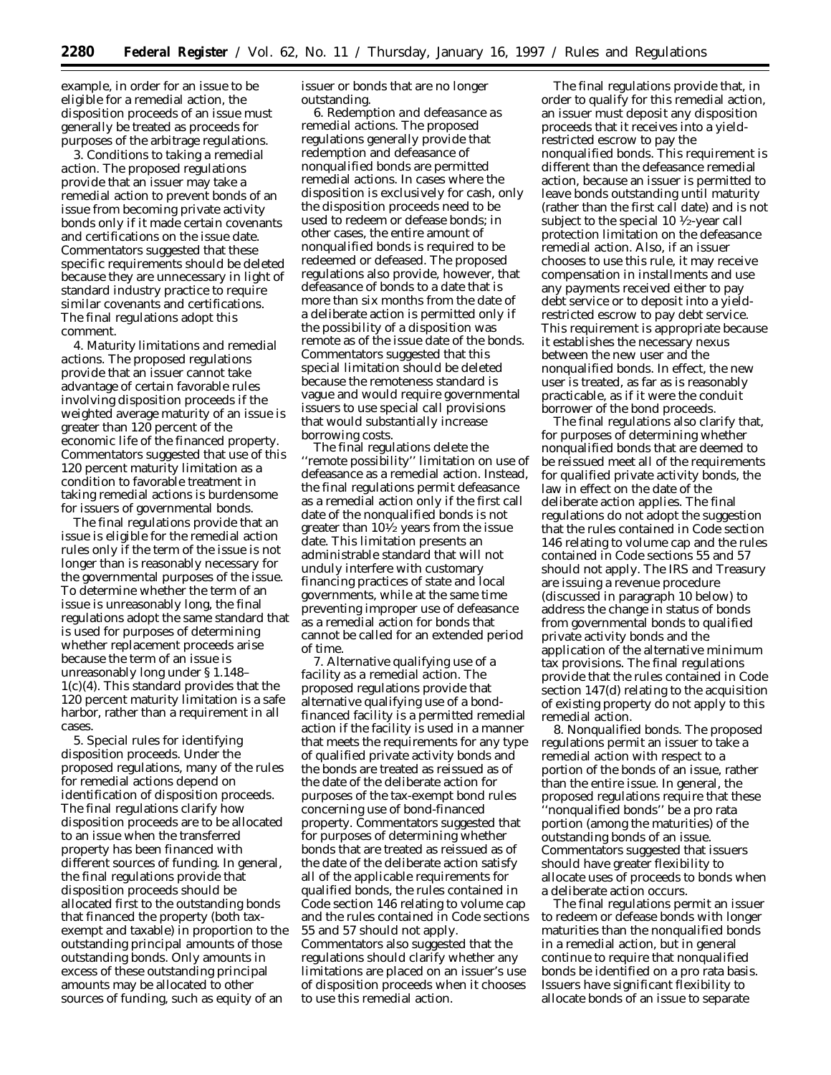example, in order for an issue to be eligible for a remedial action, the disposition proceeds of an issue must generally be treated as proceeds for purposes of the arbitrage regulations.

*3. Conditions to taking a remedial action.* The proposed regulations provide that an issuer may take a remedial action to prevent bonds of an issue from becoming private activity bonds only if it made certain covenants and certifications on the issue date. Commentators suggested that these specific requirements should be deleted because they are unnecessary in light of standard industry practice to require similar covenants and certifications. The final regulations adopt this comment.

*4. Maturity limitations and remedial actions.* The proposed regulations provide that an issuer cannot take advantage of certain favorable rules involving disposition proceeds if the weighted average maturity of an issue is greater than 120 percent of the economic life of the financed property. Commentators suggested that use of this 120 percent maturity limitation as a condition to favorable treatment in taking remedial actions is burdensome for issuers of governmental bonds.

The final regulations provide that an issue is eligible for the remedial action rules only if the term of the issue is not longer than is reasonably necessary for the governmental purposes of the issue. To determine whether the term of an issue is unreasonably long, the final regulations adopt the same standard that is used for purposes of determining whether replacement proceeds arise because the term of an issue is unreasonably long under § 1.148– 1(c)(4). This standard provides that the 120 percent maturity limitation is a safe harbor, rather than a requirement in all cases.

*5. Special rules for identifying disposition proceeds.* Under the proposed regulations, many of the rules for remedial actions depend on identification of disposition proceeds. The final regulations clarify how disposition proceeds are to be allocated to an issue when the transferred property has been financed with different sources of funding. In general, the final regulations provide that disposition proceeds should be allocated first to the outstanding bonds that financed the property (both taxexempt and taxable) in proportion to the outstanding principal amounts of those outstanding bonds. Only amounts in excess of these outstanding principal amounts may be allocated to other sources of funding, such as equity of an

issuer or bonds that are no longer outstanding.

*6. Redemption and defeasance as remedial actions.* The proposed regulations generally provide that redemption and defeasance of nonqualified bonds are permitted remedial actions. In cases where the disposition is exclusively for cash, only the disposition proceeds need to be used to redeem or defease bonds; in other cases, the entire amount of nonqualified bonds is required to be redeemed or defeased. The proposed regulations also provide, however, that defeasance of bonds to a date that is more than six months from the date of a deliberate action is permitted only if the possibility of a disposition was remote as of the issue date of the bonds. Commentators suggested that this special limitation should be deleted because the remoteness standard is vague and would require governmental issuers to use special call provisions that would substantially increase borrowing costs.

The final regulations delete the ''remote possibility'' limitation on use of defeasance as a remedial action. Instead, the final regulations permit defeasance as a remedial action only if the first call date of the nonqualified bonds is not greater than 101⁄2 years from the issue date. This limitation presents an administrable standard that will not unduly interfere with customary financing practices of state and local governments, while at the same time preventing improper use of defeasance as a remedial action for bonds that cannot be called for an extended period of time.

*7. Alternative qualifying use of a facility as a remedial action.* The proposed regulations provide that alternative qualifying use of a bondfinanced facility is a permitted remedial action if the facility is used in a manner that meets the requirements for any type of qualified private activity bonds and the bonds are treated as reissued as of the date of the deliberate action for purposes of the tax-exempt bond rules concerning use of bond-financed property. Commentators suggested that for purposes of determining whether bonds that are treated as reissued as of the date of the deliberate action satisfy all of the applicable requirements for qualified bonds, the rules contained in Code section 146 relating to volume cap and the rules contained in Code sections 55 and 57 should not apply. Commentators also suggested that the regulations should clarify whether any limitations are placed on an issuer's use of disposition proceeds when it chooses to use this remedial action.

The final regulations provide that, in order to qualify for this remedial action, an issuer must deposit any disposition proceeds that it receives into a yieldrestricted escrow to pay the nonqualified bonds. This requirement is different than the defeasance remedial action, because an issuer is permitted to leave bonds outstanding until maturity (rather than the first call date) and is not subject to the special 10  $\frac{1}{2}$ -year call protection limitation on the defeasance remedial action. Also, if an issuer chooses to use this rule, it may receive compensation in installments and use any payments received either to pay debt service or to deposit into a yieldrestricted escrow to pay debt service. This requirement is appropriate because it establishes the necessary nexus between the new user and the nonqualified bonds. In effect, the new user is treated, as far as is reasonably practicable, as if it were the conduit borrower of the bond proceeds.

The final regulations also clarify that, for purposes of determining whether nonqualified bonds that are deemed to be reissued meet all of the requirements for qualified private activity bonds, the law in effect on the date of the deliberate action applies. The final regulations do not adopt the suggestion that the rules contained in Code section 146 relating to volume cap and the rules contained in Code sections 55 and 57 should not apply. The IRS and Treasury are issuing a revenue procedure (discussed in paragraph 10 below) to address the change in status of bonds from governmental bonds to qualified private activity bonds and the application of the alternative minimum tax provisions. The final regulations provide that the rules contained in Code section 147(d) relating to the acquisition of existing property do not apply to this remedial action.

*8. Nonqualified bonds.* The proposed regulations permit an issuer to take a remedial action with respect to a portion of the bonds of an issue, rather than the entire issue. In general, the proposed regulations require that these ''nonqualified bonds'' be a pro rata portion (among the maturities) of the outstanding bonds of an issue. Commentators suggested that issuers should have greater flexibility to allocate uses of proceeds to bonds when a deliberate action occurs.

The final regulations permit an issuer to redeem or defease bonds with longer maturities than the nonqualified bonds in a remedial action, but in general continue to require that nonqualified bonds be identified on a pro rata basis. Issuers have significant flexibility to allocate bonds of an issue to separate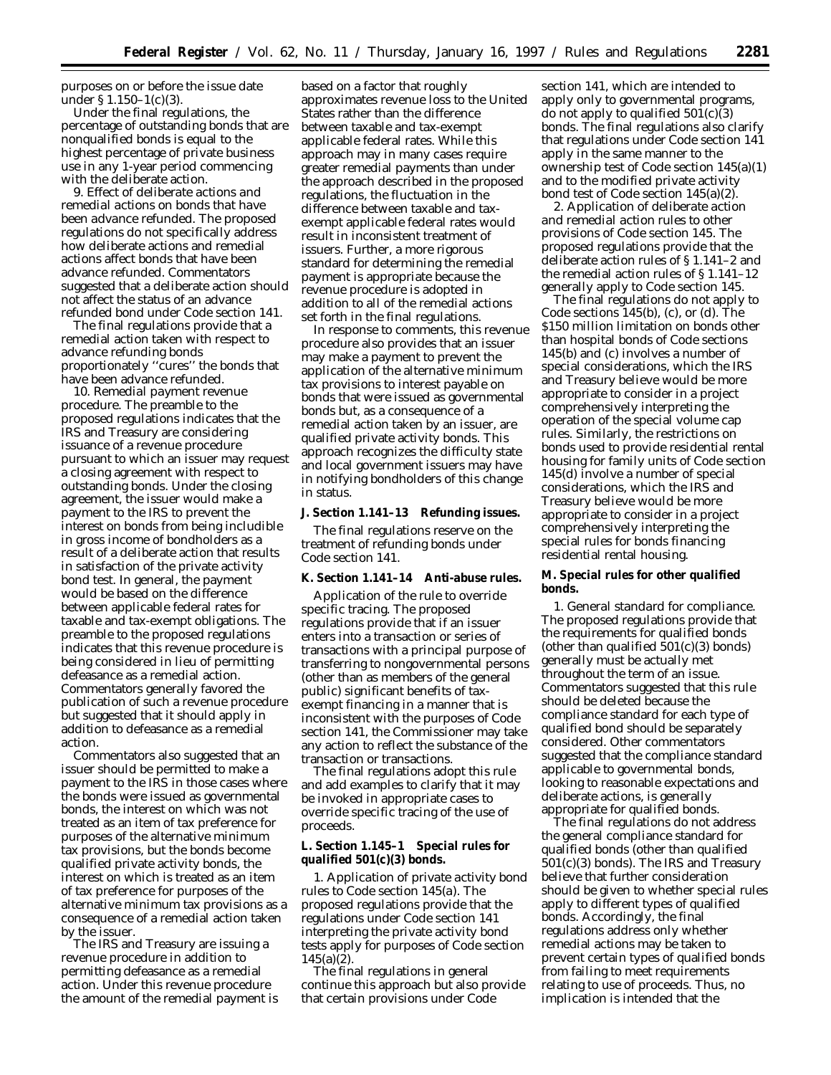purposes on or before the issue date under § 1.150–1(c)(3).

Under the final regulations, the percentage of outstanding bonds that are nonqualified bonds is equal to the highest percentage of private business use in any 1-year period commencing with the deliberate action.

*9. Effect of deliberate actions and remedial actions on bonds that have been advance refunded.* The proposed regulations do not specifically address how deliberate actions and remedial actions affect bonds that have been advance refunded. Commentators suggested that a deliberate action should not affect the status of an advance refunded bond under Code section 141.

The final regulations provide that a remedial action taken with respect to advance refunding bonds proportionately ''cures'' the bonds that have been advance refunded.

*10. Remedial payment revenue procedure.* The preamble to the proposed regulations indicates that the IRS and Treasury are considering issuance of a revenue procedure pursuant to which an issuer may request a closing agreement with respect to outstanding bonds. Under the closing agreement, the issuer would make a payment to the IRS to prevent the interest on bonds from being includible in gross income of bondholders as a result of a deliberate action that results in satisfaction of the private activity bond test. In general, the payment would be based on the difference between applicable federal rates for taxable and tax-exempt obligations. The preamble to the proposed regulations indicates that this revenue procedure is being considered in lieu of permitting defeasance as a remedial action. Commentators generally favored the publication of such a revenue procedure but suggested that it should apply in addition to defeasance as a remedial action.

Commentators also suggested that an issuer should be permitted to make a payment to the IRS in those cases where the bonds were issued as governmental bonds, the interest on which was not treated as an item of tax preference for purposes of the alternative minimum tax provisions, but the bonds become qualified private activity bonds, the interest on which is treated as an item of tax preference for purposes of the alternative minimum tax provisions as a consequence of a remedial action taken by the issuer.

The IRS and Treasury are issuing a revenue procedure in addition to permitting defeasance as a remedial action. Under this revenue procedure the amount of the remedial payment is

based on a factor that roughly approximates revenue loss to the United States rather than the difference between taxable and tax-exempt applicable federal rates. While this approach may in many cases require greater remedial payments than under the approach described in the proposed regulations, the fluctuation in the difference between taxable and taxexempt applicable federal rates would result in inconsistent treatment of issuers. Further, a more rigorous standard for determining the remedial payment is appropriate because the revenue procedure is adopted in addition to all of the remedial actions set forth in the final regulations.

In response to comments, this revenue procedure also provides that an issuer may make a payment to prevent the application of the alternative minimum tax provisions to interest payable on bonds that were issued as governmental bonds but, as a consequence of a remedial action taken by an issuer, are qualified private activity bonds. This approach recognizes the difficulty state and local government issuers may have in notifying bondholders of this change in status.

**J. Section 1.141–13 Refunding issues.**

The final regulations reserve on the treatment of refunding bonds under Code section 141.

**K. Section 1.141–14 Anti-abuse rules.**

Application of the rule to override specific tracing. The proposed regulations provide that if an issuer enters into a transaction or series of transactions with a principal purpose of transferring to nongovernmental persons (other than as members of the general public) significant benefits of taxexempt financing in a manner that is inconsistent with the purposes of Code section 141, the Commissioner may take any action to reflect the substance of the transaction or transactions.

The final regulations adopt this rule and add examples to clarify that it may be invoked in appropriate cases to override specific tracing of the use of proceeds.

**L. Section 1.145–1 Special rules for qualified 501(c)(3) bonds.**

*1. Application of private activity bond rules to Code section 145(a).* The proposed regulations provide that the regulations under Code section 141 interpreting the private activity bond tests apply for purposes of Code section 145(a)(2).

The final regulations in general continue this approach but also provide that certain provisions under Code

section 141, which are intended to apply only to governmental programs, do not apply to qualified  $50I(c)(3)$ bonds. The final regulations also clarify that regulations under Code section 141 apply in the same manner to the ownership test of Code section 145(a)(1) and to the modified private activity bond test of Code section 145(a)(2).

*2. Application of deliberate action and remedial action rules to other provisions of Code section 145.* The proposed regulations provide that the deliberate action rules of § 1.141–2 and the remedial action rules of § 1.141–12 generally apply to Code section 145.

The final regulations do not apply to Code sections 145(b), (c), or (d). The \$150 million limitation on bonds other than hospital bonds of Code sections 145(b) and (c) involves a number of special considerations, which the IRS and Treasury believe would be more appropriate to consider in a project comprehensively interpreting the operation of the special volume cap rules. Similarly, the restrictions on bonds used to provide residential rental housing for family units of Code section 145(d) involve a number of special considerations, which the IRS and Treasury believe would be more appropriate to consider in a project comprehensively interpreting the special rules for bonds financing residential rental housing.

**M. Special rules for other qualified bonds.**

*1. General standard for compliance.* The proposed regulations provide that the requirements for qualified bonds (other than qualified  $501(c)(3)$  bonds) generally must be actually met throughout the term of an issue. Commentators suggested that this rule should be deleted because the compliance standard for each type of qualified bond should be separately considered. Other commentators suggested that the compliance standard applicable to governmental bonds, looking to reasonable expectations and deliberate actions, is generally appropriate for qualified bonds.

The final regulations do not address the general compliance standard for qualified bonds (other than qualified 501(c)(3) bonds). The IRS and Treasury believe that further consideration should be given to whether special rules apply to different types of qualified bonds. Accordingly, the final regulations address only whether remedial actions may be taken to prevent certain types of qualified bonds from failing to meet requirements relating to use of proceeds. Thus, no implication is intended that the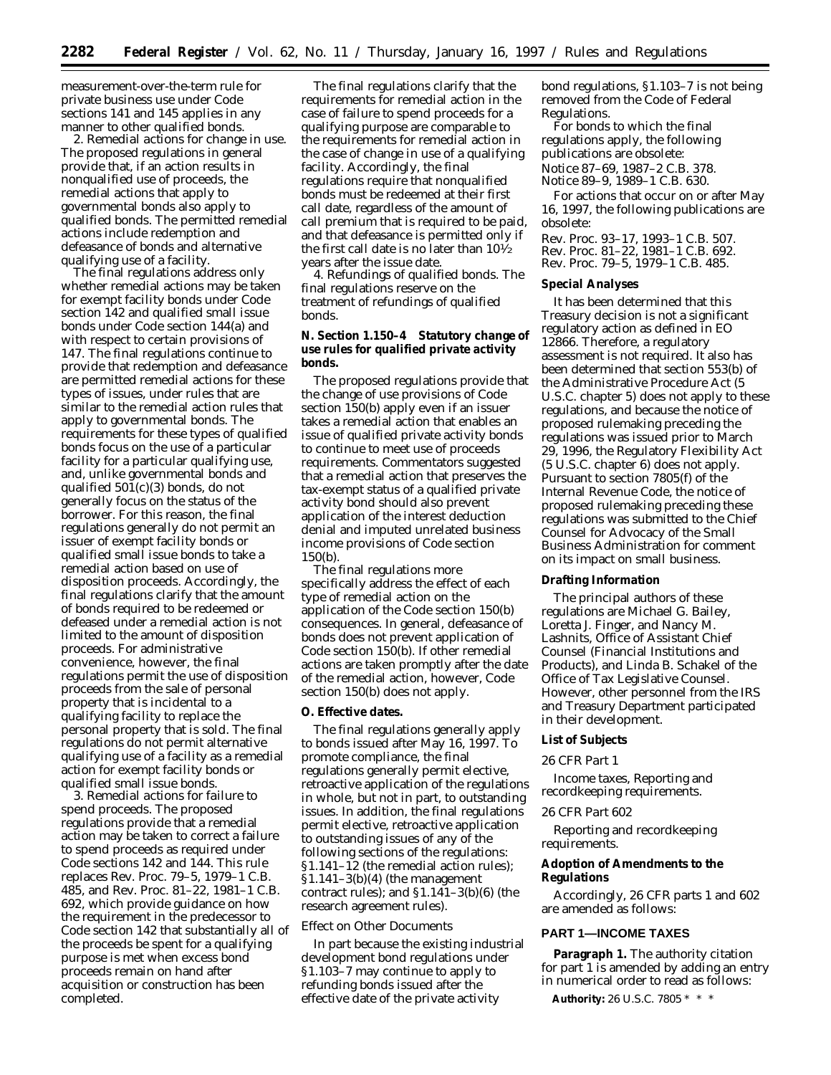measurement-over-the-term rule for private business use under Code sections 141 and 145 applies in any manner to other qualified bonds.

*2. Remedial actions for change in use.* The proposed regulations in general provide that, if an action results in nonqualified use of proceeds, the remedial actions that apply to governmental bonds also apply to qualified bonds. The permitted remedial actions include redemption and defeasance of bonds and alternative qualifying use of a facility.

The final regulations address only whether remedial actions may be taken for exempt facility bonds under Code section 142 and qualified small issue bonds under Code section 144(a) and with respect to certain provisions of 147. The final regulations continue to provide that redemption and defeasance are permitted remedial actions for these types of issues, under rules that are similar to the remedial action rules that apply to governmental bonds. The requirements for these types of qualified bonds focus on the use of a particular facility for a particular qualifying use, and, unlike governmental bonds and qualified  $50\bar{1}$ (c)(3) bonds, do not generally focus on the status of the borrower. For this reason, the final regulations generally do not permit an issuer of exempt facility bonds or qualified small issue bonds to take a remedial action based on use of disposition proceeds. Accordingly, the final regulations clarify that the amount of bonds required to be redeemed or defeased under a remedial action is not limited to the amount of disposition proceeds. For administrative convenience, however, the final regulations permit the use of disposition proceeds from the sale of personal property that is incidental to a qualifying facility to replace the personal property that is sold. The final regulations do not permit alternative qualifying use of a facility as a remedial action for exempt facility bonds or qualified small issue bonds.

*3. Remedial actions for failure to spend proceeds.* The proposed regulations provide that a remedial action may be taken to correct a failure to spend proceeds as required under Code sections 142 and 144. This rule replaces Rev. Proc. 79–5, 1979–1 C.B. 485, and Rev. Proc. 81–22, 1981–1 C.B. 692, which provide guidance on how the requirement in the predecessor to Code section 142 that substantially all of the proceeds be spent for a qualifying purpose is met when excess bond proceeds remain on hand after acquisition or construction has been completed.

The final regulations clarify that the requirements for remedial action in the case of failure to spend proceeds for a qualifying purpose are comparable to the requirements for remedial action in the case of change in use of a qualifying facility. Accordingly, the final regulations require that nonqualified bonds must be redeemed at their first call date, regardless of the amount of call premium that is required to be paid, and that defeasance is permitted only if the first call date is no later than  $10\frac{1}{2}$ years after the issue date.

*4. Refundings of qualified bonds.* The final regulations reserve on the treatment of refundings of qualified bonds.

**N. Section 1.150–4 Statutory change of use rules for qualified private activity bonds.**

The proposed regulations provide that the change of use provisions of Code section 150(b) apply even if an issuer takes a remedial action that enables an issue of qualified private activity bonds to continue to meet use of proceeds requirements. Commentators suggested that a remedial action that preserves the tax-exempt status of a qualified private activity bond should also prevent application of the interest deduction denial and imputed unrelated business income provisions of Code section 150(b).

The final regulations more specifically address the effect of each type of remedial action on the application of the Code section 150(b) consequences. In general, defeasance of bonds does not prevent application of Code section 150(b). If other remedial actions are taken promptly after the date of the remedial action, however, Code section 150(b) does not apply.

#### **O. Effective dates.**

The final regulations generally apply to bonds issued after May 16, 1997. To promote compliance, the final regulations generally permit elective, retroactive application of the regulations in whole, but not in part, to outstanding issues. In addition, the final regulations permit elective, retroactive application to outstanding issues of any of the following sections of the regulations: §1.141–12 (the remedial action rules);  $$1.141-3(b)(4)$  (the management contract rules); and  $$1.141-3(b)(6)$  (the research agreement rules).

# *Effect on Other Documents*

In part because the existing industrial development bond regulations under §1.103–7 may continue to apply to refunding bonds issued after the effective date of the private activity

bond regulations, §1.103–7 is not being removed from the Code of Federal Regulations.

For bonds to which the final regulations apply, the following publications are obsolete: Notice 87–69, 1987–2 C.B. 378. Notice 89–9, 1989–1 C.B. 630.

For actions that occur on or after May 16, 1997, the following publications are obsolete:

Rev. Proc. 93–17, 1993–1 C.B. 507. Rev. Proc. 81–22, 1981–1 C.B. 692. Rev. Proc. 79–5, 1979–1 C.B. 485.

### **Special Analyses**

It has been determined that this Treasury decision is not a significant regulatory action as defined in EO 12866. Therefore, a regulatory assessment is not required. It also has been determined that section 553(b) of the Administrative Procedure Act (5 U.S.C. chapter 5) does not apply to these regulations, and because the notice of proposed rulemaking preceding the regulations was issued prior to March 29, 1996, the Regulatory Flexibility Act (5 U.S.C. chapter 6) does not apply. Pursuant to section 7805(f) of the Internal Revenue Code, the notice of proposed rulemaking preceding these regulations was submitted to the Chief Counsel for Advocacy of the Small Business Administration for comment on its impact on small business.

## **Drafting Information**

The principal authors of these regulations are Michael G. Bailey, Loretta J. Finger, and Nancy M. Lashnits, Office of Assistant Chief Counsel (Financial Institutions and Products), and Linda B. Schakel of the Office of Tax Legislative Counsel. However, other personnel from the IRS and Treasury Department participated in their development.

## **List of Subjects**

## *26 CFR Part 1*

Income taxes, Reporting and recordkeeping requirements.

### *26 CFR Part 602*

Reporting and recordkeeping requirements.

## **Adoption of Amendments to the Regulations**

Accordingly, 26 CFR parts 1 and 602 are amended as follows:

### **PART 1—INCOME TAXES**

**Paragraph 1.** The authority citation for part 1 is amended by adding an entry in numerical order to read as follows:

**Authority:** 26 U.S.C. 7805 \* \* \*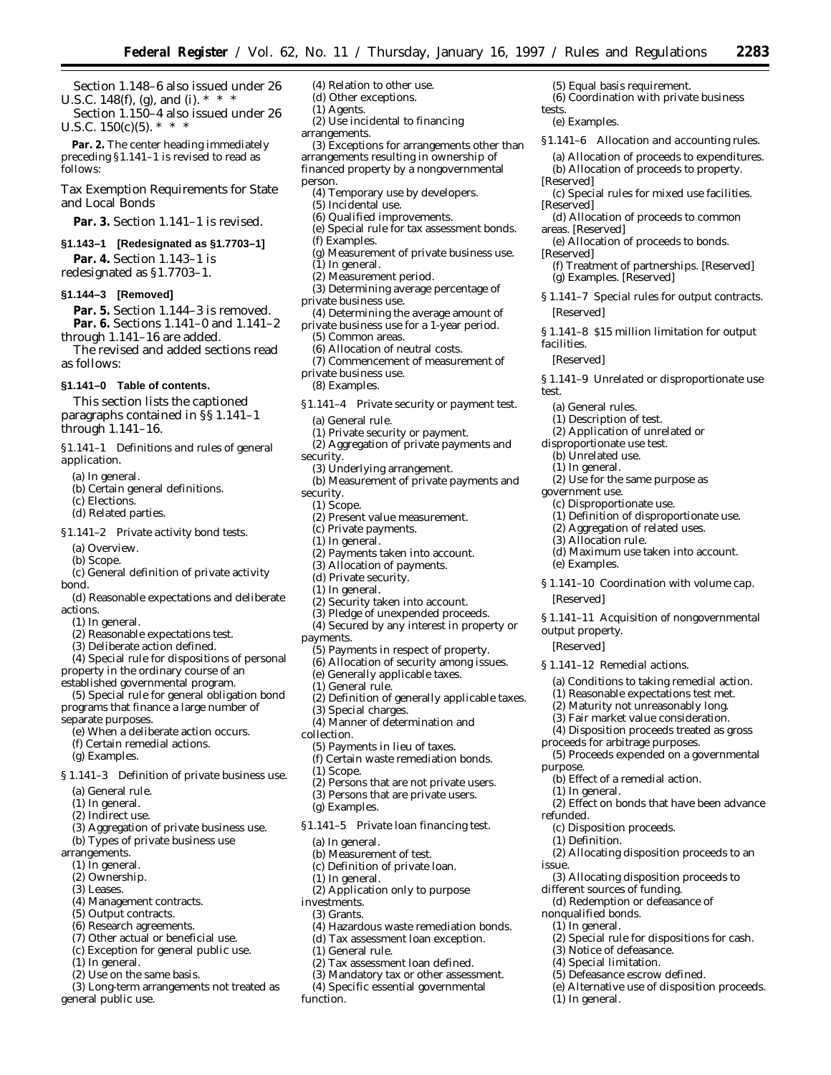(5) Equal basis requirement.

tests.

[Reserved]

[Reserved]

[Reserved]

areas. [Reserved]

[Reserved]

(a) General rules. (1) Description of test. (2) Application of unrelated or disproportionate use test. (b) Unrelated use. (1) In general.

government use.

(e) Examples.

[Reserved]

*output property.* [Reserved]

purpose.

refunded.

issue.

(1) In general.

(1) Definition.

nonqualified bonds. (1) In general.

(1) In general.

*facilities.* [Reserved]

*test.*

(e) Examples.

(6) Coordination with private business

*§1.141–6 Allocation and accounting rules.* (a) Allocation of proceeds to expenditures. (b) Allocation of proceeds to property.

(c) Special rules for mixed use facilities.

(f) Treatment of partnerships. [Reserved]

*§ 1.141–7 Special rules for output contracts.*

*§ 1.141–8 \$15 million limitation for output*

*§ 1.141–9 Unrelated or disproportionate use*

(2) Use for the same purpose as

(1) Definition of disproportionate use. (2) Aggregation of related uses.

(d) Maximum use taken into account.

*§ 1.141–10 Coordination with volume cap.*

*§ 1.141–11 Acquisition of nongovernmental*

(a) Conditions to taking remedial action. (1) Reasonable expectations test met. (2) Maturity not unreasonably long. (3) Fair market value consideration. (4) Disposition proceeds treated as gross

(5) Proceeds expended on a governmental

(2) Effect on bonds that have been advance

(2) Allocating disposition proceeds to an

(2) Special rule for dispositions for cash.

(e) Alternative use of disposition proceeds.

(3) Allocating disposition proceeds to

(c) Disproportionate use.

*§ 1.141–12 Remedial actions.*

proceeds for arbitrage purposes.

(b) Effect of a remedial action.

(c) Disposition proceeds.

different sources of funding. (d) Redemption or defeasance of

(3) Notice of defeasance. (4) Special limitation. (5) Defeasance escrow defined.

(3) Allocation rule.

(d) Allocation of proceeds to common

(e) Allocation of proceeds to bonds.

(g) Examples. [Reserved]

Section 1.148–6 also issued under 26 U.S.C. 148(f), (g), and (i).  $*$   $*$ 

Section 1.150–4 also issued under 26 U.S.C.  $150(c)(5)$ . \* \* \*

**Par. 2.** The center heading immediately preceding §1.141–1 is revised to read as follows:

Tax Exemption Requirements for State and Local Bonds

Par. 3. Section 1.141-1 is revised.

## **§1.143–1 [Redesignated as §1.7703–1]**

**Par. 4.** Section 1.143–1 is redesignated as §1.7703–1.

### **§1.144–3 [Removed]**

Par. 5. Section 1.144-3 is removed. **Par. 6.** Sections 1.141–0 and 1.141–2 through 1.141–16 are added.

The revised and added sections read as follows:

#### **§1.141–0 Table of contents.**

This section lists the captioned paragraphs contained in §§ 1.141–1 through 1.141–16.

*§1.141–1 Definitions and rules of general application.*

- (a) In general.
- (b) Certain general definitions.
- (c) Elections.
- (d) Related parties.

*§1.141–2 Private activity bond tests.*

- (a) Overview.
- (b) Scope.
- (c) General definition of private activity bond.
- (d) Reasonable expectations and deliberate actions.
	- (1) In general.
	- (2) Reasonable expectations test.
	- (3) Deliberate action defined.
- (4) Special rule for dispositions of personal property in the ordinary course of an

established governmental program.

- (5) Special rule for general obligation bond programs that finance a large number of separate purposes.
	- (e) When a deliberate action occurs.
	- (f) Certain remedial actions.
	- (g) Examples.

*§ 1.141–3 Definition of private business use.*

- (a) General rule.
- (1) In general.
- (2) Indirect use.
- (3) Aggregation of private business use.
- (b) Types of private business use
- arrangements.
	- $(1)$  In general.
	- (2) Ownership.
	- (3) Leases.
	- (4) Management contracts.
	- (5) Output contracts.
	- (6) Research agreements.
	- (7) Other actual or beneficial use.
	- (c) Exception for general public use.
	- (1) In general.
	- (2) Use on the same basis.
- (3) Long-term arrangements not treated as general public use.
- (4) Relation to other use.
- (d) Other exceptions. (1) Agents.
- (2) Use incidental to financing
- arrangements.

(3) Exceptions for arrangements other than arrangements resulting in ownership of financed property by a nongovernmental person.

- (4) Temporary use by developers.
- (5) Incidental use.
- (6) Qualified improvements.
- (e) Special rule for tax assessment bonds.
- (f) Examples.
- (g) Measurement of private business use. (1) In general.
- (2) Measurement period.
- 
- (3) Determining average percentage of private business use.
- (4) Determining the average amount of private business use for a 1-year period.
	- (5) Common areas.
	- (6) Allocation of neutral costs.
- (7) Commencement of measurement of
- private business use.
- (8) Examples.
- *§1.141–4 Private security or payment test.*
	- (a) General rule.
	- (1) Private security or payment.
	- (2) Aggregation of private payments and
- security.
- (3) Underlying arrangement.
- (b) Measurement of private payments and
- security. (1) Scope.
- 
- (2) Present value measurement.
- (c) Private payments.
- (1) In general.
- (2) Payments taken into account. (3) Allocation of payments.
- (d) Private security.
- 
- (1) In general.
- (2) Security taken into account.
- (3) Pledge of unexpended proceeds.
- (4) Secured by any interest in property or
- payments.
- (5) Payments in respect of property.
- (6) Allocation of security among issues.
- (e) Generally applicable taxes.
- (1) General rule.

(g) Examples.

(a) In general.

(1) In general.

(1) General rule.

investments. (3) Grants.

function.

- (2) Definition of generally applicable taxes.
- (3) Special charges. (4) Manner of determination and
- collection.
	- (5) Payments in lieu of taxes.

(b) Measurement of test. (c) Definition of private loan.

- (f) Certain waste remediation bonds.
- (1) Scope. (2) Persons that are not private users.

(3) Persons that are private users.

*§1.141–5 Private loan financing test.*

(2) Application only to purpose

(2) Tax assessment loan defined. (3) Mandatory tax or other assessment. (4) Specific essential governmental

(4) Hazardous waste remediation bonds. (d) Tax assessment loan exception.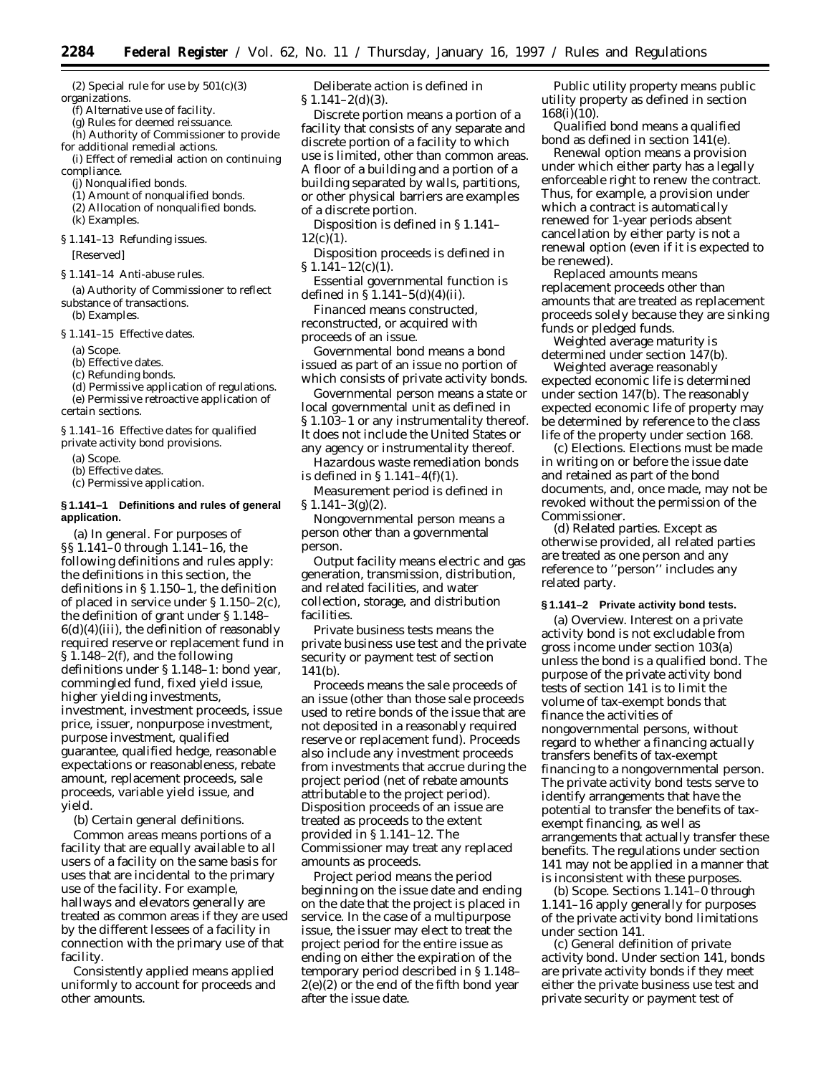(2) Special rule for use by  $501(c)(3)$ organizations.

(f) Alternative use of facility.

(g) Rules for deemed reissuance.

(h) Authority of Commissioner to provide for additional remedial actions.

(i) Effect of remedial action on continuing compliance.

- (j) Nonqualified bonds.
- (1) Amount of nonqualified bonds.
- (2) Allocation of nonqualified bonds.
- (k) Examples.
- *§ 1.141–13 Refunding issues.*

[Reserved]

*§ 1.141–14 Anti-abuse rules.*

(a) Authority of Commissioner to reflect substance of transactions. (b) Examples.

*§ 1.141–15 Effective dates.*

- (a) Scope.
- (b) Effective dates.

(c) Refunding bonds.

(d) Permissive application of regulations.

(e) Permissive retroactive application of certain sections.

*§ 1.141–16 Effective dates for qualified private activity bond provisions.*

(a) Scope.

(b) Effective dates.

(c) Permissive application.

### **§ 1.141–1 Definitions and rules of general application.**

(a) *In general.* For purposes of §§ 1.141–0 through 1.141–16, the following definitions and rules apply: the definitions in this section, the definitions in § 1.150–1, the definition of placed in service under § 1.150–2(c), the definition of grant under § 1.148–  $6(d)(4)(iii)$ , the definition of reasonably required reserve or replacement fund in § 1.148–2(f), and the following definitions under § 1.148–1: bond year, commingled fund, fixed yield issue, higher yielding investments, investment, investment proceeds, issue price, issuer, nonpurpose investment, purpose investment, qualified guarantee, qualified hedge, reasonable expectations or reasonableness, rebate amount, replacement proceeds, sale proceeds, variable yield issue, and yield.

(b) *Certain general definitions.*

*Common areas* means portions of a facility that are equally available to all users of a facility on the same basis for uses that are incidental to the primary use of the facility. For example, hallways and elevators generally are treated as common areas if they are used by the different lessees of a facility in connection with the primary use of that facility.

*Consistently applied* means applied uniformly to account for proceeds and other amounts.

*Deliberate action* is defined in  $\S 1.141 - 2(d)(3)$ .

*Discrete portion* means a portion of a facility that consists of any separate and discrete portion of a facility to which use is limited, other than common areas. A floor of a building and a portion of a building separated by walls, partitions, or other physical barriers are examples of a discrete portion.

*Disposition* is defined in § 1.141–  $12(c)(1)$ .

*Disposition proceeds* is defined in  $$1.141-12(c)(1).$ 

*Essential governmental function* is defined in §  $1.141 - 5(d)(4)(ii)$ .

*Financed* means constructed, reconstructed, or acquired with proceeds of an issue.

*Governmental bond* means a bond issued as part of an issue no portion of which consists of private activity bonds.

*Governmental person* means a state or local governmental unit as defined in § 1.103–1 or any instrumentality thereof. It does not include the United States or any agency or instrumentality thereof.

*Hazardous waste remediation bonds* is defined in § 1.141–4(f)(1).

*Measurement period* is defined in  $\S 1.141 - 3(g)(2)$ .

*Nongovernmental person* means a person other than a governmental person.

*Output facility* means electric and gas generation, transmission, distribution, and related facilities, and water collection, storage, and distribution facilities.

*Private business tests* means the private business use test and the private security or payment test of section 141(b).

*Proceeds* means the sale proceeds of an issue (other than those sale proceeds used to retire bonds of the issue that are not deposited in a reasonably required reserve or replacement fund). Proceeds also include any investment proceeds from investments that accrue during the project period (net of rebate amounts attributable to the project period). Disposition proceeds of an issue are treated as proceeds to the extent provided in § 1.141–12. The Commissioner may treat any replaced amounts as proceeds.

*Project period* means the period beginning on the issue date and ending on the date that the project is placed in service. In the case of a multipurpose issue, the issuer may elect to treat the project period for the entire issue as ending on either the expiration of the temporary period described in § 1.148– 2(e)(2) or the end of the fifth bond year after the issue date.

*Public utility property* means public utility property as defined in section 168(i)(10).

*Qualified bond* means a qualified bond as defined in section 141(e).

*Renewal option* means a provision under which either party has a legally enforceable right to renew the contract. Thus, for example, a provision under which a contract is automatically renewed for 1-year periods absent cancellation by either party is not a renewal option (even if it is expected to be renewed).

*Replaced amounts* means replacement proceeds other than amounts that are treated as replacement proceeds solely because they are sinking funds or pledged funds.

*Weighted average maturity* is determined under section 147(b).

*Weighted average reasonably expected economic life* is determined under section 147(b). The reasonably expected economic life of property may be determined by reference to the class life of the property under section 168.

(c) *Elections.* Elections must be made in writing on or before the issue date and retained as part of the bond documents, and, once made, may not be revoked without the permission of the Commissioner.

(d) *Related parties.* Except as otherwise provided, all related parties are treated as one person and any reference to ''person'' includes any related party.

## **§ 1.141–2 Private activity bond tests.**

(a) *Overview.* Interest on a private activity bond is not excludable from gross income under section 103(a) unless the bond is a qualified bond. The purpose of the private activity bond tests of section 141 is to limit the volume of tax-exempt bonds that finance the activities of nongovernmental persons, without regard to whether a financing actually transfers benefits of tax-exempt financing to a nongovernmental person. The private activity bond tests serve to identify arrangements that have the potential to transfer the benefits of taxexempt financing, as well as arrangements that actually transfer these benefits. The regulations under section 141 may not be applied in a manner that is inconsistent with these purposes.

(b) *Scope.* Sections 1.141–0 through 1.141–16 apply generally for purposes of the private activity bond limitations under section 141.

(c) *General definition of private activity bond.* Under section 141, bonds are private activity bonds if they meet either the private business use test and private security or payment test of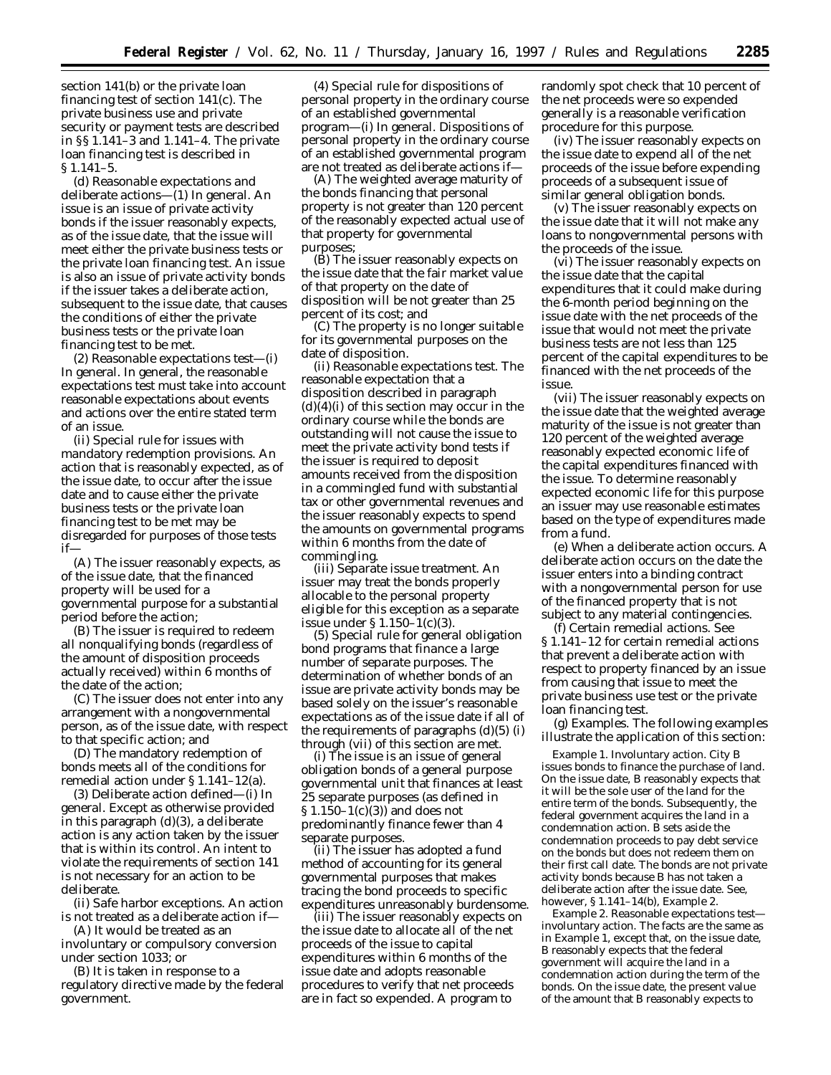section 141(b) or the private loan financing test of section 141(c). The private business use and private security or payment tests are described in §§ 1.141–3 and 1.141–4. The private loan financing test is described in § 1.141–5.

(d) *Reasonable expectations and deliberate actions*—(1) *In general.* An issue is an issue of private activity bonds if the issuer reasonably expects, as of the issue date, that the issue will meet either the private business tests or the private loan financing test. An issue is also an issue of private activity bonds if the issuer takes a deliberate action, subsequent to the issue date, that causes the conditions of either the private business tests or the private loan financing test to be met.

(2) *Reasonable expectations test*—(i) *In general*. In general, the reasonable expectations test must take into account reasonable expectations about events and actions over the entire stated term of an issue.

(ii) *Special rule for issues with mandatory redemption provisions.* An action that is reasonably expected, as of the issue date, to occur after the issue date and to cause either the private business tests or the private loan financing test to be met may be disregarded for purposes of those tests if—

(A) The issuer reasonably expects, as of the issue date, that the financed property will be used for a governmental purpose for a substantial period before the action;

(B) The issuer is required to redeem all nonqualifying bonds (regardless of the amount of disposition proceeds actually received) within 6 months of the date of the action;

(C) The issuer does not enter into any arrangement with a nongovernmental person, as of the issue date, with respect to that specific action; and

(D) The mandatory redemption of bonds meets all of the conditions for remedial action under § 1.141–12(a).

(3) *Deliberate action defined*—(i) *In general*. Except as otherwise provided in this paragraph (d)(3), a deliberate action is any action taken by the issuer that is within its control. An intent to violate the requirements of section 141 is not necessary for an action to be deliberate.

(ii) *Safe harbor exceptions*. An action is not treated as a deliberate action if—

(A) It would be treated as an involuntary or compulsory conversion under section 1033; or

(B) It is taken in response to a regulatory directive made by the federal government.

(4) *Special rule for dispositions of personal property in the ordinary course of an established governmental program*—(i) *In general*. Dispositions of personal property in the ordinary course of an established governmental program are not treated as deliberate actions if—

(A) The weighted average maturity of the bonds financing that personal property is not greater than 120 percent of the reasonably expected actual use of that property for governmental purposes;

(B) The issuer reasonably expects on the issue date that the fair market value of that property on the date of disposition will be not greater than 25 percent of its cost; and

(C) The property is no longer suitable for its governmental purposes on the date of disposition.

(ii) *Reasonable expectations test.* The reasonable expectation that a disposition described in paragraph  $(d)(4)(i)$  of this section may occur in the ordinary course while the bonds are outstanding will not cause the issue to meet the private activity bond tests if the issuer is required to deposit amounts received from the disposition in a commingled fund with substantial tax or other governmental revenues and the issuer reasonably expects to spend the amounts on governmental programs within 6 months from the date of commingling.

(iii) *Separate issue treatment.* An issuer may treat the bonds properly allocable to the personal property eligible for this exception as a separate issue under § 1.150–1(c)(3).

(5) *Special rule for general obligation bond programs that finance a large number of separate purposes.* The determination of whether bonds of an issue are private activity bonds may be based solely on the issuer's reasonable expectations as of the issue date if all of the requirements of paragraphs  $(d)(5)$  (i) through (vii) of this section are met.

(i) The issue is an issue of general obligation bonds of a general purpose governmental unit that finances at least 25 separate purposes (as defined in  $$1.150-1(c)(3)$  and does not predominantly finance fewer than 4 separate purposes.

(ii) The issuer has adopted a fund method of accounting for its general governmental purposes that makes tracing the bond proceeds to specific expenditures unreasonably burdensome.

(iii) The issuer reasonably expects on the issue date to allocate all of the net proceeds of the issue to capital expenditures within 6 months of the issue date and adopts reasonable procedures to verify that net proceeds are in fact so expended. A program to

randomly spot check that 10 percent of the net proceeds were so expended generally is a reasonable verification procedure for this purpose.

(iv) The issuer reasonably expects on the issue date to expend all of the net proceeds of the issue before expending proceeds of a subsequent issue of similar general obligation bonds.

(v) The issuer reasonably expects on the issue date that it will not make any loans to nongovernmental persons with the proceeds of the issue.

(vi) The issuer reasonably expects on the issue date that the capital expenditures that it could make during the 6-month period beginning on the issue date with the net proceeds of the issue that would not meet the private business tests are not less than 125 percent of the capital expenditures to be financed with the net proceeds of the issue.

(vii) The issuer reasonably expects on the issue date that the weighted average maturity of the issue is not greater than 120 percent of the weighted average reasonably expected economic life of the capital expenditures financed with the issue. To determine reasonably expected economic life for this purpose an issuer may use reasonable estimates based on the type of expenditures made from a fund.

(e) *When a deliberate action occurs.* A deliberate action occurs on the date the issuer enters into a binding contract with a nongovernmental person for use of the financed property that is not subject to any material contingencies.

(f) *Certain remedial actions.* See § 1.141–12 for certain remedial actions that prevent a deliberate action with respect to property financed by an issue from causing that issue to meet the private business use test or the private loan financing test.

(g) *Examples.* The following examples illustrate the application of this section:

*Example 1. Involuntary action.* City B issues bonds to finance the purchase of land. On the issue date, B reasonably expects that it will be the sole user of the land for the entire term of the bonds. Subsequently, the federal government acquires the land in a condemnation action. B sets aside the condemnation proceeds to pay debt service on the bonds but does not redeem them on their first call date. The bonds are not private activity bonds because B has not taken a deliberate action after the issue date. See, however, § 1.141–14(b), *Example 2.*

*Example 2. Reasonable expectations test involuntary action.* The facts are the same as in *Example 1,* except that, on the issue date, B reasonably expects that the federal government will acquire the land in a condemnation action during the term of the bonds. On the issue date, the present value of the amount that B reasonably expects to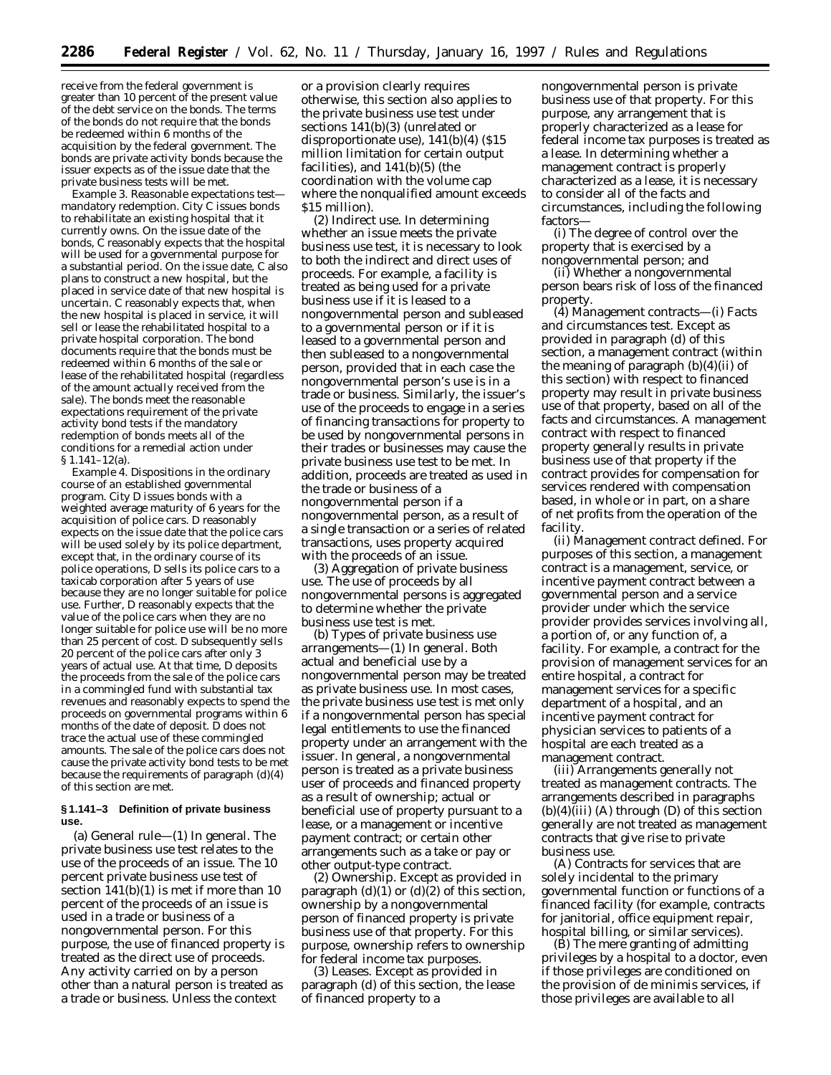receive from the federal government is greater than 10 percent of the present value of the debt service on the bonds. The terms of the bonds do not require that the bonds be redeemed within 6 months of the acquisition by the federal government. The bonds are private activity bonds because the issuer expects as of the issue date that the private business tests will be met.

*Example 3. Reasonable expectations test mandatory redemption.* City C issues bonds to rehabilitate an existing hospital that it currently owns. On the issue date of the bonds, C reasonably expects that the hospital will be used for a governmental purpose for a substantial period. On the issue date, C also plans to construct a new hospital, but the placed in service date of that new hospital is uncertain. C reasonably expects that, when the new hospital is placed in service, it will sell or lease the rehabilitated hospital to a private hospital corporation. The bond documents require that the bonds must be redeemed within 6 months of the sale or lease of the rehabilitated hospital (regardless of the amount actually received from the sale). The bonds meet the reasonable expectations requirement of the private activity bond tests if the mandatory redemption of bonds meets all of the conditions for a remedial action under § 1.141–12(a).

*Example 4. Dispositions in the ordinary course of an established governmental program.* City D issues bonds with a weighted average maturity of 6 years for the acquisition of police cars. D reasonably expects on the issue date that the police cars will be used solely by its police department, except that, in the ordinary course of its police operations, D sells its police cars to a taxicab corporation after 5 years of use because they are no longer suitable for police use. Further, D reasonably expects that the value of the police cars when they are no longer suitable for police use will be no more than 25 percent of cost. D subsequently sells 20 percent of the police cars after only 3 years of actual use. At that time, D deposits the proceeds from the sale of the police cars in a commingled fund with substantial tax revenues and reasonably expects to spend the proceeds on governmental programs within 6 months of the date of deposit. D does not trace the actual use of these commingled amounts. The sale of the police cars does not cause the private activity bond tests to be met because the requirements of paragraph (d)(4) of this section are met.

#### **§ 1.141–3 Definition of private business use.**

(a) *General rule*—(1) *In general.* The private business use test relates to the use of the proceeds of an issue. The 10 percent private business use test of section 141(b)(1) is met if more than 10 percent of the proceeds of an issue is used in a trade or business of a nongovernmental person. For this purpose, the use of financed property is treated as the direct use of proceeds. Any activity carried on by a person other than a natural person is treated as a trade or business. Unless the context

or a provision clearly requires otherwise, this section also applies to the private business use test under sections 141(b)(3) (unrelated or disproportionate use), 141(b)(4) (\$15 million limitation for certain output facilities), and 141(b)(5) (the coordination with the volume cap where the nonqualified amount exceeds \$15 million).

(2) *Indirect use.* In determining whether an issue meets the private business use test, it is necessary to look to both the indirect and direct uses of proceeds. For example, a facility is treated as being used for a private business use if it is leased to a nongovernmental person and subleased to a governmental person or if it is leased to a governmental person and then subleased to a nongovernmental person, provided that in each case the nongovernmental person's use is in a trade or business. Similarly, the issuer's use of the proceeds to engage in a series of financing transactions for property to be used by nongovernmental persons in their trades or businesses may cause the private business use test to be met. In addition, proceeds are treated as used in the trade or business of a nongovernmental person if a nongovernmental person, as a result of a single transaction or a series of related transactions, uses property acquired with the proceeds of an issue.

(3) *Aggregation of private business use.* The use of proceeds by all nongovernmental persons is aggregated to determine whether the private business use test is met.

(b) *Types of private business use arrangements*—(1) *In general.* Both actual and beneficial use by a nongovernmental person may be treated as private business use. In most cases, the private business use test is met only if a nongovernmental person has special legal entitlements to use the financed property under an arrangement with the issuer. In general, a nongovernmental person is treated as a private business user of proceeds and financed property as a result of ownership; actual or beneficial use of property pursuant to a lease, or a management or incentive payment contract; or certain other arrangements such as a take or pay or other output-type contract.

(2) *Ownership.* Except as provided in paragraph  $(d)(1)$  or  $(d)(2)$  of this section, ownership by a nongovernmental person of financed property is private business use of that property. For this purpose, ownership refers to ownership for federal income tax purposes.

(3) *Leases.* Except as provided in paragraph (d) of this section, the lease of financed property to a

nongovernmental person is private business use of that property. For this purpose, any arrangement that is properly characterized as a lease for federal income tax purposes is treated as a lease. In determining whether a management contract is properly characterized as a lease, it is necessary to consider all of the facts and circumstances, including the following factors—

(i) The degree of control over the property that is exercised by a nongovernmental person; and

(ii) Whether a nongovernmental person bears risk of loss of the financed property.

(4) *Management contracts*—(i) *Facts and circumstances test.* Except as provided in paragraph (d) of this section, a management contract (within the meaning of paragraph  $(b)(4)(ii)$  of this section) with respect to financed property may result in private business use of that property, based on all of the facts and circumstances. A management contract with respect to financed property generally results in private business use of that property if the contract provides for compensation for services rendered with compensation based, in whole or in part, on a share of net profits from the operation of the facility.

(ii) *Management contract defined.* For purposes of this section, a management contract is a management, service, or incentive payment contract between a governmental person and a service provider under which the service provider provides services involving all, a portion of, or any function of, a facility. For example, a contract for the provision of management services for an entire hospital, a contract for management services for a specific department of a hospital, and an incentive payment contract for physician services to patients of a hospital are each treated as a management contract.

(iii) *Arrangements generally not treated as management contracts.* The arrangements described in paragraphs  $(b)(4)(iii)$  (A) through  $(D)$  of this section generally are not treated as management contracts that give rise to private business use.

(A) Contracts for services that are solely incidental to the primary governmental function or functions of a financed facility (for example, contracts for janitorial, office equipment repair, hospital billing, or similar services).

(B) The mere granting of admitting privileges by a hospital to a doctor, even if those privileges are conditioned on the provision of de minimis services, if those privileges are available to all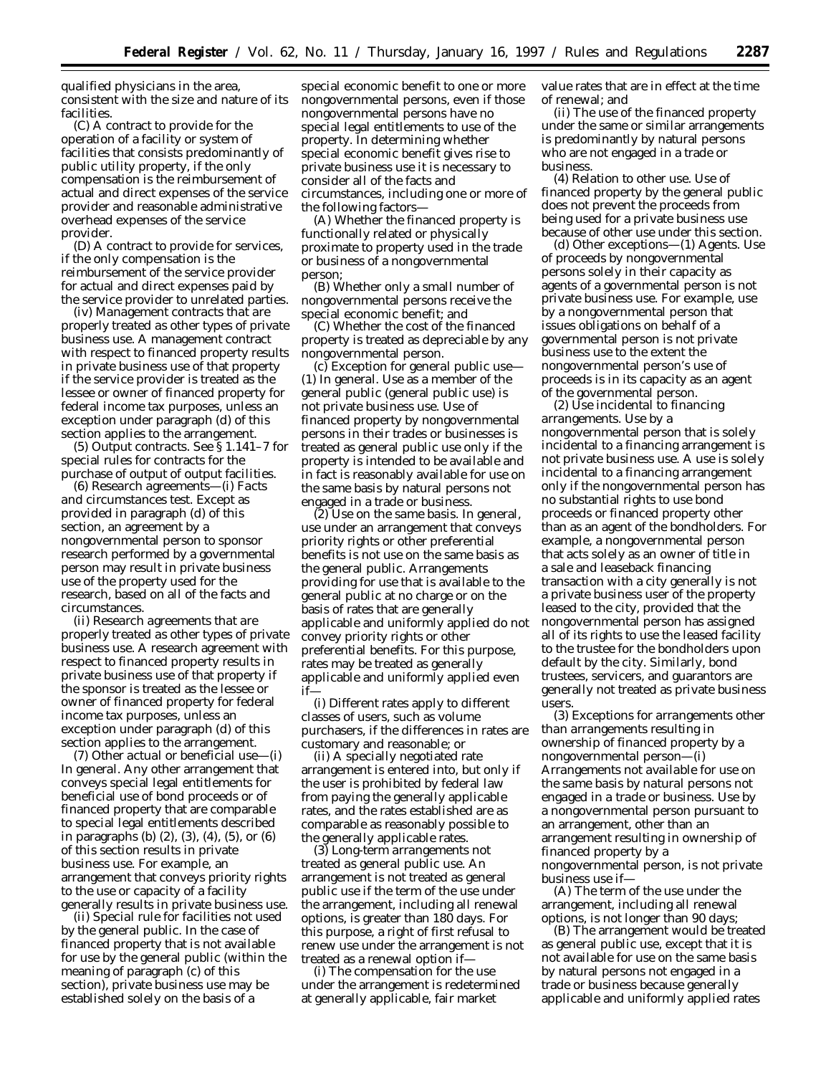qualified physicians in the area, consistent with the size and nature of its facilities.

(C) A contract to provide for the operation of a facility or system of facilities that consists predominantly of public utility property, if the only compensation is the reimbursement of actual and direct expenses of the service provider and reasonable administrative overhead expenses of the service provider.

(D) A contract to provide for services, if the only compensation is the reimbursement of the service provider for actual and direct expenses paid by the service provider to unrelated parties.

(iv) *Management contracts that are properly treated as other types of private business use.* A management contract with respect to financed property results in private business use of that property if the service provider is treated as the lessee or owner of financed property for federal income tax purposes, unless an exception under paragraph (d) of this section applies to the arrangement.

(5) *Output contracts.* See § 1.141–7 for special rules for contracts for the purchase of output of output facilities.

(6) *Research agreements*—(i) *Facts and circumstances test.* Except as provided in paragraph (d) of this section, an agreement by a nongovernmental person to sponsor research performed by a governmental person may result in private business use of the property used for the research, based on all of the facts and circumstances.

(ii) *Research agreements that are properly treated as other types of private business use.* A research agreement with respect to financed property results in private business use of that property if the sponsor is treated as the lessee or owner of financed property for federal income tax purposes, unless an exception under paragraph (d) of this section applies to the arrangement.

(7) *Other actual or beneficial use*—(i) *In general.* Any other arrangement that conveys special legal entitlements for beneficial use of bond proceeds or of financed property that are comparable to special legal entitlements described in paragraphs (b) (2), (3), (4), (5), or (6) of this section results in private business use. For example, an arrangement that conveys priority rights to the use or capacity of a facility generally results in private business use.

(ii) *Special rule for facilities not used by the general public.* In the case of financed property that is not available for use by the general public (within the meaning of paragraph (c) of this section), private business use may be established solely on the basis of a

special economic benefit to one or more nongovernmental persons, even if those nongovernmental persons have no special legal entitlements to use of the property. In determining whether special economic benefit gives rise to private business use it is necessary to consider all of the facts and circumstances, including one or more of the following factors—

(A) Whether the financed property is functionally related or physically proximate to property used in the trade or business of a nongovernmental person;

(B) Whether only a small number of nongovernmental persons receive the special economic benefit; and

(C) Whether the cost of the financed property is treated as depreciable by any nongovernmental person.

(c) *Exception for general public use*— (1) *In general.* Use as a member of the general public (general public use) is not private business use. Use of financed property by nongovernmental persons in their trades or businesses is treated as general public use only if the property is intended to be available and in fact is reasonably available for use on the same basis by natural persons not engaged in a trade or business.

(2) *Use on the same basis.* In general, use under an arrangement that conveys priority rights or other preferential benefits is not use on the same basis as the general public. Arrangements providing for use that is available to the general public at no charge or on the basis of rates that are generally applicable and uniformly applied do not convey priority rights or other preferential benefits. For this purpose, rates may be treated as generally applicable and uniformly applied even if—

(i) Different rates apply to different classes of users, such as volume purchasers, if the differences in rates are customary and reasonable; or

(ii) A specially negotiated rate arrangement is entered into, but only if the user is prohibited by federal law from paying the generally applicable rates, and the rates established are as comparable as reasonably possible to the generally applicable rates.

(3) *Long-term arrangements not treated as general public use.* An arrangement is not treated as general public use if the term of the use under the arrangement, including all renewal options, is greater than 180 days. For this purpose, a right of first refusal to renew use under the arrangement is not treated as a renewal option if—

(i) The compensation for the use under the arrangement is redetermined at generally applicable, fair market

value rates that are in effect at the time of renewal; and

(ii) The use of the financed property under the same or similar arrangements is predominantly by natural persons who are not engaged in a trade or business.

(4) *Relation to other use.* Use of financed property by the general public does not prevent the proceeds from being used for a private business use because of other use under this section.

(d) *Other exceptions—*(1) *Agents.* Use of proceeds by nongovernmental persons solely in their capacity as agents of a governmental person is not private business use. For example, use by a nongovernmental person that issues obligations on behalf of a governmental person is not private business use to the extent the nongovernmental person's use of proceeds is in its capacity as an agent of the governmental person.

(2) *Use incidental to financing arrangements.* Use by a nongovernmental person that is solely incidental to a financing arrangement is not private business use. A use is solely incidental to a financing arrangement only if the nongovernmental person has no substantial rights to use bond proceeds or financed property other than as an agent of the bondholders. For example, a nongovernmental person that acts solely as an owner of title in a sale and leaseback financing transaction with a city generally is not a private business user of the property leased to the city, provided that the nongovernmental person has assigned all of its rights to use the leased facility to the trustee for the bondholders upon default by the city. Similarly, bond trustees, servicers, and guarantors are generally not treated as private business users.

(3) *Exceptions for arrangements other than arrangements resulting in ownership of financed property by a nongovernmental person—*(i) *Arrangements not available for use on the same basis by natural persons not engaged in a trade or business.* Use by a nongovernmental person pursuant to an arrangement, other than an arrangement resulting in ownership of financed property by a nongovernmental person, is not private business use if—

(A) The term of the use under the arrangement, including all renewal options, is not longer than 90 days;

(B) The arrangement would be treated as general public use, except that it is not available for use on the same basis by natural persons not engaged in a trade or business because generally applicable and uniformly applied rates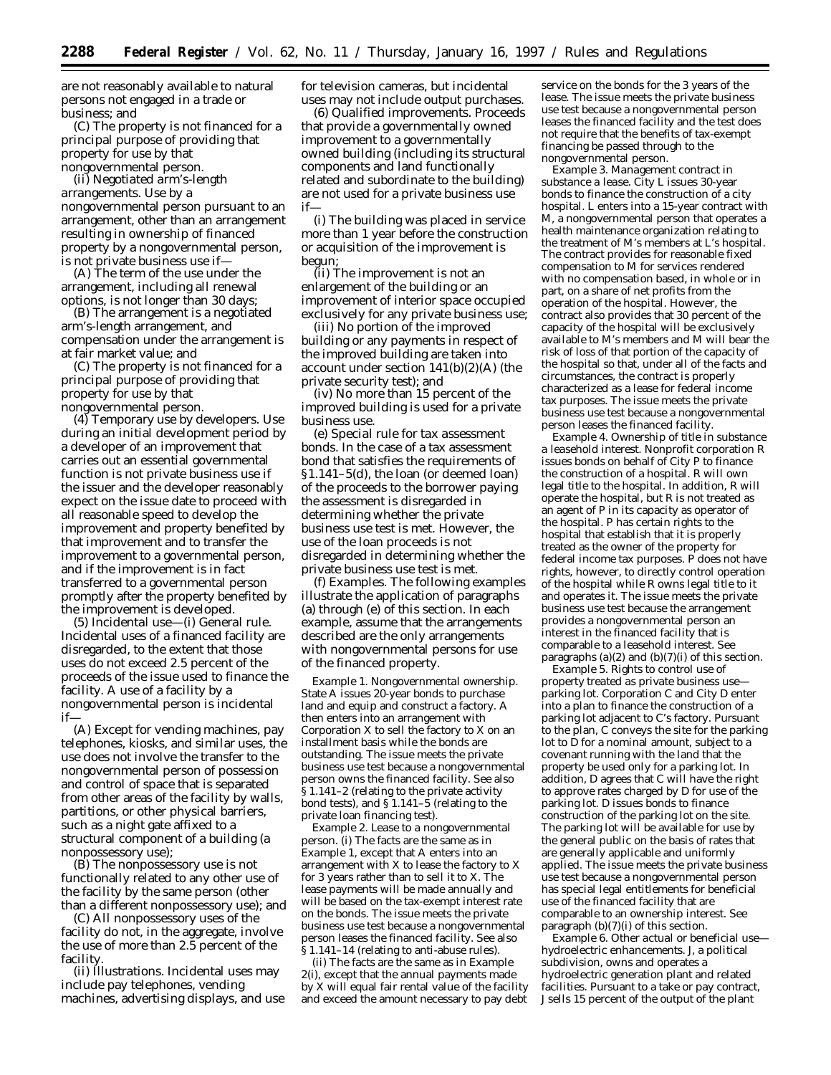are not reasonably available to natural persons not engaged in a trade or business; and

(C) The property is not financed for a principal purpose of providing that property for use by that nongovernmental person.

(ii) *Negotiated arm's-length arrangements.* Use by a nongovernmental person pursuant to an arrangement, other than an arrangement resulting in ownership of financed property by a nongovernmental person, is not private business use if—

(A) The term of the use under the arrangement, including all renewal options, is not longer than 30 days;

(B) The arrangement is a negotiated arm's-length arrangement, and compensation under the arrangement is at fair market value; and

(C) The property is not financed for a principal purpose of providing that property for use by that nongovernmental person.

(4) *Temporary use by developers.* Use during an initial development period by a developer of an improvement that carries out an essential governmental function is not private business use if the issuer and the developer reasonably expect on the issue date to proceed with all reasonable speed to develop the improvement and property benefited by that improvement and to transfer the improvement to a governmental person, and if the improvement is in fact transferred to a governmental person promptly after the property benefited by the improvement is developed.

(5) *Incidental use—*(i) *General rule.* Incidental uses of a financed facility are disregarded, to the extent that those uses do not exceed 2.5 percent of the proceeds of the issue used to finance the facility. A use of a facility by a nongovernmental person is incidental if—

(A) Except for vending machines, pay telephones, kiosks, and similar uses, the use does not involve the transfer to the nongovernmental person of possession and control of space that is separated from other areas of the facility by walls, partitions, or other physical barriers, such as a night gate affixed to a structural component of a building (a nonpossessory use);

(B) The nonpossessory use is not functionally related to any other use of the facility by the same person (other than a different nonpossessory use); and

(C) All nonpossessory uses of the facility do not, in the aggregate, involve the use of more than 2.5 percent of the facility.

(ii) *Illustrations.* Incidental uses may include pay telephones, vending machines, advertising displays, and use for television cameras, but incidental uses may not include output purchases.

(6) *Qualified improvements.* Proceeds that provide a governmentally owned improvement to a governmentally owned building (including its structural components and land functionally related and subordinate to the building) are not used for a private business use if—

(i) The building was placed in service more than 1 year before the construction or acquisition of the improvement is begun;

(ii) The improvement is not an enlargement of the building or an improvement of interior space occupied exclusively for any private business use;

(iii) No portion of the improved building or any payments in respect of the improved building are taken into account under section 141(b)(2)(A) (the private security test); and

(iv) No more than 15 percent of the improved building is used for a private business use.

(e) *Special rule for tax assessment bonds.* In the case of a tax assessment bond that satisfies the requirements of §1.141–5(d), the loan (or deemed loan) of the proceeds to the borrower paying the assessment is disregarded in determining whether the private business use test is met. However, the use of the loan proceeds is not disregarded in determining whether the private business use test is met.

(f) *Examples.* The following examples illustrate the application of paragraphs (a) through (e) of this section. In each example, assume that the arrangements described are the only arrangements with nongovernmental persons for use of the financed property.

*Example 1. Nongovernmental ownership.* State A issues 20-year bonds to purchase land and equip and construct a factory. A then enters into an arrangement with Corporation X to sell the factory to X on an installment basis while the bonds are outstanding. The issue meets the private business use test because a nongovernmental person owns the financed facility. See also § 1.141–2 (relating to the private activity bond tests), and  $\S 1.141-5$  (relating to the private loan financing test).

*Example 2. Lease to a nongovernmental person.* (i) The facts are the same as in *Example 1,* except that A enters into an arrangement with X to lease the factory to X for 3 years rather than to sell it to X. The lease payments will be made annually and will be based on the tax-exempt interest rate on the bonds. The issue meets the private business use test because a nongovernmental person leases the financed facility. See also § 1.141–14 (relating to anti-abuse rules).

(ii) The facts are the same as in *Example 2(i),* except that the annual payments made by X will equal fair rental value of the facility and exceed the amount necessary to pay debt

service on the bonds for the 3 years of the lease. The issue meets the private business use test because a nongovernmental person leases the financed facility and the test does not require that the benefits of tax-exempt financing be passed through to the nongovernmental person.

*Example 3. Management contract in substance a lease.* City L issues 30-year bonds to finance the construction of a city hospital. L enters into a 15-year contract with M, a nongovernmental person that operates a health maintenance organization relating to the treatment of M's members at L's hospital. The contract provides for reasonable fixed compensation to M for services rendered with no compensation based, in whole or in part, on a share of net profits from the operation of the hospital. However, the contract also provides that 30 percent of the capacity of the hospital will be exclusively available to M's members and M will bear the risk of loss of that portion of the capacity of the hospital so that, under all of the facts and circumstances, the contract is properly characterized as a lease for federal income tax purposes. The issue meets the private business use test because a nongovernmental person leases the financed facility.

*Example 4. Ownership of title in substance a leasehold interest.* Nonprofit corporation R issues bonds on behalf of City P to finance the construction of a hospital. R will own legal title to the hospital. In addition, R will operate the hospital, but R is not treated as an agent of P in its capacity as operator of the hospital. P has certain rights to the hospital that establish that it is properly treated as the owner of the property for federal income tax purposes. P does not have rights, however, to directly control operation of the hospital while R owns legal title to it and operates it. The issue meets the private business use test because the arrangement provides a nongovernmental person an interest in the financed facility that is comparable to a leasehold interest. See paragraphs (a)(2) and (b)(7)(i) of this section.

*Example 5. Rights to control use of property treated as private business use parking lot.* Corporation C and City D enter into a plan to finance the construction of a parking lot adjacent to C's factory. Pursuant to the plan, C conveys the site for the parking lot to  $\overline{D}$  for a nominal amount, subject to a covenant running with the land that the property be used only for a parking lot. In addition, D agrees that C will have the right to approve rates charged by D for use of the parking lot. D issues bonds to finance construction of the parking lot on the site. The parking lot will be available for use by the general public on the basis of rates that are generally applicable and uniformly applied. The issue meets the private business use test because a nongovernmental person has special legal entitlements for beneficial use of the financed facility that are comparable to an ownership interest. See paragraph (b)(7)(i) of this section.

*Example 6. Other actual or beneficial use hydroelectric enhancements.* J, a political subdivision, owns and operates a hydroelectric generation plant and related facilities. Pursuant to a take or pay contract, J sells 15 percent of the output of the plant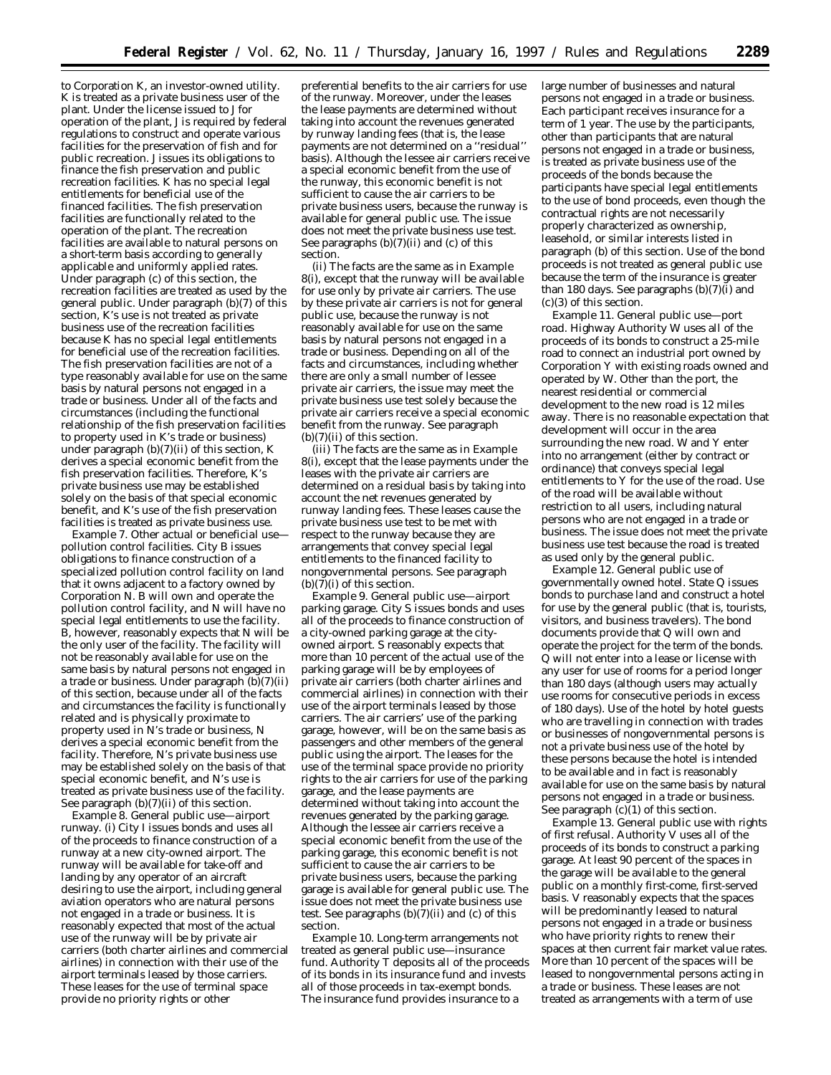to Corporation K, an investor-owned utility. K is treated as a private business user of the plant. Under the license issued to J for operation of the plant, J is required by federal regulations to construct and operate various facilities for the preservation of fish and for public recreation. J issues its obligations to finance the fish preservation and public recreation facilities. K has no special legal entitlements for beneficial use of the financed facilities. The fish preservation facilities are functionally related to the operation of the plant. The recreation facilities are available to natural persons on a short-term basis according to generally applicable and uniformly applied rates. Under paragraph (c) of this section, the recreation facilities are treated as used by the general public. Under paragraph (b)(7) of this section, K's use is not treated as private business use of the recreation facilities because K has no special legal entitlements for beneficial use of the recreation facilities. The fish preservation facilities are not of a type reasonably available for use on the same basis by natural persons not engaged in a trade or business. Under all of the facts and circumstances (including the functional relationship of the fish preservation facilities to property used in K's trade or business) under paragraph (b)(7)(ii) of this section, K derives a special economic benefit from the fish preservation facilities. Therefore, K's private business use may be established solely on the basis of that special economic benefit, and K's use of the fish preservation facilities is treated as private business use.

*Example 7. Other actual or beneficial use pollution control facilities.* City B issues obligations to finance construction of a specialized pollution control facility on land that it owns adjacent to a factory owned by Corporation N. B will own and operate the pollution control facility, and N will have no special legal entitlements to use the facility. B, however, reasonably expects that N will be the only user of the facility. The facility will not be reasonably available for use on the same basis by natural persons not engaged in a trade or business. Under paragraph  $(b)(7)(ii)$ of this section, because under all of the facts and circumstances the facility is functionally related and is physically proximate to property used in N's trade or business, N derives a special economic benefit from the facility. Therefore, N's private business use may be established solely on the basis of that special economic benefit, and N's use is treated as private business use of the facility. See paragraph (b)(7)(ii) of this section.

*Example 8. General public use—airport runway.* (i) City I issues bonds and uses all of the proceeds to finance construction of a runway at a new city-owned airport. The runway will be available for take-off and landing by any operator of an aircraft desiring to use the airport, including general aviation operators who are natural persons not engaged in a trade or business. It is reasonably expected that most of the actual use of the runway will be by private air carriers (both charter airlines and commercial airlines) in connection with their use of the airport terminals leased by those carriers. These leases for the use of terminal space provide no priority rights or other

preferential benefits to the air carriers for use of the runway. Moreover, under the leases the lease payments are determined without taking into account the revenues generated by runway landing fees (that is, the lease payments are not determined on a ''residual'' basis). Although the lessee air carriers receive a special economic benefit from the use of the runway, this economic benefit is not sufficient to cause the air carriers to be private business users, because the runway is available for general public use. The issue does not meet the private business use test. See paragraphs  $(b)(7)(ii)$  and  $(c)$  of this section.

(ii) The facts are the same as in *Example 8(i)*, except that the runway will be available for use only by private air carriers. The use by these private air carriers is not for general public use, because the runway is not reasonably available for use on the same basis by natural persons not engaged in a trade or business. Depending on all of the facts and circumstances, including whether there are only a small number of lessee private air carriers, the issue may meet the private business use test solely because the private air carriers receive a special economic benefit from the runway. See paragraph (b)(7)(ii) of this section.

(iii) The facts are the same as in *Example 8(i)*, except that the lease payments under the leases with the private air carriers are determined on a residual basis by taking into account the net revenues generated by runway landing fees. These leases cause the private business use test to be met with respect to the runway because they are arrangements that convey special legal entitlements to the financed facility to nongovernmental persons. See paragraph  $(b)(7)(i)$  of this section.

*Example 9. General public use—airport parking garage.* City S issues bonds and uses all of the proceeds to finance construction of a city-owned parking garage at the cityowned airport. S reasonably expects that more than 10 percent of the actual use of the parking garage will be by employees of private air carriers (both charter airlines and commercial airlines) in connection with their use of the airport terminals leased by those carriers. The air carriers' use of the parking garage, however, will be on the same basis as passengers and other members of the general public using the airport. The leases for the use of the terminal space provide no priority rights to the air carriers for use of the parking garage, and the lease payments are determined without taking into account the revenues generated by the parking garage. Although the lessee air carriers receive a special economic benefit from the use of the parking garage, this economic benefit is not sufficient to cause the air carriers to be private business users, because the parking garage is available for general public use. The issue does not meet the private business use test. See paragraphs  $(b)(7)(ii)$  and  $(c)$  of this section.

*Example 10. Long-term arrangements not treated as general public use—insurance fund*. Authority T deposits all of the proceeds of its bonds in its insurance fund and invests all of those proceeds in tax-exempt bonds. The insurance fund provides insurance to a

large number of businesses and natural persons not engaged in a trade or business. Each participant receives insurance for a term of 1 year. The use by the participants, other than participants that are natural persons not engaged in a trade or business, is treated as private business use of the proceeds of the bonds because the participants have special legal entitlements to the use of bond proceeds, even though the contractual rights are not necessarily properly characterized as ownership, leasehold, or similar interests listed in paragraph (b) of this section. Use of the bond proceeds is not treated as general public use because the term of the insurance is greater than 180 days. See paragraphs (b)(7)(i) and (c)(3) of this section.

*Example 11. General public use—port road.* Highway Authority W uses all of the proceeds of its bonds to construct a 25-mile road to connect an industrial port owned by Corporation Y with existing roads owned and operated by W. Other than the port, the nearest residential or commercial development to the new road is 12 miles away. There is no reasonable expectation that development will occur in the area surrounding the new road. W and Y enter into no arrangement (either by contract or ordinance) that conveys special legal entitlements to Y for the use of the road. Use of the road will be available without restriction to all users, including natural persons who are not engaged in a trade or business. The issue does not meet the private business use test because the road is treated as used only by the general public.

*Example 12. General public use of governmentally owned hotel.* State Q issues bonds to purchase land and construct a hotel for use by the general public (that is, tourists, visitors, and business travelers). The bond documents provide that Q will own and operate the project for the term of the bonds. Q will not enter into a lease or license with any user for use of rooms for a period longer than 180 days (although users may actually use rooms for consecutive periods in excess of 180 days). Use of the hotel by hotel guests who are travelling in connection with trades or businesses of nongovernmental persons is not a private business use of the hotel by these persons because the hotel is intended to be available and in fact is reasonably available for use on the same basis by natural persons not engaged in a trade or business. See paragraph (c)(1) of this section.

*Example 13. General public use with rights of first refusal*. Authority V uses all of the proceeds of its bonds to construct a parking garage. At least 90 percent of the spaces in the garage will be available to the general public on a monthly first-come, first-served basis. V reasonably expects that the spaces will be predominantly leased to natural persons not engaged in a trade or business who have priority rights to renew their spaces at then current fair market value rates. More than 10 percent of the spaces will be leased to nongovernmental persons acting in a trade or business. These leases are not treated as arrangements with a term of use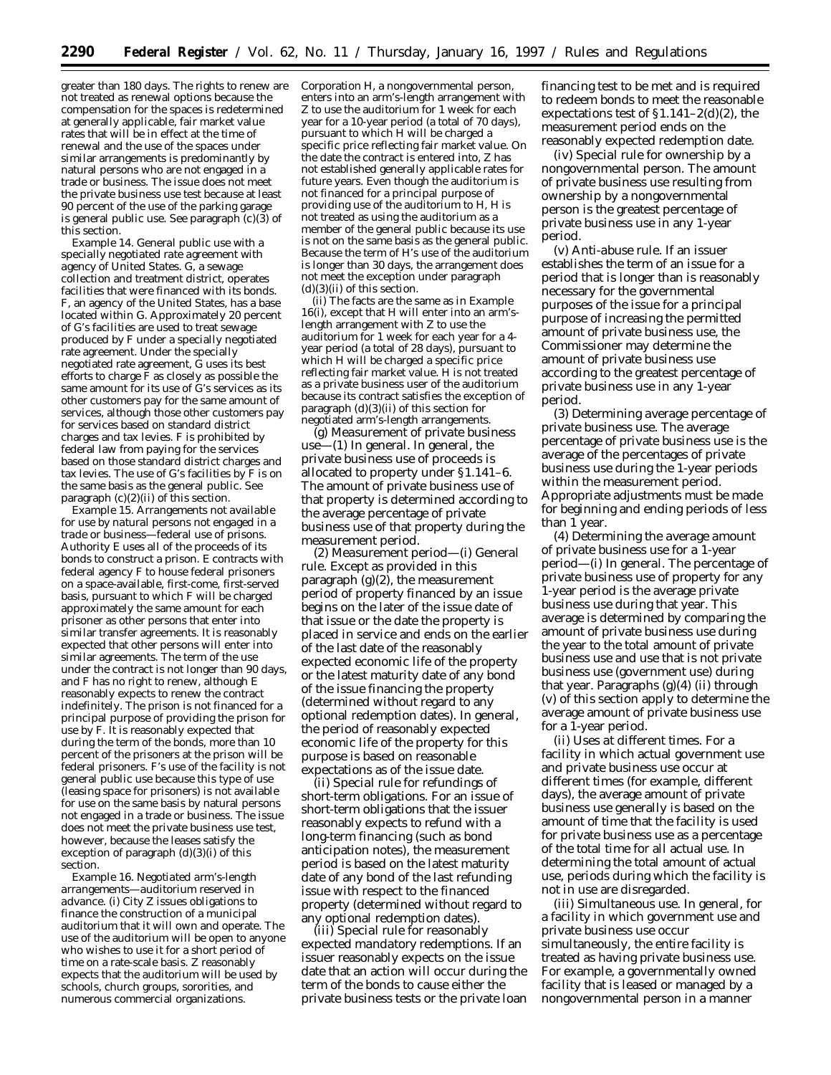greater than 180 days. The rights to renew are not treated as renewal options because the compensation for the spaces is redetermined at generally applicable, fair market value rates that will be in effect at the time of renewal and the use of the spaces under similar arrangements is predominantly by natural persons who are not engaged in a trade or business. The issue does not meet the private business use test because at least 90 percent of the use of the parking garage is general public use. See paragraph (c)(3) of this section.

*Example 14. General public use with a specially negotiated rate agreement with agency of United States.* G, a sewage collection and treatment district, operates facilities that were financed with its bonds. F, an agency of the United States, has a base located within G. Approximately 20 percent of G's facilities are used to treat sewage produced by F under a specially negotiated rate agreement. Under the specially negotiated rate agreement, G uses its best efforts to charge F as closely as possible the same amount for its use of G's services as its other customers pay for the same amount of services, although those other customers pay for services based on standard district charges and tax levies. F is prohibited by federal law from paying for the services based on those standard district charges and tax levies. The use of G's facilities by F is on the same basis as the general public. See paragraph (c)(2)(ii) of this section.

*Example 15. Arrangements not available for use by natural persons not engaged in a trade or business—federal use of prisons.* Authority E uses all of the proceeds of its bonds to construct a prison. E contracts with federal agency F to house federal prisoners on a space-available, first-come, first-served basis, pursuant to which F will be charged approximately the same amount for each prisoner as other persons that enter into similar transfer agreements. It is reasonably expected that other persons will enter into similar agreements. The term of the use under the contract is not longer than 90 days, and F has no right to renew, although E reasonably expects to renew the contract indefinitely. The prison is not financed for a principal purpose of providing the prison for use by F. It is reasonably expected that during the term of the bonds, more than 10 percent of the prisoners at the prison will be federal prisoners. F's use of the facility is not general public use because this type of use (leasing space for prisoners) is not available for use on the same basis by natural persons not engaged in a trade or business. The issue does not meet the private business use test, however, because the leases satisfy the exception of paragraph  $(d)(3)(i)$  of this section.

*Example 16. Negotiated arm's-length arrangements—auditorium reserved in advance*. (i) City Z issues obligations to finance the construction of a municipal auditorium that it will own and operate. The use of the auditorium will be open to anyone who wishes to use it for a short period of time on a rate-scale basis. Z reasonably expects that the auditorium will be used by schools, church groups, sororities, and numerous commercial organizations.

Corporation H, a nongovernmental person, enters into an arm's-length arrangement with Z to use the auditorium for 1 week for each year for a 10-year period (a total of 70 days), pursuant to which H will be charged a specific price reflecting fair market value. On the date the contract is entered into, Z has not established generally applicable rates for future years. Even though the auditorium is not financed for a principal purpose of providing use of the auditorium to H, H is not treated as using the auditorium as a member of the general public because its use is not on the same basis as the general public. Because the term of H's use of the auditorium is longer than 30 days, the arrangement does not meet the exception under paragraph  $(d)(3)(ii)$  of this section.

(ii) The facts are the same as in *Example 16(i)*, except that H will enter into an arm'slength arrangement with Z to use the auditorium for 1 week for each year for a 4 year period (a total of 28 days), pursuant to which H will be charged a specific price reflecting fair market value. H is not treated as a private business user of the auditorium because its contract satisfies the exception of paragraph (d)(3)(ii) of this section for negotiated arm's-length arrangements.

(g) *Measurement of private business use—*(1) *In general.* In general, the private business use of proceeds is allocated to property under §1.141–6. The amount of private business use of that property is determined according to the average percentage of private business use of that property during the measurement period.

(2) *Measurement period—*(i) *General rule.* Except as provided in this paragraph  $(g)(2)$ , the measurement period of property financed by an issue begins on the later of the issue date of that issue or the date the property is placed in service and ends on the earlier of the last date of the reasonably expected economic life of the property or the latest maturity date of any bond of the issue financing the property (determined without regard to any optional redemption dates). In general, the period of reasonably expected economic life of the property for this purpose is based on reasonable expectations as of the issue date.

(ii) *Special rule for refundings of short-term obligations.* For an issue of short-term obligations that the issuer reasonably expects to refund with a long-term financing (such as bond anticipation notes), the measurement period is based on the latest maturity date of any bond of the last refunding issue with respect to the financed property (determined without regard to any optional redemption dates).

(iii) *Special rule for reasonably expected mandatory redemptions.* If an issuer reasonably expects on the issue date that an action will occur during the term of the bonds to cause either the private business tests or the private loan

financing test to be met and is required to redeem bonds to meet the reasonable expectations test of  $\S1.141-2(d)(2)$ , the measurement period ends on the reasonably expected redemption date.

(iv) *Special rule for ownership by a nongovernmental person.* The amount of private business use resulting from ownership by a nongovernmental person is the greatest percentage of private business use in any 1-year period.

(v) *Anti-abuse rule.* If an issuer establishes the term of an issue for a period that is longer than is reasonably necessary for the governmental purposes of the issue for a principal purpose of increasing the permitted amount of private business use, the Commissioner may determine the amount of private business use according to the greatest percentage of private business use in any 1-year period.

(3) *Determining average percentage of private business use.* The average percentage of private business use is the average of the percentages of private business use during the 1-year periods within the measurement period. Appropriate adjustments must be made for beginning and ending periods of less than 1 year.

(4) *Determining the average amount of private business use for a 1-year period—*(i) *In general.* The percentage of private business use of property for any 1-year period is the average private business use during that year. This average is determined by comparing the amount of private business use during the year to the total amount of private business use and use that is not private business use (government use) during that year. Paragraphs (g)(4) (ii) through (v) of this section apply to determine the average amount of private business use for a 1-year period.

(ii) *Uses at different times.* For a facility in which actual government use and private business use occur at different times (for example, different days), the average amount of private business use generally is based on the amount of time that the facility is used for private business use as a percentage of the total time for all actual use. In determining the total amount of actual use, periods during which the facility is not in use are disregarded.

(iii) *Simultaneous use.* In general, for a facility in which government use and private business use occur simultaneously, the entire facility is treated as having private business use. For example, a governmentally owned facility that is leased or managed by a nongovernmental person in a manner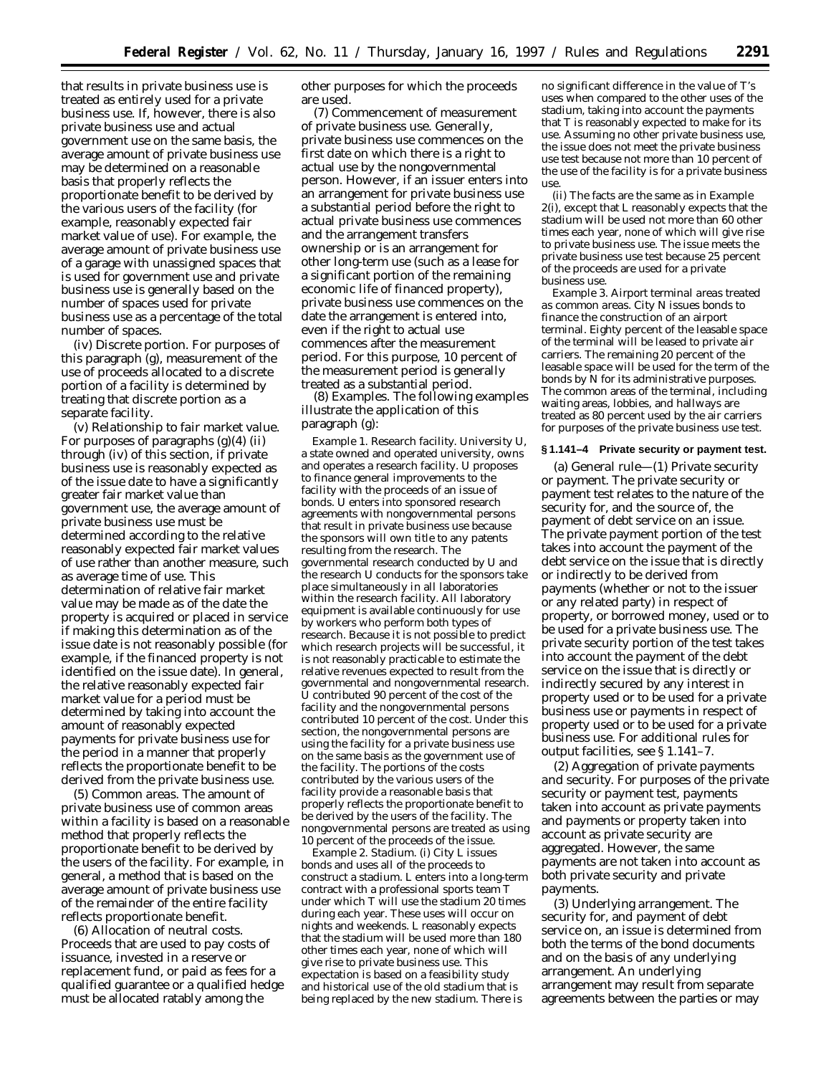that results in private business use is treated as entirely used for a private business use. If, however, there is also private business use and actual government use on the same basis, the average amount of private business use may be determined on a reasonable basis that properly reflects the proportionate benefit to be derived by the various users of the facility (for example, reasonably expected fair market value of use). For example, the average amount of private business use of a garage with unassigned spaces that is used for government use and private business use is generally based on the number of spaces used for private business use as a percentage of the total number of spaces.

(iv) *Discrete portion.* For purposes of this paragraph (g), measurement of the use of proceeds allocated to a discrete portion of a facility is determined by treating that discrete portion as a separate facility.

(v) *Relationship to fair market value.* For purposes of paragraphs  $(g)(4)$  (ii) through (iv) of this section, if private business use is reasonably expected as of the issue date to have a significantly greater fair market value than government use, the average amount of private business use must be determined according to the relative reasonably expected fair market values of use rather than another measure, such as average time of use. This determination of relative fair market value may be made as of the date the property is acquired or placed in service if making this determination as of the issue date is not reasonably possible (for example, if the financed property is not identified on the issue date). In general, the relative reasonably expected fair market value for a period must be determined by taking into account the amount of reasonably expected payments for private business use for the period in a manner that properly reflects the proportionate benefit to be derived from the private business use.

(5) *Common areas.* The amount of private business use of common areas within a facility is based on a reasonable method that properly reflects the proportionate benefit to be derived by the users of the facility. For example, in general, a method that is based on the average amount of private business use of the remainder of the entire facility reflects proportionate benefit.

(6) *Allocation of neutral costs.* Proceeds that are used to pay costs of issuance, invested in a reserve or replacement fund, or paid as fees for a qualified guarantee or a qualified hedge must be allocated ratably among the

other purposes for which the proceeds are used.

(7) *Commencement of measurement of private business use.* Generally, private business use commences on the first date on which there is a right to actual use by the nongovernmental person. However, if an issuer enters into an arrangement for private business use a substantial period before the right to actual private business use commences and the arrangement transfers ownership or is an arrangement for other long-term use (such as a lease for a significant portion of the remaining economic life of financed property), private business use commences on the date the arrangement is entered into, even if the right to actual use commences after the measurement period. For this purpose, 10 percent of the measurement period is generally treated as a substantial period.

(8) *Examples.* The following examples illustrate the application of this paragraph (g):

*Example 1. Research facility.* University U, a state owned and operated university, owns and operates a research facility. U proposes to finance general improvements to the facility with the proceeds of an issue of bonds. U enters into sponsored research agreements with nongovernmental persons that result in private business use because the sponsors will own title to any patents resulting from the research. The governmental research conducted by U and the research U conducts for the sponsors take place simultaneously in all laboratories within the research facility. All laboratory equipment is available continuously for use by workers who perform both types of research. Because it is not possible to predict which research projects will be successful, it is not reasonably practicable to estimate the relative revenues expected to result from the governmental and nongovernmental research. U contributed 90 percent of the cost of the facility and the nongovernmental persons contributed 10 percent of the cost. Under this section, the nongovernmental persons are using the facility for a private business use on the same basis as the government use of the facility. The portions of the costs contributed by the various users of the facility provide a reasonable basis that properly reflects the proportionate benefit to be derived by the users of the facility. The nongovernmental persons are treated as using 10 percent of the proceeds of the issue.

*Example 2. Stadium.* (i) City L issues bonds and uses all of the proceeds to construct a stadium. L enters into a long-term contract with a professional sports team T under which T will use the stadium 20 times during each year. These uses will occur on nights and weekends. L reasonably expects that the stadium will be used more than 180 other times each year, none of which will give rise to private business use. This expectation is based on a feasibility study and historical use of the old stadium that is being replaced by the new stadium. There is

no significant difference in the value of T's uses when compared to the other uses of the stadium, taking into account the payments that T is reasonably expected to make for its use. Assuming no other private business use, the issue does not meet the private business use test because not more than 10 percent of the use of the facility is for a private business use.

(ii) The facts are the same as in *Example 2(i),* except that L reasonably expects that the stadium will be used not more than 60 other times each year, none of which will give rise to private business use. The issue meets the private business use test because 25 percent of the proceeds are used for a private business use.

*Example 3. Airport terminal areas treated as common areas.* City N issues bonds to finance the construction of an airport terminal. Eighty percent of the leasable space of the terminal will be leased to private air carriers. The remaining 20 percent of the leasable space will be used for the term of the bonds by N for its administrative purposes. The common areas of the terminal, including waiting areas, lobbies, and hallways are treated as 80 percent used by the air carriers for purposes of the private business use test.

## **§ 1.141–4 Private security or payment test.**

(a) *General rule*—(1) *Private security or payment.* The private security or payment test relates to the nature of the security for, and the source of, the payment of debt service on an issue. The private payment portion of the test takes into account the payment of the debt service on the issue that is directly or indirectly to be derived from payments (whether or not to the issuer or any related party) in respect of property, or borrowed money, used or to be used for a private business use. The private security portion of the test takes into account the payment of the debt service on the issue that is directly or indirectly secured by any interest in property used or to be used for a private business use or payments in respect of property used or to be used for a private business use. For additional rules for output facilities, see § 1.141–7.

(2) *Aggregation of private payments and security.* For purposes of the private security or payment test, payments taken into account as private payments and payments or property taken into account as private security are aggregated. However, the same payments are not taken into account as both private security and private payments.

(3) *Underlying arrangement.* The security for, and payment of debt service on, an issue is determined from both the terms of the bond documents and on the basis of any underlying arrangement. An underlying arrangement may result from separate agreements between the parties or may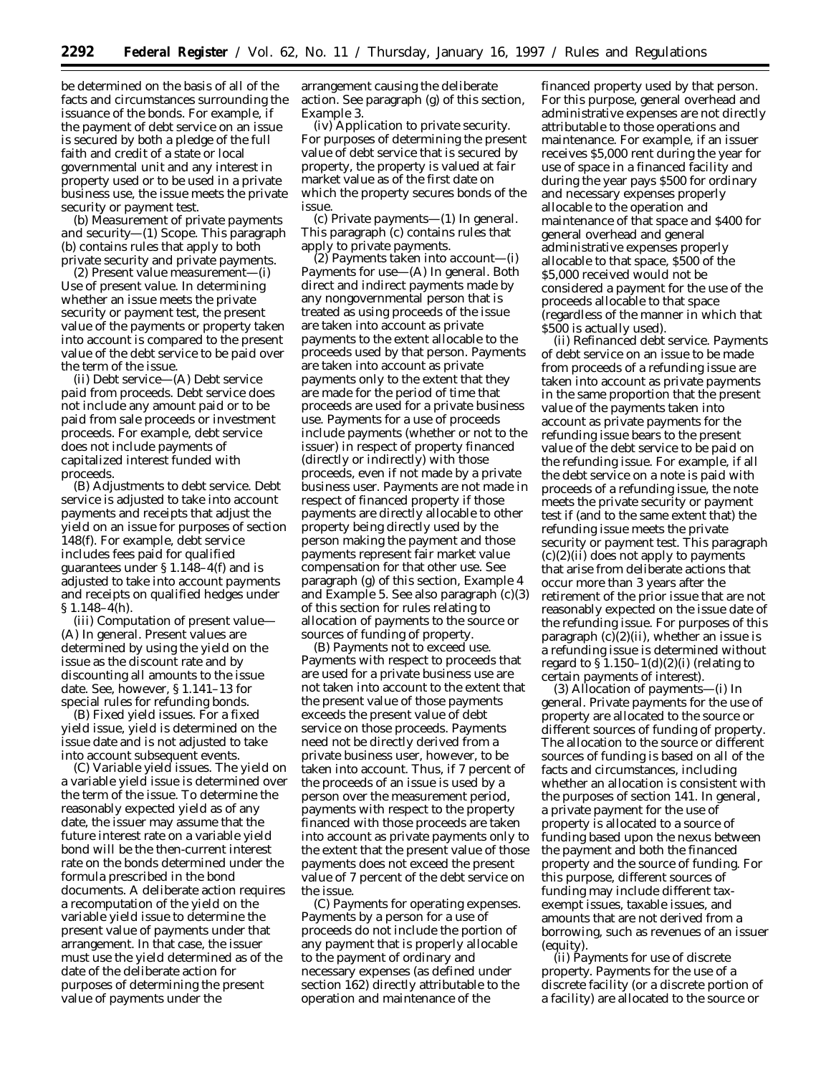be determined on the basis of all of the facts and circumstances surrounding the issuance of the bonds. For example, if the payment of debt service on an issue is secured by both a pledge of the full faith and credit of a state or local governmental unit and any interest in property used or to be used in a private business use, the issue meets the private security or payment test.

(b) *Measurement of private payments and security*—(1) *Scope.* This paragraph (b) contains rules that apply to both private security and private payments.

(2) *Present value measurement*—(i) *Use of present value.* In determining whether an issue meets the private security or payment test, the present value of the payments or property taken into account is compared to the present value of the debt service to be paid over the term of the issue.

(ii) *Debt service*—(A) *Debt service paid from proceeds.* Debt service does not include any amount paid or to be paid from sale proceeds or investment proceeds. For example, debt service does not include payments of capitalized interest funded with proceeds.

(B) *Adjustments to debt service.* Debt service is adjusted to take into account payments and receipts that adjust the yield on an issue for purposes of section 148(f). For example, debt service includes fees paid for qualified guarantees under § 1.148–4(f) and is adjusted to take into account payments and receipts on qualified hedges under § 1.148–4(h).

(iii) *Computation of present value*— (A) *In general.* Present values are determined by using the yield on the issue as the discount rate and by discounting all amounts to the issue date. See, however, § 1.141–13 for special rules for refunding bonds.

(B) *Fixed yield issues.* For a fixed yield issue, yield is determined on the issue date and is not adjusted to take into account subsequent events.

(C) *Variable yield issues.* The yield on a variable yield issue is determined over the term of the issue. To determine the reasonably expected yield as of any date, the issuer may assume that the future interest rate on a variable yield bond will be the then-current interest rate on the bonds determined under the formula prescribed in the bond documents. A deliberate action requires a recomputation of the yield on the variable yield issue to determine the present value of payments under that arrangement. In that case, the issuer must use the yield determined as of the date of the deliberate action for purposes of determining the present value of payments under the

arrangement causing the deliberate action. See paragraph (g) of this section, *Example 3*.

(iv) *Application to private security.* For purposes of determining the present value of debt service that is secured by property, the property is valued at fair market value as of the first date on which the property secures bonds of the issue.

(c) *Private payments*—(1) *In general.* This paragraph (c) contains rules that apply to private payments.

(2) *Payments taken into account*—(i) *Payments for use*—(A) *In general.* Both direct and indirect payments made by any nongovernmental person that is treated as using proceeds of the issue are taken into account as private payments to the extent allocable to the proceeds used by that person. Payments are taken into account as private payments only to the extent that they are made for the period of time that proceeds are used for a private business use. Payments for a use of proceeds include payments (whether or not to the issuer) in respect of property financed (directly or indirectly) with those proceeds, even if not made by a private business user. Payments are not made in respect of financed property if those payments are directly allocable to other property being directly used by the person making the payment and those payments represent fair market value compensation for that other use. See paragraph (g) of this section, *Example 4* and *Example 5.* See also paragraph (c)(3) of this section for rules relating to allocation of payments to the source or sources of funding of property.

(B) *Payments not to exceed use.* Payments with respect to proceeds that are used for a private business use are not taken into account to the extent that the present value of those payments exceeds the present value of debt service on those proceeds. Payments need not be directly derived from a private business user, however, to be taken into account. Thus, if 7 percent of the proceeds of an issue is used by a person over the measurement period, payments with respect to the property financed with those proceeds are taken into account as private payments only to the extent that the present value of those payments does not exceed the present value of 7 percent of the debt service on the issue.

(C) *Payments for operating expenses.* Payments by a person for a use of proceeds do not include the portion of any payment that is properly allocable to the payment of ordinary and necessary expenses (as defined under section 162) directly attributable to the operation and maintenance of the

financed property used by that person. For this purpose, general overhead and administrative expenses are not directly attributable to those operations and maintenance. For example, if an issuer receives \$5,000 rent during the year for use of space in a financed facility and during the year pays \$500 for ordinary and necessary expenses properly allocable to the operation and maintenance of that space and \$400 for general overhead and general administrative expenses properly allocable to that space, \$500 of the \$5,000 received would not be considered a payment for the use of the proceeds allocable to that space (regardless of the manner in which that \$500 is actually used).

(ii) *Refinanced debt service.* Payments of debt service on an issue to be made from proceeds of a refunding issue are taken into account as private payments in the same proportion that the present value of the payments taken into account as private payments for the refunding issue bears to the present value of the debt service to be paid on the refunding issue. For example, if all the debt service on a note is paid with proceeds of a refunding issue, the note meets the private security or payment test if (and to the same extent that) the refunding issue meets the private security or payment test. This paragraph  $(c)(2)(ii)$  does not apply to payments that arise from deliberate actions that occur more than 3 years after the retirement of the prior issue that are not reasonably expected on the issue date of the refunding issue. For purposes of this paragraph  $(c)(2)(ii)$ , whether an issue is a refunding issue is determined without regard to  $\S 1.150-1(d)(2)(i)$  (relating to certain payments of interest).

(3) *Allocation of payments*—(i) *In general.* Private payments for the use of property are allocated to the source or different sources of funding of property. The allocation to the source or different sources of funding is based on all of the facts and circumstances, including whether an allocation is consistent with the purposes of section 141. In general, a private payment for the use of property is allocated to a source of funding based upon the nexus between the payment and both the financed property and the source of funding. For this purpose, different sources of funding may include different taxexempt issues, taxable issues, and amounts that are not derived from a borrowing, such as revenues of an issuer (equity).

(ii) *Payments for use of discrete property.* Payments for the use of a discrete facility (or a discrete portion of a facility) are allocated to the source or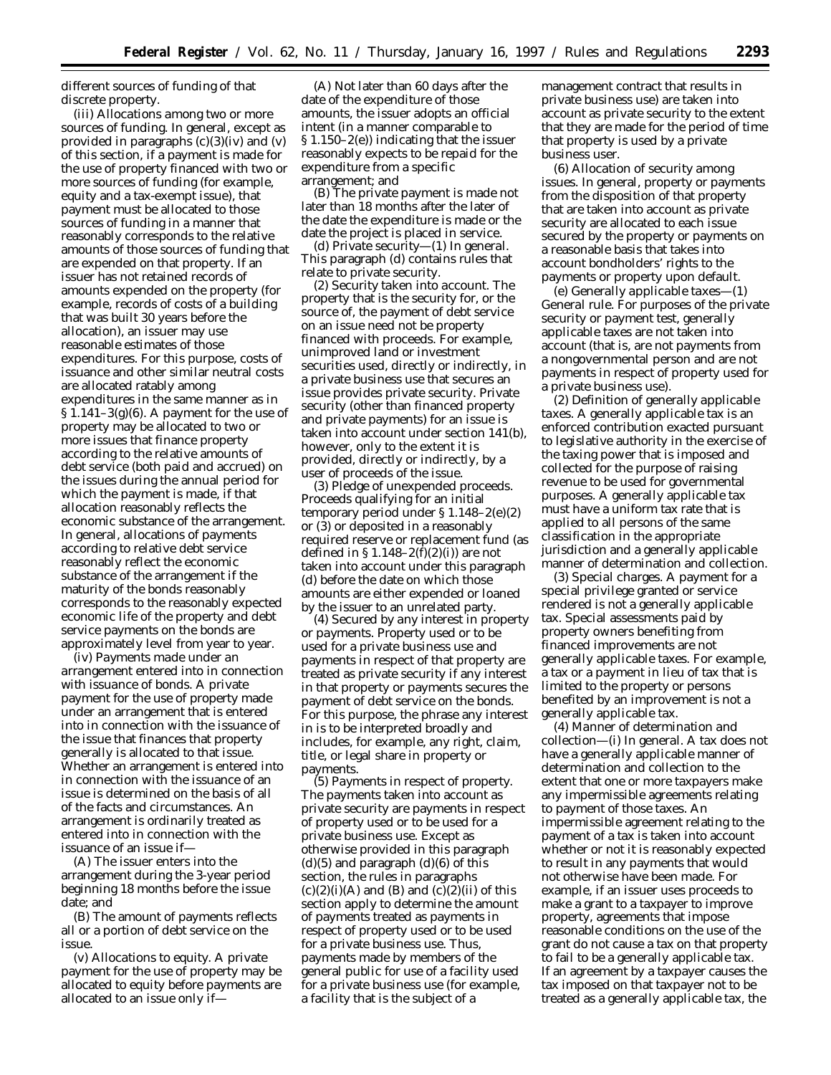different sources of funding of that discrete property.

(iii) *Allocations among two or more sources of funding.* In general, except as provided in paragraphs  $(c)(3)(iv)$  and  $(v)$ of this section, if a payment is made for the use of property financed with two or more sources of funding (for example, equity and a tax-exempt issue), that payment must be allocated to those sources of funding in a manner that reasonably corresponds to the relative amounts of those sources of funding that are expended on that property. If an issuer has not retained records of amounts expended on the property (for example, records of costs of a building that was built 30 years before the allocation), an issuer may use reasonable estimates of those expenditures. For this purpose, costs of issuance and other similar neutral costs are allocated ratably among expenditures in the same manner as in  $\S 1.141-3(g)(6)$ . A payment for the use of property may be allocated to two or more issues that finance property according to the relative amounts of debt service (both paid and accrued) on the issues during the annual period for which the payment is made, if that allocation reasonably reflects the economic substance of the arrangement. In general, allocations of payments according to relative debt service reasonably reflect the economic substance of the arrangement if the maturity of the bonds reasonably corresponds to the reasonably expected economic life of the property and debt service payments on the bonds are approximately level from year to year.

(iv) *Payments made under an arrangement entered into in connection with issuance of bonds.* A private payment for the use of property made under an arrangement that is entered into in connection with the issuance of the issue that finances that property generally is allocated to that issue. Whether an arrangement is entered into in connection with the issuance of an issue is determined on the basis of all of the facts and circumstances. An arrangement is ordinarily treated as entered into in connection with the issuance of an issue if—

(A) The issuer enters into the arrangement during the 3-year period beginning 18 months before the issue date; and

(B) The amount of payments reflects all or a portion of debt service on the issue.

(v) *Allocations to equity.* A private payment for the use of property may be allocated to equity before payments are allocated to an issue only if—

(A) Not later than 60 days after the date of the expenditure of those amounts, the issuer adopts an official intent (in a manner comparable to § 1.150–2(e)) indicating that the issuer reasonably expects to be repaid for the expenditure from a specific arrangement; and

(B) The private payment is made not later than 18 months after the later of the date the expenditure is made or the date the project is placed in service.

(d) *Private security*—(1) *In general.* This paragraph (d) contains rules that relate to private security.

(2) *Security taken into account.* The property that is the security for, or the source of, the payment of debt service on an issue need not be property financed with proceeds. For example, unimproved land or investment securities used, directly or indirectly, in a private business use that secures an issue provides private security. Private security (other than financed property and private payments) for an issue is taken into account under section 141(b), however, only to the extent it is provided, directly or indirectly, by a user of proceeds of the issue.

(3) *Pledge of unexpended proceeds.* Proceeds qualifying for an initial temporary period under § 1.148–2(e)(2) or (3) or deposited in a reasonably required reserve or replacement fund (as defined in  $\S 1.148-2(f)(2(i))$  are not taken into account under this paragraph (d) before the date on which those amounts are either expended or loaned by the issuer to an unrelated party.

(4) *Secured by any interest in property or payments.* Property used or to be used for a private business use and payments in respect of that property are treated as private security if any interest in that property or payments secures the payment of debt service on the bonds. For this purpose, the phrase any interest in is to be interpreted broadly and includes, for example, any right, claim, title, or legal share in property or payments.

(5) *Payments in respect of property.* The payments taken into account as private security are payments in respect of property used or to be used for a private business use. Except as otherwise provided in this paragraph  $(d)(5)$  and paragraph  $(d)(6)$  of this section, the rules in paragraphs  $(c)(2)(i)(A)$  and  $(B)$  and  $(c)(2)(ii)$  of this section apply to determine the amount of payments treated as payments in respect of property used or to be used for a private business use. Thus, payments made by members of the general public for use of a facility used for a private business use (for example, a facility that is the subject of a

management contract that results in private business use) are taken into account as private security to the extent that they are made for the period of time that property is used by a private business user.

(6) *Allocation of security among issues.* In general, property or payments from the disposition of that property that are taken into account as private security are allocated to each issue secured by the property or payments on a reasonable basis that takes into account bondholders' rights to the payments or property upon default.

(e) *Generally applicable taxes*—(1) *General rule.* For purposes of the private security or payment test, generally applicable taxes are not taken into account (that is, are not payments from a nongovernmental person and are not payments in respect of property used for a private business use).

(2) *Definition of generally applicable taxes.* A generally applicable tax is an enforced contribution exacted pursuant to legislative authority in the exercise of the taxing power that is imposed and collected for the purpose of raising revenue to be used for governmental purposes. A generally applicable tax must have a uniform tax rate that is applied to all persons of the same classification in the appropriate jurisdiction and a generally applicable manner of determination and collection.

(3) *Special charges.* A payment for a special privilege granted or service rendered is not a generally applicable tax. Special assessments paid by property owners benefiting from financed improvements are not generally applicable taxes. For example, a tax or a payment in lieu of tax that is limited to the property or persons benefited by an improvement is not a generally applicable tax.

(4) *Manner of determination and collection*—(i) *In general.* A tax does not have a generally applicable manner of determination and collection to the extent that one or more taxpayers make any impermissible agreements relating to payment of those taxes. An impermissible agreement relating to the payment of a tax is taken into account whether or not it is reasonably expected to result in any payments that would not otherwise have been made. For example, if an issuer uses proceeds to make a grant to a taxpayer to improve property, agreements that impose reasonable conditions on the use of the grant do not cause a tax on that property to fail to be a generally applicable tax. If an agreement by a taxpayer causes the tax imposed on that taxpayer not to be treated as a generally applicable tax, the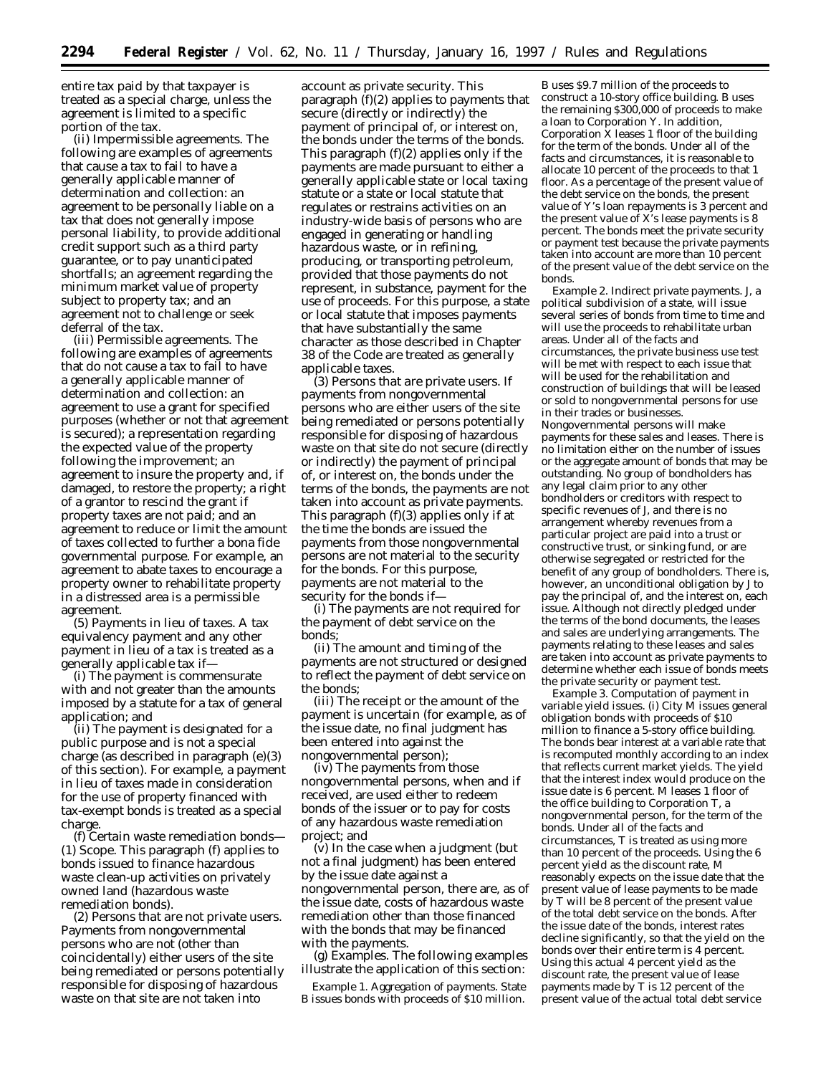entire tax paid by that taxpayer is treated as a special charge, unless the agreement is limited to a specific portion of the tax.

(ii) *Impermissible agreements.* The following are examples of agreements that cause a tax to fail to have a generally applicable manner of determination and collection: an agreement to be personally liable on a tax that does not generally impose personal liability, to provide additional credit support such as a third party guarantee, or to pay unanticipated shortfalls; an agreement regarding the minimum market value of property subject to property tax; and an agreement not to challenge or seek deferral of the tax.

(iii) *Permissible agreements.* The following are examples of agreements that do not cause a tax to fail to have a generally applicable manner of determination and collection: an agreement to use a grant for specified purposes (whether or not that agreement is secured); a representation regarding the expected value of the property following the improvement; an agreement to insure the property and, if damaged, to restore the property; a right of a grantor to rescind the grant if property taxes are not paid; and an agreement to reduce or limit the amount of taxes collected to further a bona fide governmental purpose. For example, an agreement to abate taxes to encourage a property owner to rehabilitate property in a distressed area is a permissible agreement.

(5) *Payments in lieu of taxes.* A tax equivalency payment and any other payment in lieu of a tax is treated as a generally applicable tax if—

(i) The payment is commensurate with and not greater than the amounts imposed by a statute for a tax of general application; and

(ii) The payment is designated for a public purpose and is not a special charge (as described in paragraph (e)(3) of this section). For example, a payment in lieu of taxes made in consideration for the use of property financed with tax-exempt bonds is treated as a special charge.

(f) *Certain waste remediation bonds*— (1) *Scope.* This paragraph (f) applies to bonds issued to finance hazardous waste clean-up activities on privately owned land (hazardous waste remediation bonds).

(2) *Persons that are not private users.* Payments from nongovernmental persons who are not (other than coincidentally) either users of the site being remediated or persons potentially responsible for disposing of hazardous waste on that site are not taken into

account as private security. This paragraph (f)(2) applies to payments that secure (directly or indirectly) the payment of principal of, or interest on, the bonds under the terms of the bonds. This paragraph (f)(2) applies only if the payments are made pursuant to either a generally applicable state or local taxing statute or a state or local statute that regulates or restrains activities on an industry-wide basis of persons who are engaged in generating or handling hazardous waste, or in refining, producing, or transporting petroleum, provided that those payments do not represent, in substance, payment for the use of proceeds. For this purpose, a state or local statute that imposes payments that have substantially the same character as those described in Chapter 38 of the Code are treated as generally applicable taxes.

(3) *Persons that are private users.* If payments from nongovernmental persons who are either users of the site being remediated or persons potentially responsible for disposing of hazardous waste on that site do not secure (directly or indirectly) the payment of principal of, or interest on, the bonds under the terms of the bonds, the payments are not taken into account as private payments. This paragraph (f)(3) applies only if at the time the bonds are issued the payments from those nongovernmental persons are not material to the security for the bonds. For this purpose, payments are not material to the security for the bonds if—

(i) The payments are not required for the payment of debt service on the bonds;

(ii) The amount and timing of the payments are not structured or designed to reflect the payment of debt service on the bonds;

(iii) The receipt or the amount of the payment is uncertain (for example, as of the issue date, no final judgment has been entered into against the nongovernmental person);

(iv) The payments from those nongovernmental persons, when and if received, are used either to redeem bonds of the issuer or to pay for costs of any hazardous waste remediation project; and

(v) In the case when a judgment (but not a final judgment) has been entered by the issue date against a nongovernmental person, there are, as of the issue date, costs of hazardous waste remediation other than those financed with the bonds that may be financed with the payments.

(g) *Examples.* The following examples illustrate the application of this section:

*Example 1. Aggregation of payments.* State B issues bonds with proceeds of \$10 million.

B uses \$9.7 million of the proceeds to construct a 10-story office building. B uses the remaining \$300,000 of proceeds to make a loan to Corporation Y. In addition, Corporation X leases 1 floor of the building for the term of the bonds. Under all of the facts and circumstances, it is reasonable to allocate 10 percent of the proceeds to that 1 floor. As a percentage of the present value of the debt service on the bonds, the present value of Y's loan repayments is 3 percent and the present value of  $\overline{X}$ 's lease payments is 8 percent. The bonds meet the private security or payment test because the private payments taken into account are more than 10 percent of the present value of the debt service on the bonds.

*Example 2. Indirect private payments.* J, a political subdivision of a state, will issue several series of bonds from time to time and will use the proceeds to rehabilitate urban areas. Under all of the facts and circumstances, the private business use test will be met with respect to each issue that will be used for the rehabilitation and construction of buildings that will be leased or sold to nongovernmental persons for use in their trades or businesses. Nongovernmental persons will make payments for these sales and leases. There is no limitation either on the number of issues or the aggregate amount of bonds that may be outstanding. No group of bondholders has any legal claim prior to any other bondholders or creditors with respect to specific revenues of J, and there is no arrangement whereby revenues from a particular project are paid into a trust or constructive trust, or sinking fund, or are otherwise segregated or restricted for the benefit of any group of bondholders. There is, however, an unconditional obligation by J to pay the principal of, and the interest on, each issue. Although not directly pledged under the terms of the bond documents, the leases and sales are underlying arrangements. The payments relating to these leases and sales are taken into account as private payments to determine whether each issue of bonds meets the private security or payment test.

*Example 3. Computation of payment in variable yield issues.* (i) City M issues general obligation bonds with proceeds of \$10 million to finance a 5-story office building. The bonds bear interest at a variable rate that is recomputed monthly according to an index that reflects current market yields. The yield that the interest index would produce on the issue date is 6 percent. M leases 1 floor of the office building to Corporation T, a nongovernmental person, for the term of the bonds. Under all of the facts and circumstances, T is treated as using more than 10 percent of the proceeds. Using the 6 percent yield as the discount rate, M reasonably expects on the issue date that the present value of lease payments to be made by T will be 8 percent of the present value of the total debt service on the bonds. After the issue date of the bonds, interest rates decline significantly, so that the yield on the bonds over their entire term is 4 percent. Using this actual 4 percent yield as the discount rate, the present value of lease payments made by T is 12 percent of the present value of the actual total debt service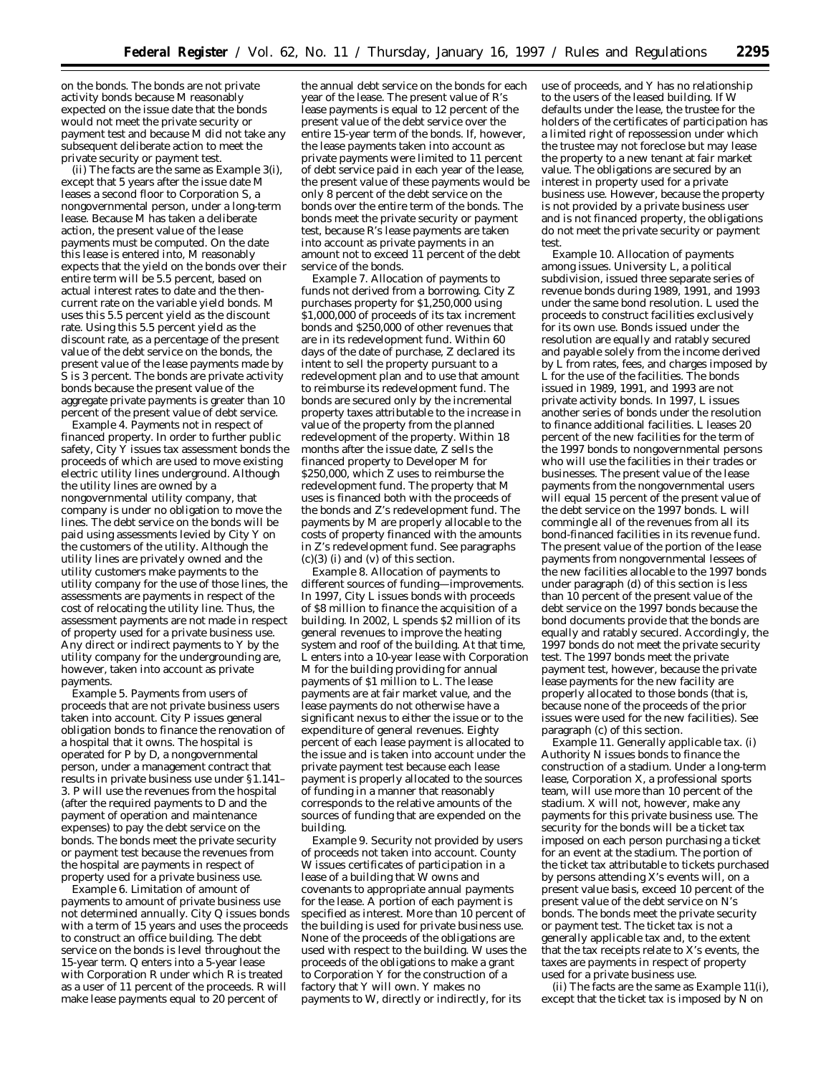on the bonds. The bonds are not private activity bonds because M reasonably expected on the issue date that the bonds would not meet the private security or payment test and because M did not take any subsequent deliberate action to meet the private security or payment test.

(ii) The facts are the same as *Example 3(i),* except that 5 years after the issue date M leases a second floor to Corporation S, a nongovernmental person, under a long-term lease. Because M has taken a deliberate action, the present value of the lease payments must be computed. On the date this lease is entered into, M reasonably expects that the yield on the bonds over their entire term will be 5.5 percent, based on actual interest rates to date and the thencurrent rate on the variable yield bonds. M uses this 5.5 percent yield as the discount rate. Using this 5.5 percent yield as the discount rate, as a percentage of the present value of the debt service on the bonds, the present value of the lease payments made by S is 3 percent. The bonds are private activity bonds because the present value of the aggregate private payments is greater than 10 percent of the present value of debt service.

*Example 4. Payments not in respect of financed property.* In order to further public safety, City Y issues tax assessment bonds the proceeds of which are used to move existing electric utility lines underground. Although the utility lines are owned by a nongovernmental utility company, that company is under no obligation to move the lines. The debt service on the bonds will be paid using assessments levied by City Y on the customers of the utility. Although the utility lines are privately owned and the utility customers make payments to the utility company for the use of those lines, the assessments are payments in respect of the cost of relocating the utility line. Thus, the assessment payments are not made in respect of property used for a private business use. Any direct or indirect payments to Y by the utility company for the undergrounding are, however, taken into account as private payments.

*Example 5. Payments from users of proceeds that are not private business users taken into account.* City P issues general obligation bonds to finance the renovation of a hospital that it owns. The hospital is operated for P by D, a nongovernmental person, under a management contract that results in private business use under §1.141– 3. P will use the revenues from the hospital (after the required payments to D and the payment of operation and maintenance expenses) to pay the debt service on the bonds. The bonds meet the private security or payment test because the revenues from the hospital are payments in respect of property used for a private business use.

*Example 6. Limitation of amount of payments to amount of private business use not determined annually.* City Q issues bonds with a term of 15 years and uses the proceeds to construct an office building. The debt service on the bonds is level throughout the 15-year term. Q enters into a 5-year lease with Corporation R under which R is treated as a user of 11 percent of the proceeds. R will make lease payments equal to 20 percent of

the annual debt service on the bonds for each year of the lease. The present value of R's lease payments is equal to 12 percent of the present value of the debt service over the entire 15-year term of the bonds. If, however, the lease payments taken into account as private payments were limited to 11 percent of debt service paid in each year of the lease, the present value of these payments would be only 8 percent of the debt service on the bonds over the entire term of the bonds. The bonds meet the private security or payment test, because R's lease payments are taken into account as private payments in an amount not to exceed 11 percent of the debt service of the bonds.

*Example 7. Allocation of payments to funds not derived from a borrowing.* City Z purchases property for \$1,250,000 using \$1,000,000 of proceeds of its tax increment bonds and \$250,000 of other revenues that are in its redevelopment fund. Within 60 days of the date of purchase, Z declared its intent to sell the property pursuant to a redevelopment plan and to use that amount to reimburse its redevelopment fund. The bonds are secured only by the incremental property taxes attributable to the increase in value of the property from the planned redevelopment of the property. Within 18 months after the issue date, Z sells the financed property to Developer M for \$250,000, which Z uses to reimburse the redevelopment fund. The property that M uses is financed both with the proceeds of the bonds and Z's redevelopment fund. The payments by M are properly allocable to the costs of property financed with the amounts in Z's redevelopment fund. See paragraphs  $(c)(3)$  (i) and  $(v)$  of this section.

*Example 8. Allocation of payments to different sources of funding—improvements.* In 1997, City L issues bonds with proceeds of \$8 million to finance the acquisition of a building. In 2002, L spends \$2 million of its general revenues to improve the heating system and roof of the building. At that time, L enters into a 10-year lease with Corporation M for the building providing for annual payments of \$1 million to L. The lease payments are at fair market value, and the lease payments do not otherwise have a significant nexus to either the issue or to the expenditure of general revenues. Eighty percent of each lease payment is allocated to the issue and is taken into account under the private payment test because each lease payment is properly allocated to the sources of funding in a manner that reasonably corresponds to the relative amounts of the sources of funding that are expended on the building.

*Example 9. Security not provided by users of proceeds not taken into account.* County W issues certificates of participation in a lease of a building that W owns and covenants to appropriate annual payments for the lease. A portion of each payment is specified as interest. More than 10 percent of the building is used for private business use. None of the proceeds of the obligations are used with respect to the building. W uses the proceeds of the obligations to make a grant to Corporation Y for the construction of a factory that Y will own. Y makes no payments to W, directly or indirectly, for its

use of proceeds, and Y has no relationship to the users of the leased building. If W defaults under the lease, the trustee for the holders of the certificates of participation has a limited right of repossession under which the trustee may not foreclose but may lease the property to a new tenant at fair market value. The obligations are secured by an interest in property used for a private business use. However, because the property is not provided by a private business user and is not financed property, the obligations do not meet the private security or payment test.

*Example 10. Allocation of payments among issues.* University L, a political subdivision, issued three separate series of revenue bonds during 1989, 1991, and 1993 under the same bond resolution. L used the proceeds to construct facilities exclusively for its own use. Bonds issued under the resolution are equally and ratably secured and payable solely from the income derived by L from rates, fees, and charges imposed by L for the use of the facilities. The bonds issued in 1989, 1991, and 1993 are not private activity bonds. In 1997, L issues another series of bonds under the resolution to finance additional facilities. L leases 20 percent of the new facilities for the term of the 1997 bonds to nongovernmental persons who will use the facilities in their trades or businesses. The present value of the lease payments from the nongovernmental users will equal 15 percent of the present value of the debt service on the 1997 bonds. L will commingle all of the revenues from all its bond-financed facilities in its revenue fund. The present value of the portion of the lease payments from nongovernmental lessees of the new facilities allocable to the 1997 bonds under paragraph (d) of this section is less than 10 percent of the present value of the debt service on the 1997 bonds because the bond documents provide that the bonds are equally and ratably secured. Accordingly, the 1997 bonds do not meet the private security test. The 1997 bonds meet the private payment test, however, because the private lease payments for the new facility are properly allocated to those bonds (that is, because none of the proceeds of the prior issues were used for the new facilities). See paragraph (c) of this section.

*Example 11. Generally applicable tax.* (i) Authority N issues bonds to finance the construction of a stadium. Under a long-term lease, Corporation X, a professional sports team, will use more than 10 percent of the stadium. X will not, however, make any payments for this private business use. The security for the bonds will be a ticket tax imposed on each person purchasing a ticket for an event at the stadium. The portion of the ticket tax attributable to tickets purchased by persons attending X's events will, on a present value basis, exceed 10 percent of the present value of the debt service on N's bonds. The bonds meet the private security or payment test. The ticket tax is not a generally applicable tax and, to the extent that the tax receipts relate to X's events, the taxes are payments in respect of property used for a private business use.

(ii) The facts are the same as *Example 11(i),* except that the ticket tax is imposed by N on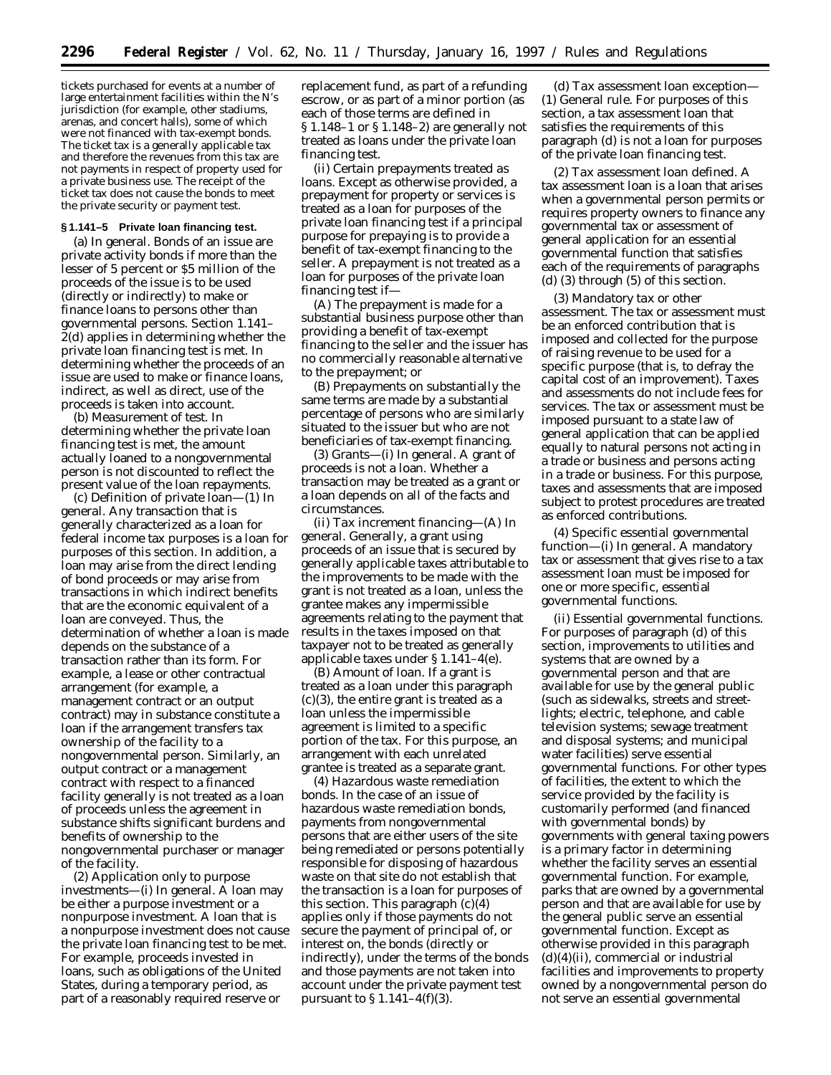tickets purchased for events at a number of large entertainment facilities within the N's jurisdiction (for example, other stadiums, arenas, and concert halls), some of which were not financed with tax-exempt bonds. The ticket tax is a generally applicable tax and therefore the revenues from this tax are not payments in respect of property used for a private business use. The receipt of the ticket tax does not cause the bonds to meet the private security or payment test.

### **§ 1.141–5 Private loan financing test.**

(a) *In general.* Bonds of an issue are private activity bonds if more than the lesser of 5 percent or \$5 million of the proceeds of the issue is to be used (directly or indirectly) to make or finance loans to persons other than governmental persons. Section 1.141– 2(d) applies in determining whether the private loan financing test is met. In determining whether the proceeds of an issue are used to make or finance loans, indirect, as well as direct, use of the proceeds is taken into account.

(b) *Measurement of test.* In determining whether the private loan financing test is met, the amount actually loaned to a nongovernmental person is not discounted to reflect the present value of the loan repayments.

(c) *Definition of private loan*—(1) *In general.* Any transaction that is generally characterized as a loan for federal income tax purposes is a loan for purposes of this section. In addition, a loan may arise from the direct lending of bond proceeds or may arise from transactions in which indirect benefits that are the economic equivalent of a loan are conveyed. Thus, the determination of whether a loan is made depends on the substance of a transaction rather than its form. For example, a lease or other contractual arrangement (for example, a management contract or an output contract) may in substance constitute a loan if the arrangement transfers tax ownership of the facility to a nongovernmental person. Similarly, an output contract or a management contract with respect to a financed facility generally is not treated as a loan of proceeds unless the agreement in substance shifts significant burdens and benefits of ownership to the nongovernmental purchaser or manager of the facility.

(2) *Application only to purpose investments*—(i) *In general.* A loan may be either a purpose investment or a nonpurpose investment. A loan that is a nonpurpose investment does not cause the private loan financing test to be met. For example, proceeds invested in loans, such as obligations of the United States, during a temporary period, as part of a reasonably required reserve or

replacement fund, as part of a refunding escrow, or as part of a minor portion (as each of those terms are defined in § 1.148–1 or § 1.148–2) are generally not treated as loans under the private loan financing test.

(ii) *Certain prepayments treated as loans.* Except as otherwise provided, a prepayment for property or services is treated as a loan for purposes of the private loan financing test if a principal purpose for prepaying is to provide a benefit of tax-exempt financing to the seller. A prepayment is not treated as a loan for purposes of the private loan financing test if—

(A) The prepayment is made for a substantial business purpose other than providing a benefit of tax-exempt financing to the seller and the issuer has no commercially reasonable alternative to the prepayment; or

(B) Prepayments on substantially the same terms are made by a substantial percentage of persons who are similarly situated to the issuer but who are not beneficiaries of tax-exempt financing.

(3) *Grants*—(i) *In general.* A grant of proceeds is not a loan. Whether a transaction may be treated as a grant or a loan depends on all of the facts and circumstances.

(ii) *Tax increment financing*—(A) *In general.* Generally, a grant using proceeds of an issue that is secured by generally applicable taxes attributable to the improvements to be made with the grant is not treated as a loan, unless the grantee makes any impermissible agreements relating to the payment that results in the taxes imposed on that taxpayer not to be treated as generally applicable taxes under § 1.141–4(e).

(B) *Amount of loan.* If a grant is treated as a loan under this paragraph  $(c)(3)$ , the entire grant is treated as a loan unless the impermissible agreement is limited to a specific portion of the tax. For this purpose, an arrangement with each unrelated grantee is treated as a separate grant.

(4) *Hazardous waste remediation bonds.* In the case of an issue of hazardous waste remediation bonds, payments from nongovernmental persons that are either users of the site being remediated or persons potentially responsible for disposing of hazardous waste on that site do not establish that the transaction is a loan for purposes of this section. This paragraph  $(c)(4)$ applies only if those payments do not secure the payment of principal of, or interest on, the bonds (directly or indirectly), under the terms of the bonds and those payments are not taken into account under the private payment test pursuant to  $\S 1.141-4(f)(3)$ .

(d) *Tax assessment loan exception*— (1) *General rule.* For purposes of this section, a tax assessment loan that satisfies the requirements of this paragraph (d) is not a loan for purposes of the private loan financing test.

(2) *Tax assessment loan defined.* A tax assessment loan is a loan that arises when a governmental person permits or requires property owners to finance any governmental tax or assessment of general application for an essential governmental function that satisfies each of the requirements of paragraphs (d) (3) through (5) of this section.

(3) *Mandatory tax or other assessment.* The tax or assessment must be an enforced contribution that is imposed and collected for the purpose of raising revenue to be used for a specific purpose (that is, to defray the capital cost of an improvement). Taxes and assessments do not include fees for services. The tax or assessment must be imposed pursuant to a state law of general application that can be applied equally to natural persons not acting in a trade or business and persons acting in a trade or business. For this purpose, taxes and assessments that are imposed subject to protest procedures are treated as enforced contributions.

(4) *Specific essential governmental function*—(i) *In general.* A mandatory tax or assessment that gives rise to a tax assessment loan must be imposed for one or more specific, essential governmental functions.

(ii) *Essential governmental functions.* For purposes of paragraph (d) of this section, improvements to utilities and systems that are owned by a governmental person and that are available for use by the general public (such as sidewalks, streets and streetlights; electric, telephone, and cable television systems; sewage treatment and disposal systems; and municipal water facilities) serve essential governmental functions. For other types of facilities, the extent to which the service provided by the facility is customarily performed (and financed with governmental bonds) by governments with general taxing powers is a primary factor in determining whether the facility serves an essential governmental function. For example, parks that are owned by a governmental person and that are available for use by the general public serve an essential governmental function. Except as otherwise provided in this paragraph  $(d)(4)(ii)$ , commercial or industrial facilities and improvements to property owned by a nongovernmental person do not serve an essential governmental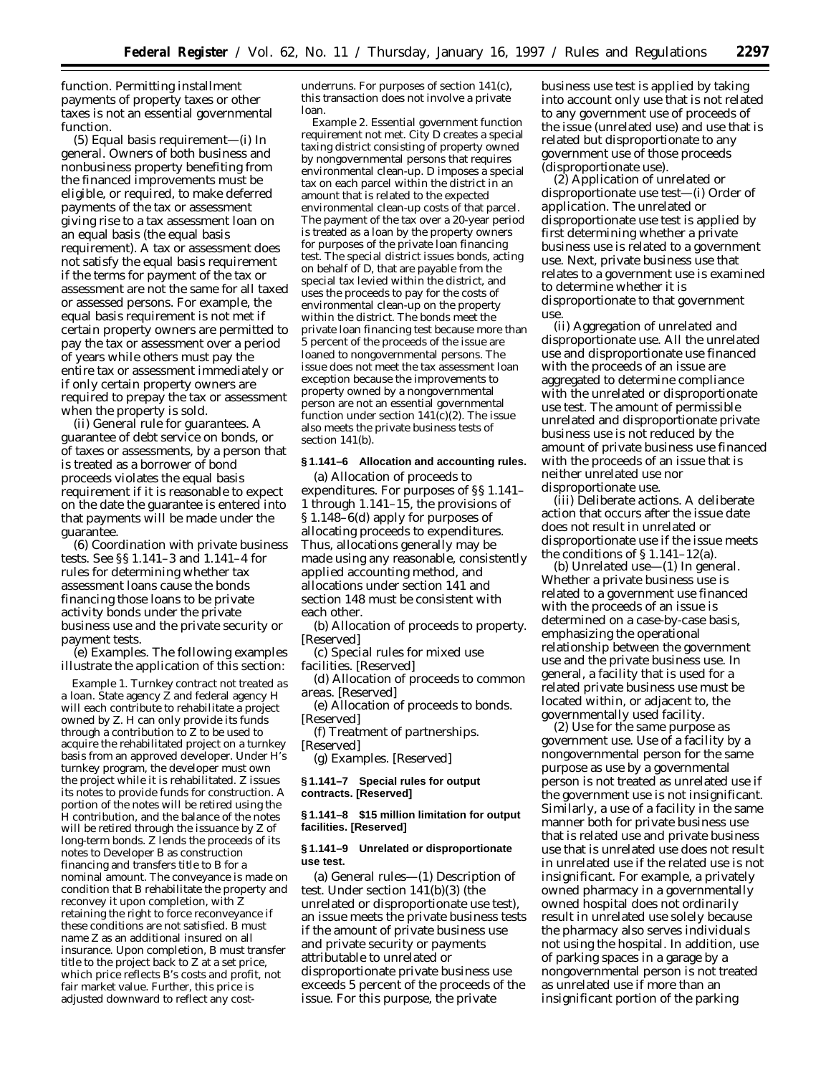function. Permitting installment payments of property taxes or other taxes is not an essential governmental function.

(5) *Equal basis requirement*—(i) *In general.* Owners of both business and nonbusiness property benefiting from the financed improvements must be eligible, or required, to make deferred payments of the tax or assessment giving rise to a tax assessment loan on an equal basis (the equal basis requirement). A tax or assessment does not satisfy the equal basis requirement if the terms for payment of the tax or assessment are not the same for all taxed or assessed persons. For example, the equal basis requirement is not met if certain property owners are permitted to pay the tax or assessment over a period of years while others must pay the entire tax or assessment immediately or if only certain property owners are required to prepay the tax or assessment when the property is sold.

(ii) *General rule for guarantees.* A guarantee of debt service on bonds, or of taxes or assessments, by a person that is treated as a borrower of bond proceeds violates the equal basis requirement if it is reasonable to expect on the date the guarantee is entered into that payments will be made under the guarantee.

(6) *Coordination with private business tests.* See §§ 1.141–3 and 1.141–4 for rules for determining whether tax assessment loans cause the bonds financing those loans to be private activity bonds under the private business use and the private security or payment tests.

(e) *Examples.* The following examples illustrate the application of this section:

*Example 1. Turnkey contract not treated as a loan.* State agency Z and federal agency H will each contribute to rehabilitate a project owned by Z. H can only provide its funds through a contribution to Z to be used to acquire the rehabilitated project on a turnkey basis from an approved developer. Under H's turnkey program, the developer must own the project while it is rehabilitated. Z issues its notes to provide funds for construction. A portion of the notes will be retired using the H contribution, and the balance of the notes will be retired through the issuance by Z of long-term bonds. Z lends the proceeds of its notes to Developer B as construction financing and transfers title to B for a nominal amount. The conveyance is made on condition that B rehabilitate the property and reconvey it upon completion, with Z retaining the right to force reconveyance if these conditions are not satisfied. B must name Z as an additional insured on all insurance. Upon completion, B must transfer title to the project back to Z at a set price, which price reflects B's costs and profit, not fair market value. Further, this price is adjusted downward to reflect any costunderruns. For purposes of section 141(c), this transaction does not involve a private loan.

*Example 2. Essential government function requirement not met.* City D creates a special taxing district consisting of property owned by nongovernmental persons that requires environmental clean-up. D imposes a special tax on each parcel within the district in an amount that is related to the expected environmental clean-up costs of that parcel. The payment of the tax over a 20-year period is treated as a loan by the property owners for purposes of the private loan financing test. The special district issues bonds, acting on behalf of D, that are payable from the special tax levied within the district, and uses the proceeds to pay for the costs of environmental clean-up on the property within the district. The bonds meet the private loan financing test because more than 5 percent of the proceeds of the issue are loaned to nongovernmental persons. The issue does not meet the tax assessment loan exception because the improvements to property owned by a nongovernmental person are not an essential governmental function under section  $141(c)(2)$ . The issue also meets the private business tests of section 141(b).

### **§ 1.141–6 Allocation and accounting rules.**

(a) *Allocation of proceeds to expenditures.* For purposes of §§ 1.141– 1 through 1.141–15, the provisions of § 1.148–6(d) apply for purposes of allocating proceeds to expenditures. Thus, allocations generally may be made using any reasonable, consistently applied accounting method, and allocations under section 141 and section 148 must be consistent with each other.

(b) *Allocation of proceeds to property.* [Reserved]

(c) *Special rules for mixed use facilities.* [Reserved]

(d) *Allocation of proceeds to common areas.* [Reserved]

(e) *Allocation of proceeds to bonds.* [Reserved]

(f) *Treatment of partnerships.* [Reserved]

(g) *Examples.* [Reserved]

**§ 1.141–7 Special rules for output contracts. [Reserved]**

## **§ 1.141–8 \$15 million limitation for output facilities. [Reserved]**

### **§ 1.141–9 Unrelated or disproportionate use test.**

(a) *General rules—*(1) *Description of test.* Under section 141(b)(3) (the unrelated or disproportionate use test), an issue meets the private business tests if the amount of private business use and private security or payments attributable to unrelated or disproportionate private business use exceeds 5 percent of the proceeds of the issue. For this purpose, the private

business use test is applied by taking into account only use that is not related to any government use of proceeds of the issue (unrelated use) and use that is related but disproportionate to any government use of those proceeds (disproportionate use).

*(2) Application of unrelated or disproportionate use test*—(i) *Order of application.* The unrelated or disproportionate use test is applied by first determining whether a private business use is related to a government use. Next, private business use that relates to a government use is examined to determine whether it is disproportionate to that government use.

(ii) *Aggregation of unrelated and disproportionate use.* All the unrelated use and disproportionate use financed with the proceeds of an issue are aggregated to determine compliance with the unrelated or disproportionate use test. The amount of permissible unrelated and disproportionate private business use is not reduced by the amount of private business use financed with the proceeds of an issue that is neither unrelated use nor disproportionate use.

(iii) *Deliberate actions.* A deliberate action that occurs after the issue date does not result in unrelated or disproportionate use if the issue meets the conditions of  $\S 1.141 - 12(a)$ .

(b) *Unrelated use*—(1) *In general.* Whether a private business use is related to a government use financed with the proceeds of an issue is determined on a case-by-case basis, emphasizing the operational relationship between the government use and the private business use. In general, a facility that is used for a related private business use must be located within, or adjacent to, the governmentally used facility.

(2) *Use for the same purpose as government use.* Use of a facility by a nongovernmental person for the same purpose as use by a governmental person is not treated as unrelated use if the government use is not insignificant. Similarly, a use of a facility in the same manner both for private business use that is related use and private business use that is unrelated use does not result in unrelated use if the related use is not insignificant. For example, a privately owned pharmacy in a governmentally owned hospital does not ordinarily result in unrelated use solely because the pharmacy also serves individuals not using the hospital. In addition, use of parking spaces in a garage by a nongovernmental person is not treated as unrelated use if more than an insignificant portion of the parking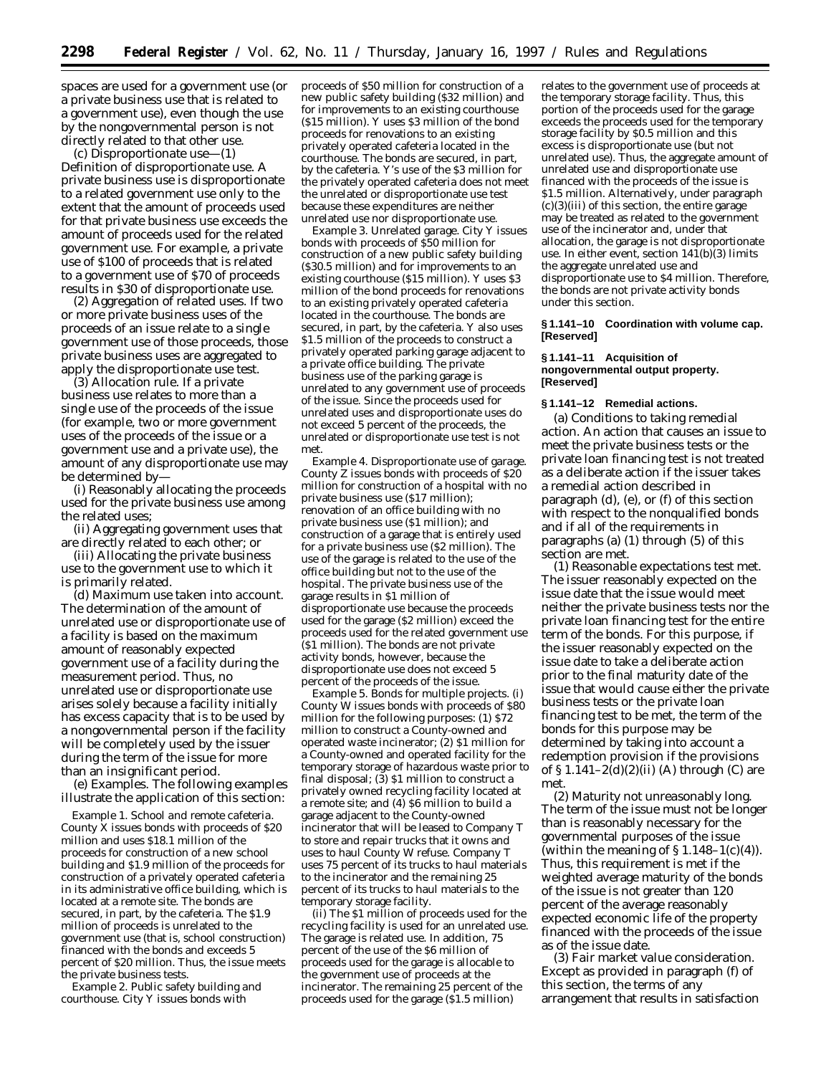spaces are used for a government use (or a private business use that is related to a government use), even though the use by the nongovernmental person is not directly related to that other use.

(c) *Disproportionate use*—(1) *Definition of disproportionate use.* A private business use is disproportionate to a related government use only to the extent that the amount of proceeds used for that private business use exceeds the amount of proceeds used for the related government use. For example, a private use of \$100 of proceeds that is related to a government use of \$70 of proceeds results in \$30 of disproportionate use.

(2) *Aggregation of related uses.* If two or more private business uses of the proceeds of an issue relate to a single government use of those proceeds, those private business uses are aggregated to apply the disproportionate use test.

(3) *Allocation rule.* If a private business use relates to more than a single use of the proceeds of the issue (for example, two or more government uses of the proceeds of the issue or a government use and a private use), the amount of any disproportionate use may be determined by—

(i) Reasonably allocating the proceeds used for the private business use among the related uses;

(ii) Aggregating government uses that are directly related to each other; or

(iii) Allocating the private business use to the government use to which it is primarily related.

(d) *Maximum use taken into account.* The determination of the amount of unrelated use or disproportionate use of a facility is based on the maximum amount of reasonably expected government use of a facility during the measurement period. Thus, no unrelated use or disproportionate use arises solely because a facility initially has excess capacity that is to be used by a nongovernmental person if the facility will be completely used by the issuer during the term of the issue for more than an insignificant period.

(e) *Examples.* The following examples illustrate the application of this section:

*Example 1. School and remote cafeteria.* County  $X$  issues bonds with proceeds of  $$20$ million and uses \$18.1 million of the proceeds for construction of a new school building and \$1.9 million of the proceeds for construction of a privately operated cafeteria in its administrative office building, which is located at a remote site. The bonds are secured, in part, by the cafeteria. The \$1.9 million of proceeds is unrelated to the government use (that is, school construction) financed with the bonds and exceeds 5 percent of \$20 million. Thus, the issue meets the private business tests.

*Example 2. Public safety building and courthouse.* City Y issues bonds with

proceeds of \$50 million for construction of a new public safety building (\$32 million) and for improvements to an existing courthouse (\$15 million). Y uses \$3 million of the bond proceeds for renovations to an existing privately operated cafeteria located in the courthouse. The bonds are secured, in part, by the cafeteria. Y's use of the \$3 million for the privately operated cafeteria does not meet the unrelated or disproportionate use test because these expenditures are neither unrelated use nor disproportionate use.

*Example 3. Unrelated garage.* City Y issues bonds with proceeds of \$50 million for construction of a new public safety building (\$30.5 million) and for improvements to an existing courthouse (\$15 million). Y uses \$3 million of the bond proceeds for renovations to an existing privately operated cafeteria located in the courthouse. The bonds are secured, in part, by the cafeteria. Y also uses \$1.5 million of the proceeds to construct a privately operated parking garage adjacent to a private office building. The private business use of the parking garage is unrelated to any government use of proceeds of the issue. Since the proceeds used for unrelated uses and disproportionate uses do not exceed 5 percent of the proceeds, the unrelated or disproportionate use test is not met.

*Example 4. Disproportionate use of garage.* County Z issues bonds with proceeds of \$20 million for construction of a hospital with no private business use (\$17 million); renovation of an office building with no private business use (\$1 million); and construction of a garage that is entirely used for a private business use (\$2 million). The use of the garage is related to the use of the office building but not to the use of the hospital. The private business use of the garage results in \$1 million of disproportionate use because the proceeds used for the garage (\$2 million) exceed the proceeds used for the related government use (\$1 million). The bonds are not private activity bonds, however, because the disproportionate use does not exceed 5 percent of the proceeds of the issue.

*Example 5. Bonds for multiple projects.* (i) County W issues bonds with proceeds of \$80 million for the following purposes: (1) \$72 million to construct a County-owned and operated waste incinerator; (2) \$1 million for a County-owned and operated facility for the temporary storage of hazardous waste prior to final disposal; (3) \$1 million to construct a privately owned recycling facility located at a remote site; and (4) \$6 million to build a garage adjacent to the County-owned incinerator that will be leased to Company T to store and repair trucks that it owns and uses to haul County W refuse. Company T uses 75 percent of its trucks to haul materials to the incinerator and the remaining 25 percent of its trucks to haul materials to the temporary storage facility.

(ii) The \$1 million of proceeds used for the recycling facility is used for an unrelated use. The garage is related use. In addition, 75 percent of the use of the \$6 million of proceeds used for the garage is allocable to the government use of proceeds at the incinerator. The remaining 25 percent of the proceeds used for the garage (\$1.5 million)

relates to the government use of proceeds at the temporary storage facility. Thus, this portion of the proceeds used for the garage exceeds the proceeds used for the temporary storage facility by \$0.5 million and this excess is disproportionate use (but not unrelated use). Thus, the aggregate amount of unrelated use and disproportionate use financed with the proceeds of the issue is \$1.5 million. Alternatively, under paragraph (c)(3)(iii) of this section, the entire garage may be treated as related to the government use of the incinerator and, under that allocation, the garage is not disproportionate use. In either event, section  $141(b)(3)$  limits the aggregate unrelated use and disproportionate use to \$4 million. Therefore, the bonds are not private activity bonds under this section.

#### **§ 1.141–10 Coordination with volume cap. [Reserved]**

### **§ 1.141–11 Acquisition of nongovernmental output property. [Reserved]**

### **§ 1.141–12 Remedial actions.**

(a) *Conditions to taking remedial action.* An action that causes an issue to meet the private business tests or the private loan financing test is not treated as a deliberate action if the issuer takes a remedial action described in paragraph (d), (e), or (f) of this section with respect to the nonqualified bonds and if all of the requirements in paragraphs (a) (1) through (5) of this section are met.

(1) *Reasonable expectations test met.* The issuer reasonably expected on the issue date that the issue would meet neither the private business tests nor the private loan financing test for the entire term of the bonds. For this purpose, if the issuer reasonably expected on the issue date to take a deliberate action prior to the final maturity date of the issue that would cause either the private business tests or the private loan financing test to be met, the term of the bonds for this purpose may be determined by taking into account a redemption provision if the provisions of  $\S 1.141-2(d)(2)(ii)$  (A) through (C) are met.

(2) *Maturity not unreasonably long.* The term of the issue must not be longer than is reasonably necessary for the governmental purposes of the issue (within the meaning of  $\S 1.148-1(c)(4)$ ). Thus, this requirement is met if the weighted average maturity of the bonds of the issue is not greater than 120 percent of the average reasonably expected economic life of the property financed with the proceeds of the issue as of the issue date.

(3) *Fair market value consideration.* Except as provided in paragraph (f) of this section, the terms of any arrangement that results in satisfaction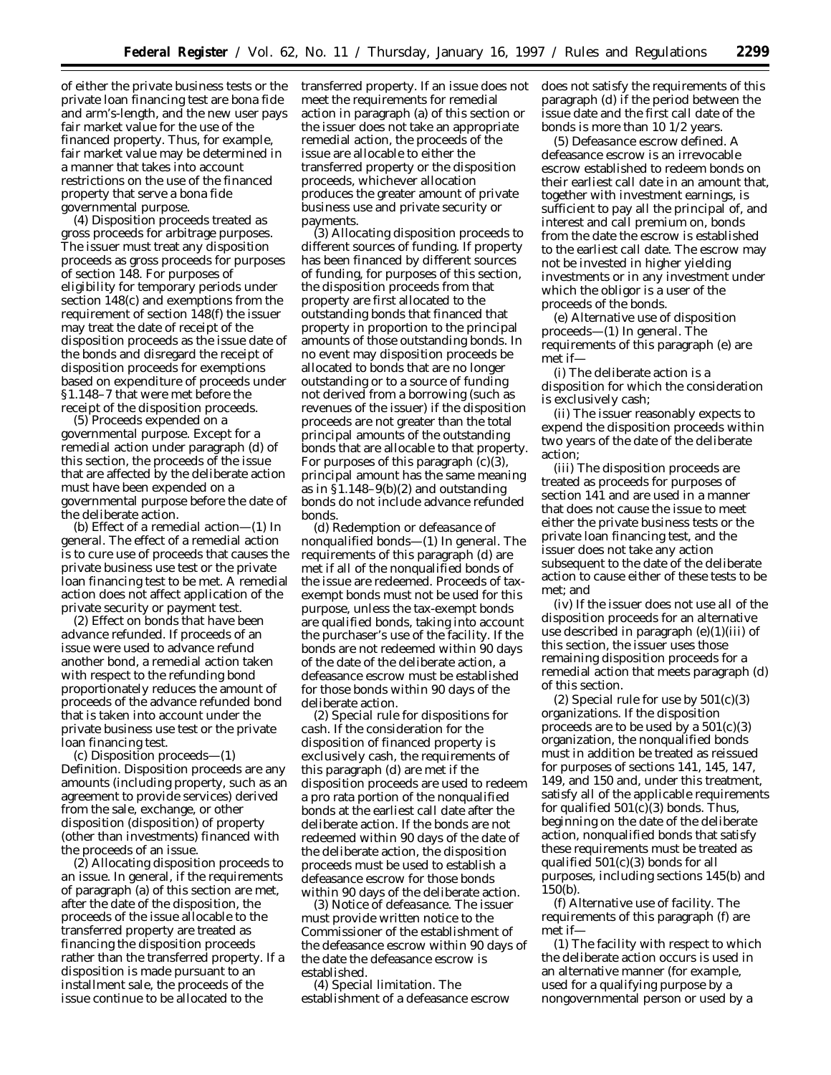of either the private business tests or the private loan financing test are bona fide and arm's-length, and the new user pays fair market value for the use of the financed property. Thus, for example, fair market value may be determined in a manner that takes into account restrictions on the use of the financed property that serve a bona fide governmental purpose.

(4) *Disposition proceeds treated as gross proceeds for arbitrage purposes.* The issuer must treat any disposition proceeds as gross proceeds for purposes of section 148. For purposes of eligibility for temporary periods under section 148(c) and exemptions from the requirement of section 148(f) the issuer may treat the date of receipt of the disposition proceeds as the issue date of the bonds and disregard the receipt of disposition proceeds for exemptions based on expenditure of proceeds under §1.148–7 that were met before the receipt of the disposition proceeds.

(5) *Proceeds expended on a governmental purpose.* Except for a remedial action under paragraph (d) of this section, the proceeds of the issue that are affected by the deliberate action must have been expended on a governmental purpose before the date of the deliberate action.

(b) *Effect of a remedial action—*(1) *In general.* The effect of a remedial action is to cure use of proceeds that causes the private business use test or the private loan financing test to be met. A remedial action does not affect application of the private security or payment test.

(2) *Effect on bonds that have been advance refunded.* If proceeds of an issue were used to advance refund another bond, a remedial action taken with respect to the refunding bond proportionately reduces the amount of proceeds of the advance refunded bond that is taken into account under the private business use test or the private loan financing test.

(c) *Disposition proceeds—*(1) *Definition. Disposition proceeds* are any amounts (including property, such as an agreement to provide services) derived from the sale, exchange, or other disposition (disposition) of property (other than investments) financed with the proceeds of an issue.

(2) *Allocating disposition proceeds to an issue.* In general, if the requirements of paragraph (a) of this section are met, after the date of the disposition, the proceeds of the issue allocable to the transferred property are treated as financing the disposition proceeds rather than the transferred property. If a disposition is made pursuant to an installment sale, the proceeds of the issue continue to be allocated to the

transferred property. If an issue does not meet the requirements for remedial action in paragraph (a) of this section or the issuer does not take an appropriate remedial action, the proceeds of the issue are allocable to either the transferred property or the disposition proceeds, whichever allocation produces the greater amount of private business use and private security or payments.

(3) *Allocating disposition proceeds to different sources of funding.* If property has been financed by different sources of funding, for purposes of this section, the disposition proceeds from that property are first allocated to the outstanding bonds that financed that property in proportion to the principal amounts of those outstanding bonds. In no event may disposition proceeds be allocated to bonds that are no longer outstanding or to a source of funding not derived from a borrowing (such as revenues of the issuer) if the disposition proceeds are not greater than the total principal amounts of the outstanding bonds that are allocable to that property. For purposes of this paragraph (c)(3), principal amount has the same meaning as in  $$1.148-9(b)(2)$  and outstanding bonds do not include advance refunded bonds.

(d) *Redemption or defeasance of nonqualified bonds—*(1) *In general.* The requirements of this paragraph (d) are met if all of the nonqualified bonds of the issue are redeemed. Proceeds of taxexempt bonds must not be used for this purpose, unless the tax-exempt bonds are qualified bonds, taking into account the purchaser's use of the facility. If the bonds are not redeemed within 90 days of the date of the deliberate action, a defeasance escrow must be established for those bonds within 90 days of the deliberate action.

(2) *Special rule for dispositions for cash.* If the consideration for the disposition of financed property is exclusively cash, the requirements of this paragraph (d) are met if the disposition proceeds are used to redeem a pro rata portion of the nonqualified bonds at the earliest call date after the deliberate action. If the bonds are not redeemed within 90 days of the date of the deliberate action, the disposition proceeds must be used to establish a defeasance escrow for those bonds within 90 days of the deliberate action.

(3) *Notice of defeasance.* The issuer must provide written notice to the Commissioner of the establishment of the defeasance escrow within 90 days of the date the defeasance escrow is established.

(4) *Special limitation.* The establishment of a defeasance escrow does not satisfy the requirements of this paragraph (d) if the period between the issue date and the first call date of the bonds is more than 10 1/2 years.

(5) *Defeasance escrow defined.* A defeasance escrow is an irrevocable escrow established to redeem bonds on their earliest call date in an amount that, together with investment earnings, is sufficient to pay all the principal of, and interest and call premium on, bonds from the date the escrow is established to the earliest call date. The escrow may not be invested in higher yielding investments or in any investment under which the obligor is a user of the proceeds of the bonds.

(e) *Alternative use of disposition proceeds—*(1) *In general.* The requirements of this paragraph (e) are met if—

(i) The deliberate action is a disposition for which the consideration is exclusively cash;

(ii) The issuer reasonably expects to expend the disposition proceeds within two years of the date of the deliberate action;

(iii) The disposition proceeds are treated as proceeds for purposes of section 141 and are used in a manner that does not cause the issue to meet either the private business tests or the private loan financing test, and the issuer does not take any action subsequent to the date of the deliberate action to cause either of these tests to be met; and

(iv) If the issuer does not use all of the disposition proceeds for an alternative use described in paragraph (e)(1)(iii) of this section, the issuer uses those remaining disposition proceeds for a remedial action that meets paragraph (d) of this section.

(2) *Special rule for use by 501(c)(3) organizations.* If the disposition proceeds are to be used by a  $501(c)(3)$ organization, the nonqualified bonds must in addition be treated as reissued for purposes of sections 141, 145, 147, 149, and 150 and, under this treatment, satisfy all of the applicable requirements for qualified  $501(c)(3)$  bonds. Thus, beginning on the date of the deliberate action, nonqualified bonds that satisfy these requirements must be treated as qualified 501(c)(3) bonds for all purposes, including sections 145(b) and 150(b).

(f) *Alternative use of facility.* The requirements of this paragraph (f) are met if—

(1) The facility with respect to which the deliberate action occurs is used in an alternative manner (for example, used for a qualifying purpose by a nongovernmental person or used by a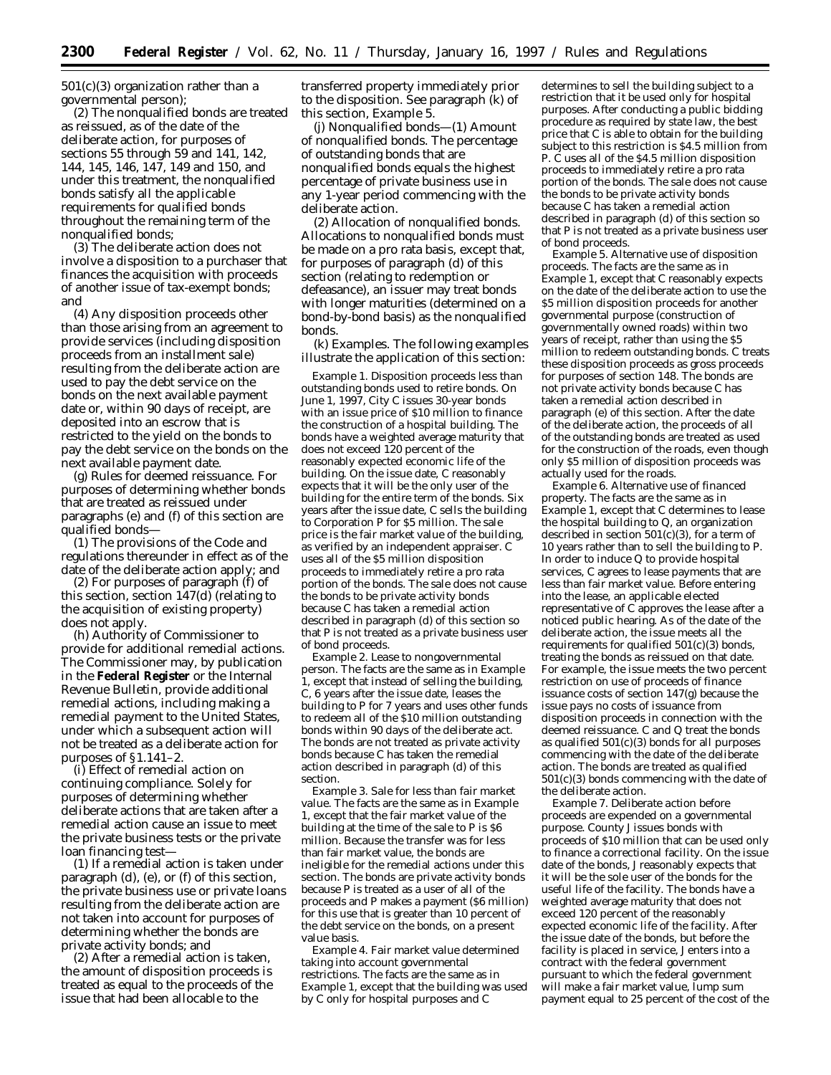501(c)(3) organization rather than a governmental person);

(2) The nonqualified bonds are treated as reissued, as of the date of the deliberate action, for purposes of sections 55 through 59 and 141, 142, 144, 145, 146, 147, 149 and 150, and under this treatment, the nonqualified bonds satisfy all the applicable requirements for qualified bonds throughout the remaining term of the nonqualified bonds;

(3) The deliberate action does not involve a disposition to a purchaser that finances the acquisition with proceeds of another issue of tax-exempt bonds; and

(4) Any disposition proceeds other than those arising from an agreement to provide services (including disposition proceeds from an installment sale) resulting from the deliberate action are used to pay the debt service on the bonds on the next available payment date or, within 90 days of receipt, are deposited into an escrow that is restricted to the yield on the bonds to pay the debt service on the bonds on the next available payment date.

(g) *Rules for deemed reissuance.* For purposes of determining whether bonds that are treated as reissued under paragraphs (e) and (f) of this section are qualified bonds—

(1) The provisions of the Code and regulations thereunder in effect as of the date of the deliberate action apply; and

(2) For purposes of paragraph (f) of this section, section 147(d) (relating to the acquisition of existing property) does not apply.

(h) *Authority of Commissioner to provide for additional remedial actions.* The Commissioner may, by publication in the **Federal Register** or the Internal Revenue Bulletin, provide additional remedial actions, including making a remedial payment to the United States, under which a subsequent action will not be treated as a deliberate action for purposes of §1.141–2.

(i) *Effect of remedial action on continuing compliance.* Solely for purposes of determining whether deliberate actions that are taken after a remedial action cause an issue to meet the private business tests or the private loan financing test—

(1) If a remedial action is taken under paragraph (d), (e), or (f) of this section, the private business use or private loans resulting from the deliberate action are not taken into account for purposes of determining whether the bonds are private activity bonds; and

(2) After a remedial action is taken, the amount of disposition proceeds is treated as equal to the proceeds of the issue that had been allocable to the

transferred property immediately prior to the disposition. See paragraph (k) of this section, *Example 5.*

(j) *Nonqualified bonds*—(1) *Amount of nonqualified bonds.* The percentage of outstanding bonds that are nonqualified bonds equals the highest percentage of private business use in any 1-year period commencing with the deliberate action.

(2) *Allocation of nonqualified bonds.* Allocations to nonqualified bonds must be made on a pro rata basis, except that, for purposes of paragraph (d) of this section (relating to redemption or defeasance), an issuer may treat bonds with longer maturities (determined on a bond-by-bond basis) as the nonqualified bonds.

(k) *Examples.* The following examples illustrate the application of this section:

*Example 1. Disposition proceeds less than outstanding bonds used to retire bonds.* On June 1, 1997, City C issues 30-year bonds with an issue price of \$10 million to finance the construction of a hospital building. The bonds have a weighted average maturity that does not exceed 120 percent of the reasonably expected economic life of the building. On the issue date, C reasonably expects that it will be the only user of the building for the entire term of the bonds. Six years after the issue date, C sells the building to Corporation P for \$5 million. The sale price is the fair market value of the building, as verified by an independent appraiser. C uses all of the \$5 million disposition proceeds to immediately retire a pro rata portion of the bonds. The sale does not cause the bonds to be private activity bonds because C has taken a remedial action described in paragraph (d) of this section so that P is not treated as a private business user of bond proceeds.

*Example 2. Lease to nongovernmental person.* The facts are the same as in *Example 1,* except that instead of selling the building, C, 6 years after the issue date, leases the building to P for 7 years and uses other funds to redeem all of the \$10 million outstanding bonds within 90 days of the deliberate act. The bonds are not treated as private activity bonds because C has taken the remedial action described in paragraph (d) of this section.

*Example 3. Sale for less than fair market value.* The facts are the same as in *Example 1,* except that the fair market value of the building at the time of the sale to P is \$6 million. Because the transfer was for less than fair market value, the bonds are ineligible for the remedial actions under this section. The bonds are private activity bonds because P is treated as a user of all of the proceeds and P makes a payment (\$6 million) for this use that is greater than 10 percent of the debt service on the bonds, on a present value basis.

*Example 4. Fair market value determined taking into account governmental restrictions.* The facts are the same as in *Example 1,* except that the building was used by C only for hospital purposes and C

determines to sell the building subject to a restriction that it be used only for hospital purposes. After conducting a public bidding procedure as required by state law, the best price that C is able to obtain for the building subject to this restriction is \$4.5 million from P. C uses all of the \$4.5 million disposition proceeds to immediately retire a pro rata portion of the bonds. The sale does not cause the bonds to be private activity bonds because C has taken a remedial action described in paragraph (d) of this section so that P is not treated as a private business user of bond proceeds.

*Example 5. Alternative use of disposition proceeds.* The facts are the same as in *Example 1,* except that C reasonably expects on the date of the deliberate action to use the \$5 million disposition proceeds for another governmental purpose (construction of governmentally owned roads) within two years of receipt, rather than using the \$5 million to redeem outstanding bonds. C treats these disposition proceeds as gross proceeds for purposes of section 148. The bonds are not private activity bonds because C has taken a remedial action described in paragraph (e) of this section. After the date of the deliberate action, the proceeds of all of the outstanding bonds are treated as used for the construction of the roads, even though only \$5 million of disposition proceeds was actually used for the roads.

*Example 6. Alternative use of financed property.* The facts are the same as in *Example 1,* except that C determines to lease the hospital building to Q, an organization described in section  $501(c)(3)$ , for a term of 10 years rather than to sell the building to P. In order to induce Q to provide hospital services, C agrees to lease payments that are less than fair market value. Before entering into the lease, an applicable elected representative of C approves the lease after a noticed public hearing. As of the date of the deliberate action, the issue meets all the requirements for qualified 501(c)(3) bonds, treating the bonds as reissued on that date. For example, the issue meets the two percent restriction on use of proceeds of finance issuance costs of section 147(g) because the issue pays no costs of issuance from disposition proceeds in connection with the deemed reissuance. C and Q treat the bonds as qualified 501(c)(3) bonds for all purposes commencing with the date of the deliberate action. The bonds are treated as qualified 501(c)(3) bonds commencing with the date of the deliberate action.

*Example 7. Deliberate action before proceeds are expended on a governmental purpose.* County J issues bonds with proceeds of \$10 million that can be used only to finance a correctional facility. On the issue date of the bonds, J reasonably expects that it will be the sole user of the bonds for the useful life of the facility. The bonds have a weighted average maturity that does not exceed 120 percent of the reasonably expected economic life of the facility. After the issue date of the bonds, but before the facility is placed in service, J enters into a contract with the federal government pursuant to which the federal government will make a fair market value, lump sum payment equal to 25 percent of the cost of the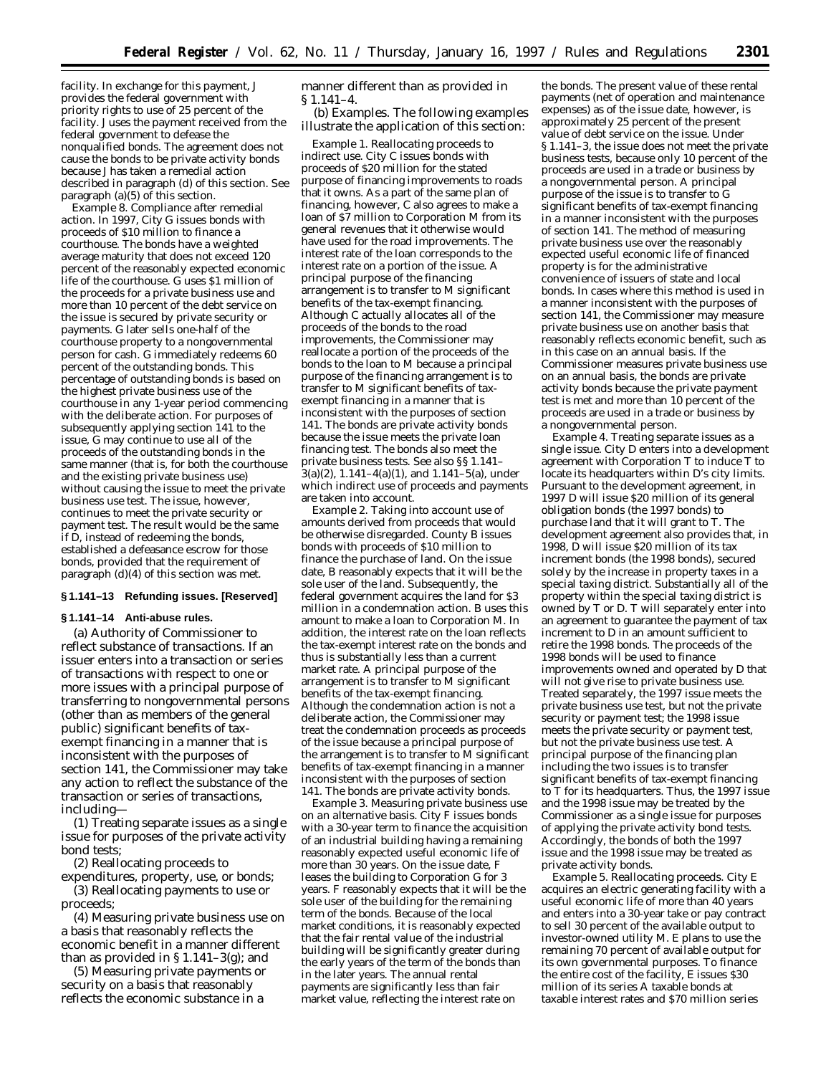facility. In exchange for this payment, J provides the federal government with priority rights to use of 25 percent of the facility. J uses the payment received from the federal government to defease the nonqualified bonds. The agreement does not cause the bonds to be private activity bonds because J has taken a remedial action described in paragraph (d) of this section. See paragraph (a)(5) of this section.

*Example 8. Compliance after remedial action.* In 1997, City G issues bonds with proceeds of \$10 million to finance a courthouse. The bonds have a weighted average maturity that does not exceed 120 percent of the reasonably expected economic life of the courthouse. G uses \$1 million of the proceeds for a private business use and more than 10 percent of the debt service on the issue is secured by private security or payments. G later sells one-half of the courthouse property to a nongovernmental person for cash. G immediately redeems 60 percent of the outstanding bonds. This percentage of outstanding bonds is based on the highest private business use of the courthouse in any 1-year period commencing with the deliberate action. For purposes of subsequently applying section 141 to the issue, G may continue to use all of the proceeds of the outstanding bonds in the same manner (that is, for both the courthouse and the existing private business use) without causing the issue to meet the private business use test. The issue, however, continues to meet the private security or payment test. The result would be the same if D, instead of redeeming the bonds, established a defeasance escrow for those bonds, provided that the requirement of paragraph (d)(4) of this section was met.

### **§ 1.141–13 Refunding issues. [Reserved]**

#### **§ 1.141–14 Anti-abuse rules.**

(a) *Authority of Commissioner to reflect substance of transactions.* If an issuer enters into a transaction or series of transactions with respect to one or more issues with a principal purpose of transferring to nongovernmental persons (other than as members of the general public) significant benefits of taxexempt financing in a manner that is inconsistent with the purposes of section 141, the Commissioner may take any action to reflect the substance of the transaction or series of transactions, including—

(1) Treating separate issues as a single issue for purposes of the private activity bond tests;

(2) Reallocating proceeds to

expenditures, property, use, or bonds; (3) Reallocating payments to use or proceeds;

(4) Measuring private business use on a basis that reasonably reflects the economic benefit in a manner different than as provided in  $\S 1.141-3(g)$ ; and

(5) Measuring private payments or security on a basis that reasonably reflects the economic substance in a

manner different than as provided in § 1.141–4.

(b) *Examples.* The following examples illustrate the application of this section:

*Example 1. Reallocating proceeds to indirect use.* City C issues bonds with proceeds of \$20 million for the stated purpose of financing improvements to roads that it owns. As a part of the same plan of financing, however, C also agrees to make a loan of \$7 million to Corporation M from its general revenues that it otherwise would have used for the road improvements. The interest rate of the loan corresponds to the interest rate on a portion of the issue. A principal purpose of the financing arrangement is to transfer to M significant benefits of the tax-exempt financing. Although C actually allocates all of the proceeds of the bonds to the road improvements, the Commissioner may reallocate a portion of the proceeds of the bonds to the loan to M because a principal purpose of the financing arrangement is to transfer to M significant benefits of taxexempt financing in a manner that is inconsistent with the purposes of section 141. The bonds are private activity bonds because the issue meets the private loan financing test. The bonds also meet the private business tests. See also §§ 1.141–  $3(a)(2)$ ,  $1.141-4(a)(1)$ , and  $1.141-5(a)$ , under which indirect use of proceeds and payments are taken into account.

*Example 2. Taking into account use of amounts derived from proceeds that would be otherwise disregarded.* County B issues bonds with proceeds of \$10 million to finance the purchase of land. On the issue date, B reasonably expects that it will be the sole user of the land. Subsequently, the federal government acquires the land for \$3 million in a condemnation action. B uses this amount to make a loan to Corporation M. In addition, the interest rate on the loan reflects the tax-exempt interest rate on the bonds and thus is substantially less than a current market rate. A principal purpose of the arrangement is to transfer to M significant benefits of the tax-exempt financing. Although the condemnation action is not a deliberate action, the Commissioner may treat the condemnation proceeds as proceeds of the issue because a principal purpose of the arrangement is to transfer to M significant benefits of tax-exempt financing in a manner inconsistent with the purposes of section 141. The bonds are private activity bonds.

*Example 3. Measuring private business use on an alternative basis.* City F issues bonds with a 30-year term to finance the acquisition of an industrial building having a remaining reasonably expected useful economic life of more than 30 years. On the issue date, F leases the building to Corporation G for 3 years. F reasonably expects that it will be the sole user of the building for the remaining term of the bonds. Because of the local market conditions, it is reasonably expected that the fair rental value of the industrial building will be significantly greater during the early years of the term of the bonds than in the later years. The annual rental payments are significantly less than fair market value, reflecting the interest rate on

the bonds. The present value of these rental payments (net of operation and maintenance expenses) as of the issue date, however, is approximately 25 percent of the present value of debt service on the issue. Under § 1.141–3, the issue does not meet the private business tests, because only 10 percent of the proceeds are used in a trade or business by a nongovernmental person. A principal purpose of the issue is to transfer to G significant benefits of tax-exempt financing in a manner inconsistent with the purposes of section 141. The method of measuring private business use over the reasonably expected useful economic life of financed property is for the administrative convenience of issuers of state and local bonds. In cases where this method is used in a manner inconsistent with the purposes of section 141, the Commissioner may measure private business use on another basis that reasonably reflects economic benefit, such as in this case on an annual basis. If the Commissioner measures private business use on an annual basis, the bonds are private activity bonds because the private payment test is met and more than 10 percent of the proceeds are used in a trade or business by a nongovernmental person.

*Example 4. Treating separate issues as a single issue.* City D enters into a development agreement with Corporation T to induce T to locate its headquarters within D's city limits. Pursuant to the development agreement, in 1997 D will issue \$20 million of its general obligation bonds (the 1997 bonds) to purchase land that it will grant to T. The development agreement also provides that, in 1998, D will issue \$20 million of its tax increment bonds (the 1998 bonds), secured solely by the increase in property taxes in a special taxing district. Substantially all of the property within the special taxing district is owned by T or D. T will separately enter into an agreement to guarantee the payment of tax increment to D in an amount sufficient to retire the 1998 bonds. The proceeds of the 1998 bonds will be used to finance improvements owned and operated by D that will not give rise to private business use. Treated separately, the 1997 issue meets the private business use test, but not the private security or payment test; the 1998 issue meets the private security or payment test, but not the private business use test. A principal purpose of the financing plan including the two issues is to transfer significant benefits of tax-exempt financing to T for its headquarters. Thus, the 1997 issue and the 1998 issue may be treated by the Commissioner as a single issue for purposes of applying the private activity bond tests. Accordingly, the bonds of both the 1997 issue and the 1998 issue may be treated as private activity bonds.

*Example 5. Reallocating proceeds.* City E acquires an electric generating facility with a useful economic life of more than 40 years and enters into a 30-year take or pay contract to sell 30 percent of the available output to investor-owned utility M. E plans to use the remaining 70 percent of available output for its own governmental purposes. To finance the entire cost of the facility, E issues \$30 million of its series A taxable bonds at taxable interest rates and \$70 million series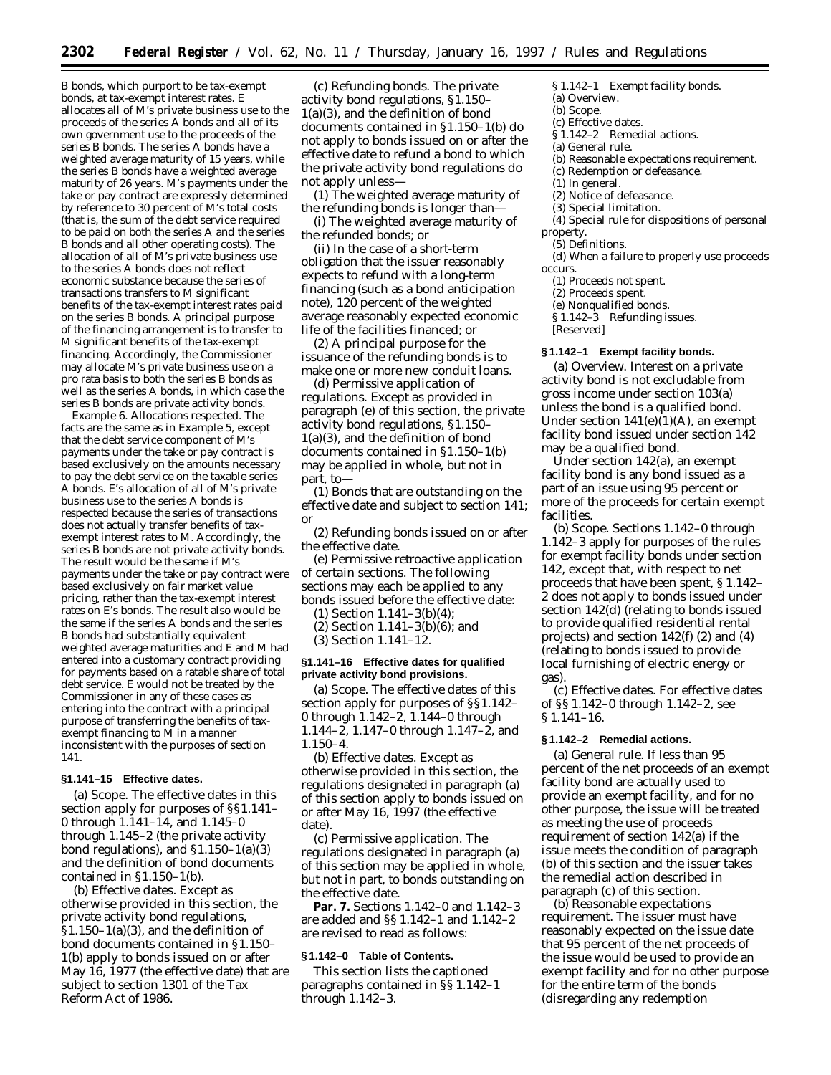B bonds, which purport to be tax-exempt bonds, at tax-exempt interest rates. E allocates all of M's private business use to the proceeds of the series A bonds and all of its own government use to the proceeds of the series B bonds. The series A bonds have a weighted average maturity of 15 years, while the series B bonds have a weighted average maturity of 26 years. M's payments under the take or pay contract are expressly determined by reference to 30 percent of M's total costs (that is, the sum of the debt service required to be paid on both the series A and the series B bonds and all other operating costs). The allocation of all of M's private business use to the series A bonds does not reflect economic substance because the series of transactions transfers to M significant benefits of the tax-exempt interest rates paid on the series B bonds. A principal purpose of the financing arrangement is to transfer to M significant benefits of the tax-exempt financing. Accordingly, the Commissioner may allocate M's private business use on a pro rata basis to both the series B bonds as well as the series A bonds, in which case the series B bonds are private activity bonds.

*Example 6. Allocations respected.* The facts are the same as in *Example 5,* except that the debt service component of M's payments under the take or pay contract is based exclusively on the amounts necessary to pay the debt service on the taxable series A bonds. E's allocation of all of M's private business use to the series A bonds is respected because the series of transactions does not actually transfer benefits of taxexempt interest rates to M. Accordingly, the series B bonds are not private activity bonds. The result would be the same if M's payments under the take or pay contract were based exclusively on fair market value pricing, rather than the tax-exempt interest rates on E's bonds. The result also would be the same if the series A bonds and the series B bonds had substantially equivalent weighted average maturities and E and M had entered into a customary contract providing for payments based on a ratable share of total debt service. E would not be treated by the Commissioner in any of these cases as entering into the contract with a principal purpose of transferring the benefits of taxexempt financing to M in a manner inconsistent with the purposes of section 141.

# **§1.141–15 Effective dates.**

(a) *Scope.* The effective dates in this section apply for purposes of §§1.141– 0 through 1.141–14, and 1.145–0 through 1.145–2 (the private activity bond regulations), and  $$1.150-1(a)(3)$ and the definition of bond documents contained in §1.150–1(b).

(b) *Effective dates.* Except as otherwise provided in this section, the private activity bond regulations, §1.150–1(a)(3), and the definition of bond documents contained in §1.150– 1(b) apply to bonds issued on or after May 16, 1977 (the effective date) that are subject to section 1301 of the Tax Reform Act of 1986.

(c) *Refunding bonds.* The private activity bond regulations, §1.150– 1(a)(3), and the definition of bond documents contained in §1.150–1(b) do not apply to bonds issued on or after the effective date to refund a bond to which the private activity bond regulations do not apply unless—

(1) The weighted average maturity of the refunding bonds is longer than—

(i) The weighted average maturity of the refunded bonds; or

(ii) In the case of a short-term obligation that the issuer reasonably expects to refund with a long-term financing (such as a bond anticipation note), 120 percent of the weighted average reasonably expected economic life of the facilities financed; or

(2) A principal purpose for the issuance of the refunding bonds is to make one or more new conduit loans.

(d) *Permissive application of regulations.* Except as provided in paragraph (e) of this section, the private activity bond regulations, §1.150– 1(a)(3), and the definition of bond documents contained in §1.150–1(b) may be applied in whole, but not in part, to—

(1) Bonds that are outstanding on the effective date and subject to section 141; or

(2) Refunding bonds issued on or after the effective date.

(e) *Permissive retroactive application of certain sections.* The following sections may each be applied to any bonds issued before the effective date:

(1) Section 1.141–3(b)(4);

(2) Section 1.141–3(b)(6); and

(3) Section 1.141–12.

## **§1.141–16 Effective dates for qualified private activity bond provisions.**

(a) *Scope.* The effective dates of this section apply for purposes of §§1.142– 0 through 1.142–2, 1.144–0 through 1.144–2, 1.147–0 through 1.147–2, and 1.150–4.

(b) *Effective dates.* Except as otherwise provided in this section, the regulations designated in paragraph (a) of this section apply to bonds issued on or after May 16, 1997 (the effective date).

(c) *Permissive application.* The regulations designated in paragraph (a) of this section may be applied in whole, but not in part, to bonds outstanding on the effective date.

**Par. 7.** Sections 1.142–0 and 1.142–3 are added and §§ 1.142–1 and 1.142–2 are revised to read as follows:

## **§ 1.142–0 Table of Contents.**

This section lists the captioned paragraphs contained in §§ 1.142–1 through 1.142–3.

*§ 1.142–1 Exempt facility bonds.*

- (a) Overview.
- (b) Scope.
- (c) Effective dates. *§ 1.142–2 Remedial actions.*
- 
- (a) General rule.
- (b) Reasonable expectations requirement.
- (c) Redemption or defeasance.
- (1) In general.
- (2) Notice of defeasance.
- (3) Special limitation.

(4) Special rule for dispositions of personal property.

(5) Definitions.

(d) When a failure to properly use proceeds occurs.

(1) Proceeds not spent.

(2) Proceeds spent.

- (e) Nonqualified bonds.
- *§ 1.142–3 Refunding issues.*
- [Reserved]

### **§ 1.142–1 Exempt facility bonds.**

(a) *Overview.* Interest on a private activity bond is not excludable from gross income under section 103(a) unless the bond is a qualified bond. Under section  $141(e)(1)(A)$ , an exempt facility bond issued under section 142 may be a qualified bond.

Under section 142(a), an exempt facility bond is any bond issued as a part of an issue using 95 percent or more of the proceeds for certain exempt facilities.

(b) *Scope.* Sections 1.142–0 through 1.142–3 apply for purposes of the rules for exempt facility bonds under section 142, except that, with respect to net proceeds that have been spent, § 1.142– 2 does not apply to bonds issued under section 142(d) (relating to bonds issued to provide qualified residential rental projects) and section 142(f) (2) and (4) (relating to bonds issued to provide local furnishing of electric energy or gas).

(c) *Effective dates.* For effective dates of §§ 1.142–0 through 1.142–2, see § 1.141–16.

#### **§ 1.142–2 Remedial actions.**

(a) *General rule.* If less than 95 percent of the net proceeds of an exempt facility bond are actually used to provide an exempt facility, and for no other purpose, the issue will be treated as meeting the use of proceeds requirement of section 142(a) if the issue meets the condition of paragraph (b) of this section and the issuer takes the remedial action described in paragraph (c) of this section.

(b) *Reasonable expectations requirement.* The issuer must have reasonably expected on the issue date that 95 percent of the net proceeds of the issue would be used to provide an exempt facility and for no other purpose for the entire term of the bonds (disregarding any redemption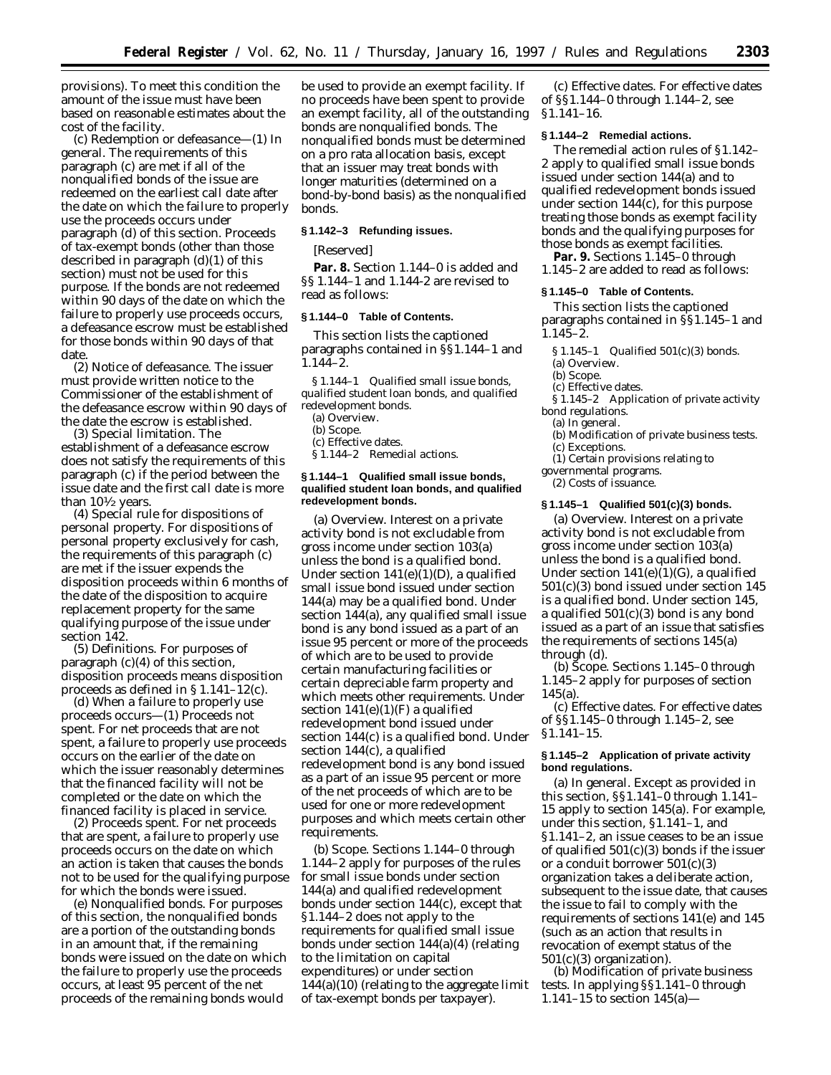provisions). To meet this condition the amount of the issue must have been based on reasonable estimates about the cost of the facility.

(c) *Redemption or defeasance—*(1) *In general.* The requirements of this paragraph (c) are met if all of the nonqualified bonds of the issue are redeemed on the earliest call date after the date on which the failure to properly use the proceeds occurs under paragraph (d) of this section. Proceeds of tax-exempt bonds (other than those described in paragraph (d)(1) of this section) must not be used for this purpose. If the bonds are not redeemed within 90 days of the date on which the failure to properly use proceeds occurs, a defeasance escrow must be established for those bonds within 90 days of that date.

(2) *Notice of defeasance.* The issuer must provide written notice to the Commissioner of the establishment of the defeasance escrow within 90 days of the date the escrow is established.

(3) *Special limitation.* The establishment of a defeasance escrow does not satisfy the requirements of this paragraph (c) if the period between the issue date and the first call date is more than  $10\frac{1}{2}$  years.

(4) *Special rule for dispositions of personal property.* For dispositions of personal property exclusively for cash, the requirements of this paragraph (c) are met if the issuer expends the disposition proceeds within 6 months of the date of the disposition to acquire replacement property for the same qualifying purpose of the issue under section 142.

(5) *Definitions.* For purposes of paragraph (c)(4) of this section, *disposition proceeds* means disposition proceeds as defined in § 1.141–12(c).

(d) *When a failure to properly use proceeds occurs—*(1) *Proceeds not spent.* For net proceeds that are not spent, a failure to properly use proceeds occurs on the earlier of the date on which the issuer reasonably determines that the financed facility will not be completed or the date on which the financed facility is placed in service.

(2) *Proceeds spent.* For net proceeds that are spent, a failure to properly use proceeds occurs on the date on which an action is taken that causes the bonds not to be used for the qualifying purpose for which the bonds were issued.

(e) *Nonqualified bonds.* For purposes of this section, the nonqualified bonds are a portion of the outstanding bonds in an amount that, if the remaining bonds were issued on the date on which the failure to properly use the proceeds occurs, at least 95 percent of the net proceeds of the remaining bonds would

be used to provide an exempt facility. If no proceeds have been spent to provide an exempt facility, all of the outstanding bonds are nonqualified bonds. The nonqualified bonds must be determined on a pro rata allocation basis, except that an issuer may treat bonds with longer maturities (determined on a bond-by-bond basis) as the nonqualified bonds.

#### **§ 1.142–3 Refunding issues.**

[Reserved]

**Par. 8.** Section 1.144–0 is added and §§ 1.144–1 and 1.144-2 are revised to read as follows:

#### **§ 1.144–0 Table of Contents.**

This section lists the captioned paragraphs contained in §§1.144–1 and 1.144–2.

*§ 1.144–1 Qualified small issue bonds, qualified student loan bonds, and qualified redevelopment bonds.*

(a) Overview. (b) Scope.

(c) Effective dates. *§ 1.144–2 Remedial actions.*

### **§ 1.144–1 Qualified small issue bonds, qualified student loan bonds, and qualified redevelopment bonds.**

(a) *Overview.* Interest on a private activity bond is not excludable from gross income under section 103(a) unless the bond is a qualified bond. Under section 141(e)(1)(D), a qualified small issue bond issued under section 144(a) may be a qualified bond. Under section 144(a), any qualified small issue bond is any bond issued as a part of an issue 95 percent or more of the proceeds of which are to be used to provide certain manufacturing facilities or certain depreciable farm property and which meets other requirements. Under section 141(e)(1)(F) a qualified redevelopment bond issued under section 144(c) is a qualified bond. Under section 144(c), a qualified redevelopment bond is any bond issued as a part of an issue 95 percent or more of the net proceeds of which are to be used for one or more redevelopment purposes and which meets certain other requirements.

(b) *Scope.* Sections 1.144–0 through 1.144–2 apply for purposes of the rules for small issue bonds under section 144(a) and qualified redevelopment bonds under section 144(c), except that §1.144–2 does not apply to the requirements for qualified small issue bonds under section 144(a)(4) (relating to the limitation on capital expenditures) or under section  $144(a)(10)$  (relating to the aggregate limit of tax-exempt bonds per taxpayer).

(c) *Effective dates.* For effective dates of §§1.144–0 through 1.144–2, see §1.141–16.

### **§ 1.144–2 Remedial actions.**

The remedial action rules of §1.142– 2 apply to qualified small issue bonds issued under section 144(a) and to qualified redevelopment bonds issued under section 144(c), for this purpose treating those bonds as exempt facility bonds and the qualifying purposes for those bonds as exempt facilities.

**Par. 9.** Sections 1.145–0 through 1.145–2 are added to read as follows:

#### **§ 1.145–0 Table of Contents.**

This section lists the captioned paragraphs contained in §§1.145–1 and 1.145–2.

*§ 1.145–1 Qualified 501(c)(3) bonds.*

(a) Overview.

#### (b) Scope.

(c) Effective dates.

*§ 1.145–2 Application of private activity bond regulations.*

- (a) In general.
- (b) Modification of private business tests. (c) Exceptions.

(1) Certain provisions relating to

governmental programs.

(2) Costs of issuance.

#### **§ 1.145–1 Qualified 501(c)(3) bonds.**

(a) *Overview.* Interest on a private activity bond is not excludable from gross income under section 103(a) unless the bond is a qualified bond. Under section  $141(e)(1)(G)$ , a qualified 501(c)(3) bond issued under section 145 is a qualified bond. Under section 145, a qualified  $501(c)(3)$  bond is any bond issued as a part of an issue that satisfies the requirements of sections 145(a) through (d).

(b) *Scope.* Sections 1.145–0 through 1.145–2 apply for purposes of section 145(a).

(c) *Effective dates.* For effective dates of §§1.145–0 through 1.145–2, see §1.141–15.

### **§ 1.145–2 Application of private activity bond regulations.**

(a) *In general.* Except as provided in this section, §§1.141–0 through 1.141– 15 apply to section 145(a). For example, under this section, §1.141–1, and §1.141–2, an issue ceases to be an issue of qualified 501(c)(3) bonds if the issuer or a conduit borrower 501(c)(3) organization takes a deliberate action, subsequent to the issue date, that causes the issue to fail to comply with the requirements of sections 141(e) and 145 (such as an action that results in revocation of exempt status of the  $501(c)(3)$  organization).

(b) *Modification of private business tests.* In applying §§1.141–0 through 1.141–15 to section 145(a)—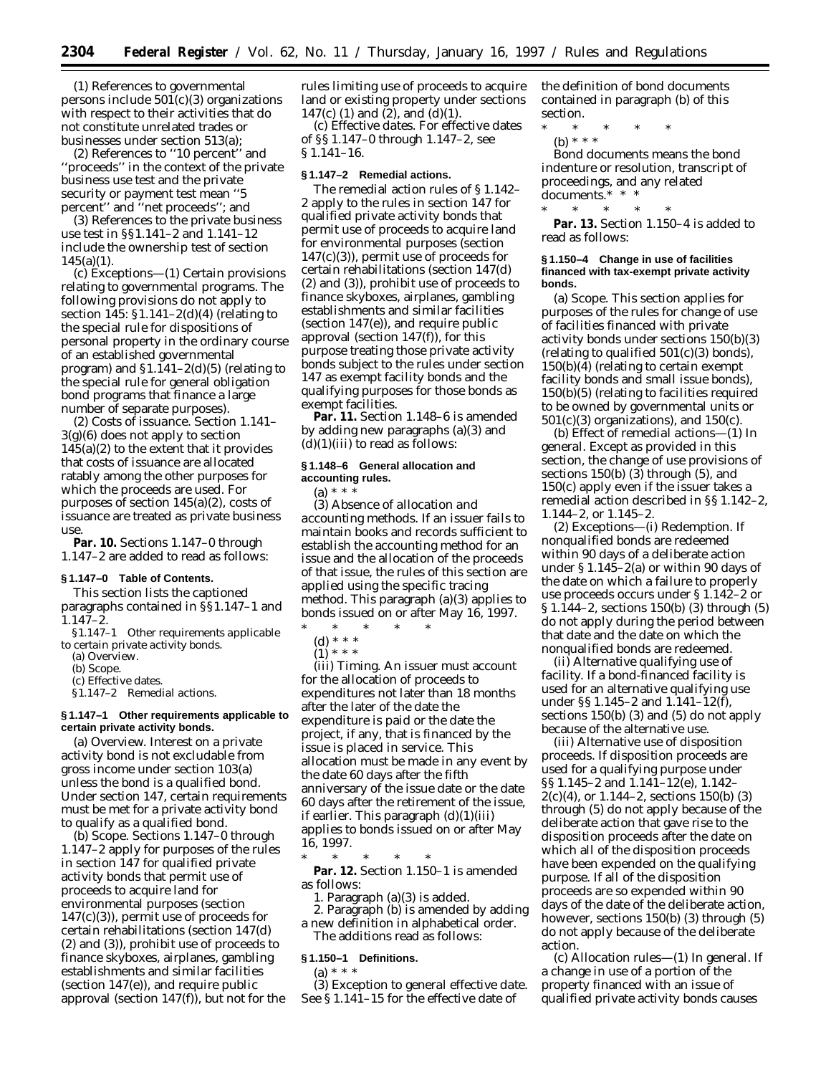(1) References to governmental persons include  $501(c)(3)$  organizations with respect to their activities that do not constitute unrelated trades or businesses under section 513(a);

(2) References to ''10 percent'' and ''proceeds'' in the context of the private business use test and the private security or payment test mean ''5 percent'' and ''net proceeds''; and

(3) References to the private business use test in §§1.141–2 and 1.141–12 include the ownership test of section  $145(a)(1)$ .

(c) *Exceptions—*(1) *Certain provisions relating to governmental programs.* The following provisions do not apply to section 145: §1.141–2(d)(4) (relating to the special rule for dispositions of personal property in the ordinary course of an established governmental program) and  $$1.141-2(d)(5)$  (relating to the special rule for general obligation bond programs that finance a large number of separate purposes).

(2) *Costs of issuance.* Section 1.141– 3(g)(6) does not apply to section  $145(a)(2)$  to the extent that it provides that costs of issuance are allocated ratably among the other purposes for which the proceeds are used. For purposes of section 145(a)(2), costs of issuance are treated as private business use.

Par. 10. Sections 1.147-0 through 1.147–2 are added to read as follows:

#### **§ 1.147–0 Table of Contents.**

This section lists the captioned paragraphs contained in §§1.147–1 and 1.147–2.

*§1.147–1 Other requirements applicable to certain private activity bonds.*

(a) Overview.

(b) Scope.

(c) Effective dates.

*§1.147–2 Remedial actions.*

### **§ 1.147–1 Other requirements applicable to certain private activity bonds.**

(a) *Overview.* Interest on a private activity bond is not excludable from gross income under section 103(a) unless the bond is a qualified bond. Under section 147, certain requirements must be met for a private activity bond to qualify as a qualified bond.

(b) *Scope.* Sections 1.147–0 through 1.147–2 apply for purposes of the rules in section 147 for qualified private activity bonds that permit use of proceeds to acquire land for environmental purposes (section 147(c)(3)), permit use of proceeds for certain rehabilitations (section 147(d) (2) and (3)), prohibit use of proceeds to finance skyboxes, airplanes, gambling establishments and similar facilities (section 147(e)), and require public approval (section 147(f)), but not for the rules limiting use of proceeds to acquire land or existing property under sections 147(c) (1) and (2), and (d)(1).

(c) *Effective dates.* For effective dates of §§ 1.147–0 through 1.147–2, see § 1.141–16.

#### **§ 1.147–2 Remedial actions.**

The remedial action rules of § 1.142– 2 apply to the rules in section 147 for qualified private activity bonds that permit use of proceeds to acquire land for environmental purposes (section 147(c)(3)), permit use of proceeds for certain rehabilitations (section 147(d) (2) and (3)), prohibit use of proceeds to finance skyboxes, airplanes, gambling establishments and similar facilities (section 147(e)), and require public approval (section 147(f)), for this purpose treating those private activity bonds subject to the rules under section 147 as exempt facility bonds and the qualifying purposes for those bonds as exempt facilities.

**Par. 11.** Section 1.148–6 is amended by adding new paragraphs (a)(3) and  $(d)(1)(iii)$  to read as follows:

### **§ 1.148–6 General allocation and accounting rules.**

(a)  $* * *$ 

(3) *Absence of allocation and accounting methods.* If an issuer fails to maintain books and records sufficient to establish the accounting method for an issue and the allocation of the proceeds of that issue, the rules of this section are applied using the specific tracing method. This paragraph (a)(3) applies to bonds issued on or after May 16, 1997.

\* \* \* \* \*

(d) \* \* \*

 $(1)^{***}$ 

(iii) *Timing.* An issuer must account for the allocation of proceeds to expenditures not later than 18 months after the later of the date the expenditure is paid or the date the project, if any, that is financed by the issue is placed in service. This allocation must be made in any event by the date 60 days after the fifth anniversary of the issue date or the date 60 days after the retirement of the issue, if earlier. This paragraph (d)(1)(iii) applies to bonds issued on or after May 16, 1997.

\* \* \* \* \* **Par. 12.** Section 1.150–1 is amended as follows:

1. Paragraph (a)(3) is added.

2. Paragraph (b) is amended by adding a new definition in alphabetical order. The additions read as follows:

# **§ 1.150–1 Definitions.**

(a) \* \* \*

(3) *Exception to general effective date.* See § 1.141–15 for the effective date of

the definition of bond documents contained in paragraph (b) of this section.

- \* \* \* \* \*
- (b) \* \* \*

*Bond documents* means the bond indenture or resolution, transcript of proceedings, and any related documents.\* \* \*

\* \* \* \* \* **Par. 13.** Section 1.150–4 is added to read as follows:

#### **§ 1.150–4 Change in use of facilities financed with tax-exempt private activity bonds.**

(a) *Scope.* This section applies for purposes of the rules for change of use of facilities financed with private activity bonds under sections 150(b)(3) (relating to qualified 501(c)(3) bonds), 150(b)(4) (relating to certain exempt facility bonds and small issue bonds), 150(b)(5) (relating to facilities required to be owned by governmental units or  $501(c)(3)$  organizations), and  $150(c)$ .

(b) *Effect of remedial actions—*(1) *In general.* Except as provided in this section, the change of use provisions of sections 150(b) (3) through (5), and 150(c) apply even if the issuer takes a remedial action described in §§ 1.142–2, 1.144–2, or 1.145–2.

(2) *Exceptions—*(i) *Redemption.* If nonqualified bonds are redeemed within 90 days of a deliberate action under § 1.145–2(a) or within 90 days of the date on which a failure to properly use proceeds occurs under § 1.142–2 or § 1.144–2, sections 150(b) (3) through (5) do not apply during the period between that date and the date on which the nonqualified bonds are redeemed.

(ii) *Alternative qualifying use of facility.* If a bond-financed facility is used for an alternative qualifying use under §§ 1.145–2 and 1.141–12(f), sections 150(b) (3) and (5) do not apply because of the alternative use.

(iii) *Alternative use of disposition proceeds.* If disposition proceeds are used for a qualifying purpose under §§ 1.145–2 and 1.141–12(e), 1.142– 2(c)(4), or 1.144–2, sections 150(b) (3) through (5) do not apply because of the deliberate action that gave rise to the disposition proceeds after the date on which all of the disposition proceeds have been expended on the qualifying purpose. If all of the disposition proceeds are so expended within 90 days of the date of the deliberate action, however, sections 150(b) (3) through (5) do not apply because of the deliberate action.

(c) *Allocation rules—*(1) *In general.* If a change in use of a portion of the property financed with an issue of qualified private activity bonds causes